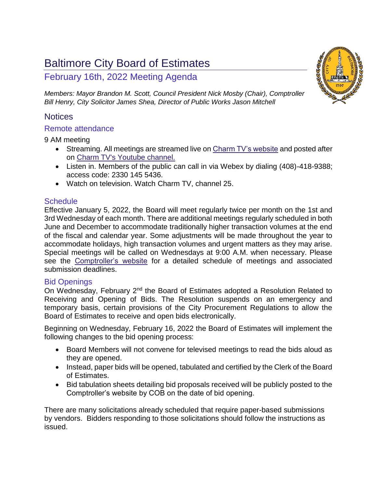# Baltimore City Board of Estimates

# February 16th, 2022 Meeting Agenda

*Members: Mayor Brandon M. Scott, Council President Nick Mosby (Chair), Comptroller Bill Henry, City Solicitor James Shea, Director of Public Works Jason Mitchell*

# **Notices**

# Remote attendance

9 AM meeting

- Streaming. All meetings are streamed live o[n Charm TV's website](https://www.charmtvbaltimore.com/live-stream) and posted after on [Charm TV's Youtube channel.](https://www.youtube.com/playlist?list=PLHAa8zfKf5XOE_pQ8bm-ZNc-JscGFhDHE)
- Listen in. Members of the public can call in via Webex by dialing (408)-418-9388; access code: 2330 145 5436.
- Watch on television. Watch Charm TV, channel 25.

# **Schedule**

Effective January 5, 2022, the Board will meet regularly twice per month on the 1st and 3rd Wednesday of each month. There are additional meetings regularly scheduled in both June and December to accommodate traditionally higher transaction volumes at the end of the fiscal and calendar year. Some adjustments will be made throughout the year to accommodate holidays, high transaction volumes and urgent matters as they may arise. Special meetings will be called on Wednesdays at 9:00 A.M. when necessary. Please see the [Comptroller's website](file:///C:/Users/KC.Kelleher/AppData/Local/Microsoft/Windows/INetCache/Content.Outlook/3PW6H25A/comptroller.baltimorecity.gov/boe) for a detailed schedule of meetings and associated submission deadlines.

# Bid Openings

On Wednesday, February 2<sup>nd</sup> the Board of Estimates adopted a Resolution Related to Receiving and Opening of Bids. The Resolution suspends on an emergency and temporary basis, certain provisions of the City Procurement Regulations to allow the Board of Estimates to receive and open bids electronically.

Beginning on Wednesday, February 16, 2022 the Board of Estimates will implement the following changes to the bid opening process:

- Board Members will not convene for televised meetings to read the bids aloud as they are opened.
- Instead, paper bids will be opened, tabulated and certified by the Clerk of the Board of Estimates.
- Bid tabulation sheets detailing bid proposals received will be publicly posted to the Comptroller's website by COB on the date of bid opening.

There are many solicitations already scheduled that require paper-based submissions by vendors. Bidders responding to those solicitations should follow the instructions as issued.

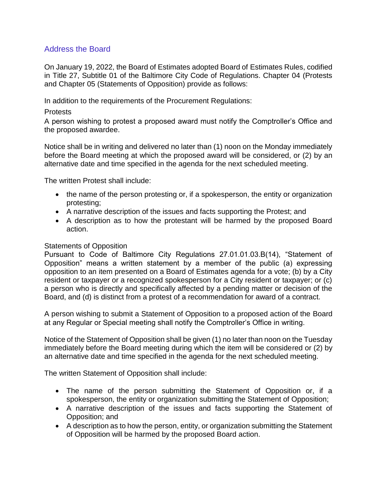# Address the Board

On January 19, 2022, the Board of Estimates adopted Board of Estimates Rules, codified in Title 27, Subtitle 01 of the Baltimore City Code of Regulations. Chapter 04 (Protests and Chapter 05 (Statements of Opposition) provide as follows:

In addition to the requirements of the Procurement Regulations:

# **Protests**

A person wishing to protest a proposed award must notify the Comptroller's Office and the proposed awardee.

Notice shall be in writing and delivered no later than (1) noon on the Monday immediately before the Board meeting at which the proposed award will be considered, or (2) by an alternative date and time specified in the agenda for the next scheduled meeting.

The written Protest shall include:

- the name of the person protesting or, if a spokesperson, the entity or organization protesting;
- A narrative description of the issues and facts supporting the Protest; and
- A description as to how the protestant will be harmed by the proposed Board action.

# Statements of Opposition

Pursuant to Code of Baltimore City Regulations 27.01.01.03.B(14), "Statement of Opposition" means a written statement by a member of the public (a) expressing opposition to an item presented on a Board of Estimates agenda for a vote; (b) by a City resident or taxpayer or a recognized spokesperson for a City resident or taxpayer; or (c) a person who is directly and specifically affected by a pending matter or decision of the Board, and (d) is distinct from a protest of a recommendation for award of a contract.

A person wishing to submit a Statement of Opposition to a proposed action of the Board at any Regular or Special meeting shall notify the Comptroller's Office in writing.

Notice of the Statement of Opposition shall be given (1) no later than noon on the Tuesday immediately before the Board meeting during which the item will be considered or (2) by an alternative date and time specified in the agenda for the next scheduled meeting.

The written Statement of Opposition shall include:

- The name of the person submitting the Statement of Opposition or, if a spokesperson, the entity or organization submitting the Statement of Opposition;
- A narrative description of the issues and facts supporting the Statement of Opposition; and
- A description as to how the person, entity, or organization submitting the Statement of Opposition will be harmed by the proposed Board action.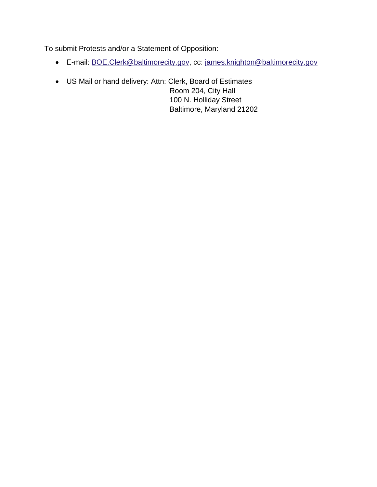To submit Protests and/or a Statement of Opposition:

- E-mail: [BOE.Clerk@baltimorecity.gov,](mailto:BOE.Clerk@baltimorecity.gov) cc: [james.knighton@baltimorecity.gov](mailto:james.knighton@baltimorecity.gov)
- US Mail or hand delivery: Attn: Clerk, Board of Estimates Room 204, City Hall 100 N. Holliday Street Baltimore, Maryland 21202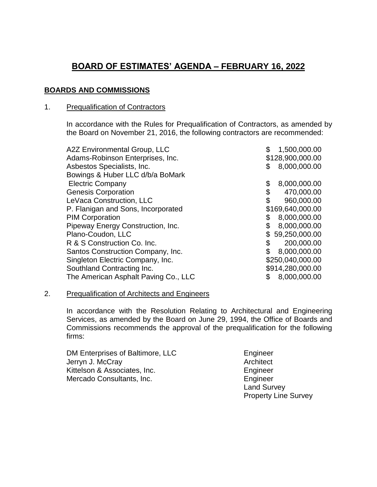# **BOARD OF ESTIMATES' AGENDA – FEBRUARY 16, 2022**

# **BOARDS AND COMMISSIONS**

# 1. Prequalification of Contractors

In accordance with the Rules for Prequalification of Contractors, as amended by the Board on November 21, 2016, the following contractors are recommended:

| A2Z Environmental Group, LLC         | 1,500,000.00       |
|--------------------------------------|--------------------|
| Adams-Robinson Enterprises, Inc.     | \$128,900,000.00   |
| Asbestos Specialists, Inc.           | 8,000,000.00<br>S  |
| Bowings & Huber LLC d/b/a BoMark     |                    |
| <b>Electric Company</b>              | 8,000,000.00<br>\$ |
| <b>Genesis Corporation</b>           | \$<br>470,000.00   |
| LeVaca Construction, LLC             | \$<br>960,000.00   |
| P. Flanigan and Sons, Incorporated   | \$169,640,000.00   |
| <b>PIM Corporation</b>               | 8,000,000.00<br>\$ |
| Pipeway Energy Construction, Inc.    | 8,000,000.00       |
| Plano-Coudon, LLC                    | \$59,250,000.00    |
| R & S Construction Co. Inc.          | \$<br>200,000.00   |
| Santos Construction Company, Inc.    | 8,000,000.00       |
| Singleton Electric Company, Inc.     | \$250,040,000.00   |
| Southland Contracting Inc.           | \$914,280,000.00   |
| The American Asphalt Paving Co., LLC | 8,000,000.00       |
|                                      |                    |

#### 2. Prequalification of Architects and Engineers

In accordance with the Resolution Relating to Architectural and Engineering Services, as amended by the Board on June 29, 1994, the Office of Boards and Commissions recommends the approval of the prequalification for the following firms:

DM Enterprises of Baltimore, LLC Engineer Jerryn J. McCray **Architect** Architect Kittelson & Associates, Inc. **Engineer** Mercado Consultants, Inc. **Engineer** 

Land Survey Property Line Survey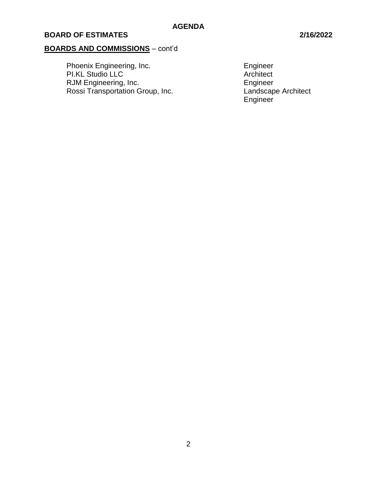# **BOARDS AND COMMISSIONS** – cont'd

Phoenix Engineering, Inc. The Contract of the Engineer PI.KL Studio LLC **Architect** Architect RJM Engineering, Inc.<br>
Rossi Transportation Group, Inc.<br>
Landscape Architect Rossi Transportation Group, Inc.

Engineer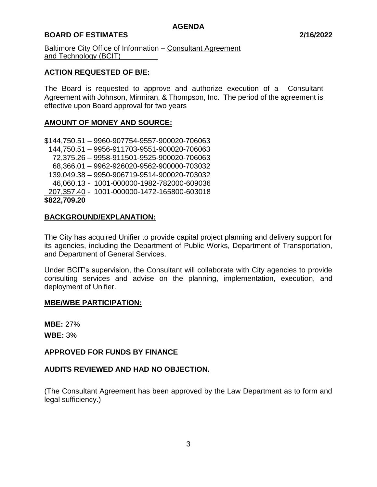# **BOARD OF ESTIMATES 2/16/2022**

Baltimore City Office of Information – Consultant Agreement and Technology (BCIT)\_

# **ACTION REQUESTED OF B/E:**

The Board is requested to approve and authorize execution of a Consultant Agreement with Johnson, Mirmiran, & Thompson, Inc. The period of the agreement is effective upon Board approval for two years

#### **AMOUNT OF MONEY AND SOURCE:**

\$144,750.51 – 9960-907754-9557-900020-706063 144,750.51 – 9956-911703-9551-900020-706063 72,375.26 – 9958-911501-9525-900020-706063 68,366.01 – 9962-926020-9562-900000-703032 139,049.38 – 9950-906719-9514-900020-703032 46,060.13 - 1001-000000-1982-782000-609036 207,357.40 - 1001-000000-1472-165800-603018 **\$822,709.20**

# **BACKGROUND/EXPLANATION:**

The City has acquired Unifier to provide capital project planning and delivery support for its agencies, including the Department of Public Works, Department of Transportation, and Department of General Services.

Under BCIT's supervision, the Consultant will collaborate with City agencies to provide consulting services and advise on the planning, implementation, execution, and deployment of Unifier.

#### **MBE/WBE PARTICIPATION:**

**MBE:** 27% **WBE:** 3%

#### **APPROVED FOR FUNDS BY FINANCE**

# **AUDITS REVIEWED AND HAD NO OBJECTION.**

(The Consultant Agreement has been approved by the Law Department as to form and legal sufficiency.)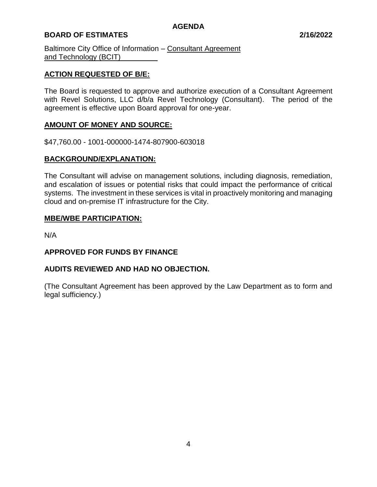# **BOARD OF ESTIMATES 2/16/2022**

Baltimore City Office of Information – Consultant Agreement and Technology (BCIT)

# **ACTION REQUESTED OF B/E:**

The Board is requested to approve and authorize execution of a Consultant Agreement with Revel Solutions, LLC d/b/a Revel Technology (Consultant). The period of the agreement is effective upon Board approval for one-year.

#### **AMOUNT OF MONEY AND SOURCE:**

\$47,760.00 - 1001-000000-1474-807900-603018

# **BACKGROUND/EXPLANATION:**

The Consultant will advise on management solutions, including diagnosis, remediation, and escalation of issues or potential risks that could impact the performance of critical systems. The investment in these services is vital in proactively monitoring and managing cloud and on-premise IT infrastructure for the City.

#### **MBE/WBE PARTICIPATION:**

N/A

#### **APPROVED FOR FUNDS BY FINANCE**

#### **AUDITS REVIEWED AND HAD NO OBJECTION.**

(The Consultant Agreement has been approved by the Law Department as to form and legal sufficiency.)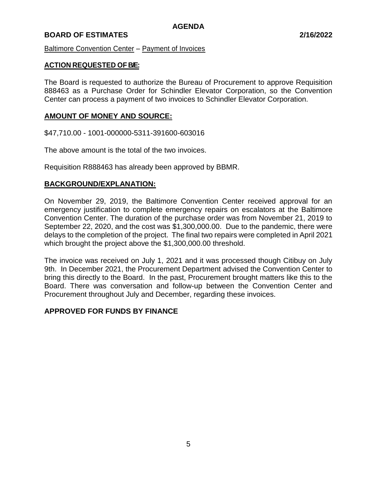#### **BOARD OF ESTIMATES 2/16/2022**

#### Baltimore Convention Center – Payment of Invoices

#### **ACTION REQUESTED OF B/E:**

The Board is requested to authorize the Bureau of Procurement to approve Requisition 888463 as a Purchase Order for Schindler Elevator Corporation, so the Convention Center can process a payment of two invoices to Schindler Elevator Corporation.

# **AMOUNT OF MONEY AND SOURCE:**

\$47,710.00 - 1001-000000-5311-391600-603016

The above amount is the total of the two invoices.

Requisition R888463 has already been approved by BBMR.

# **BACKGROUND/EXPLANATION:**

On November 29, 2019, the Baltimore Convention Center received approval for an emergency justification to complete emergency repairs on escalators at the Baltimore Convention Center. The duration of the purchase order was from November 21, 2019 to September 22, 2020, and the cost was \$1,300,000.00. Due to the pandemic, there were delays to the completion of the project. The final two repairs were completed in April 2021 which brought the project above the \$1,300,000.00 threshold.

The invoice was received on July 1, 2021 and it was processed though Citibuy on July 9th. In December 2021, the Procurement Department advised the Convention Center to bring this directly to the Board. In the past, Procurement brought matters like this to the Board. There was conversation and follow-up between the Convention Center and Procurement throughout July and December, regarding these invoices.

#### **APPROVED FOR FUNDS BY FINANCE**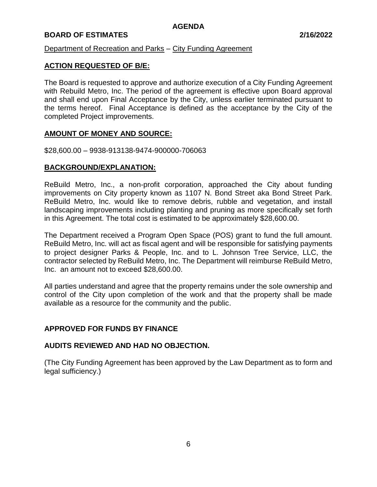# **BOARD OF ESTIMATES 2/16/2022**

Department of Recreation and Parks – City Funding Agreement

# **ACTION REQUESTED OF B/E:**

The Board is requested to approve and authorize execution of a City Funding Agreement with Rebuild Metro, Inc. The period of the agreement is effective upon Board approval and shall end upon Final Acceptance by the City, unless earlier terminated pursuant to the terms hereof. Final Acceptance is defined as the acceptance by the City of the completed Project improvements.

#### **AMOUNT OF MONEY AND SOURCE:**

\$28,600.00 – 9938-913138-9474-900000-706063

#### **BACKGROUND/EXPLANATION:**

ReBuild Metro, Inc., a non-profit corporation, approached the City about funding improvements on City property known as 1107 N. Bond Street aka Bond Street Park. ReBuild Metro, Inc. would like to remove debris, rubble and vegetation, and install landscaping improvements including planting and pruning as more specifically set forth in this Agreement. The total cost is estimated to be approximately \$28,600.00.

The Department received a Program Open Space (POS) grant to fund the full amount. ReBuild Metro, Inc. will act as fiscal agent and will be responsible for satisfying payments to project designer Parks & People, Inc. and to L. Johnson Tree Service, LLC, the contractor selected by ReBuild Metro, Inc. The Department will reimburse ReBuild Metro, Inc. an amount not to exceed \$28,600.00.

All parties understand and agree that the property remains under the sole ownership and control of the City upon completion of the work and that the property shall be made available as a resource for the community and the public.

#### **APPROVED FOR FUNDS BY FINANCE**

#### **AUDITS REVIEWED AND HAD NO OBJECTION.**

(The City Funding Agreement has been approved by the Law Department as to form and legal sufficiency.)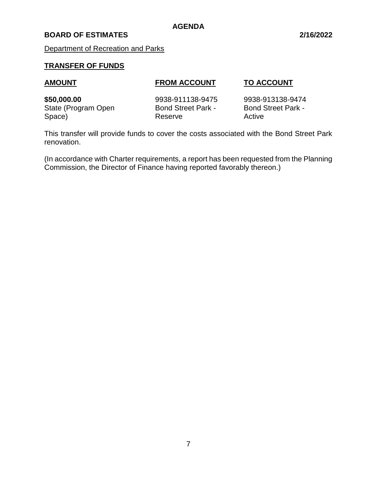# **BOARD OF ESTIMATES 2/16/2022**

Department of Recreation and Parks

# **TRANSFER OF FUNDS**

#### **AMOUNT FROM ACCOUNT TO ACCOUNT**

**\$50,000.00** 9938-911138-9475 9938-913138-9474 State (Program Open Bond Street Park - Bond Street Park -Space) Reserve Reserve Active

This transfer will provide funds to cover the costs associated with the Bond Street Park renovation.

(In accordance with Charter requirements, a report has been requested from the Planning Commission, the Director of Finance having reported favorably thereon.)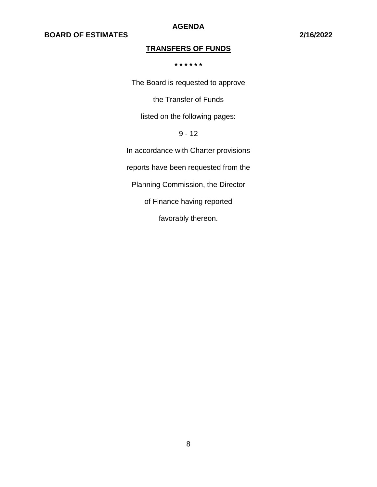**AGENDA**

# **TRANSFERS OF FUNDS**

**\* \* \* \* \* \***

The Board is requested to approve

the Transfer of Funds

listed on the following pages:

# 9 - 12

In accordance with Charter provisions

reports have been requested from the

Planning Commission, the Director

of Finance having reported

favorably thereon.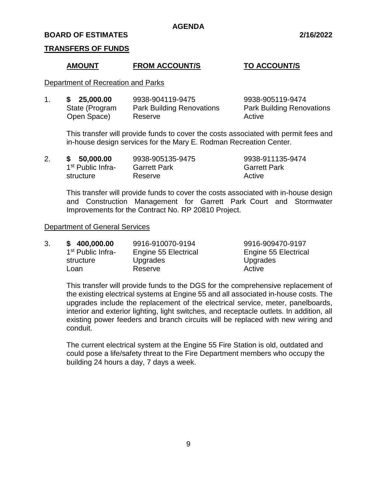#### **BOARD OF ESTIMATES 2/16/2022**

#### **TRANSFERS OF FUNDS**

#### **AMOUNT FROM ACCOUNT/S TO ACCOUNT/S**

3. **\$ 400,000.00** 9916-910070-9194 9916-909470-9197

Engine 55 Electrical

Upgrades

#### Department of Recreation and Parks

| 25,000.00      | 9938-904119-9475                 | 9938-905119-9474                 |
|----------------|----------------------------------|----------------------------------|
| State (Program | <b>Park Building Renovations</b> | <b>Park Building Renovations</b> |
| Open Space)    | Reserve                          | Active                           |

This transfer will provide funds to cover the costs associated with permit fees and in-house design services for the Mary E. Rodman Recreation Center.

| 2. | 50,000.00<br>S.               | 9938-905135-9475    | 9938-911135-9474    |
|----|-------------------------------|---------------------|---------------------|
|    | 1 <sup>st</sup> Public Infra- | <b>Garrett Park</b> | <b>Garrett Park</b> |
|    | structure                     | Reserve             | Active              |

This transfer will provide funds to cover the costs associated with in-house design and Construction Management for Garrett Park Court and Stormwater Improvements for the Contract No. RP 20810 Project.

#### Department of General Services

| 3. | \$400,000.00                  | 9916-910070-9194     |  |
|----|-------------------------------|----------------------|--|
|    | 1 <sup>st</sup> Public Infra- | Engine 55 Electrical |  |
|    | structure                     | Upgrades             |  |
|    | Loan                          | Reserve              |  |

Loan Reserve **Reserve** Active This transfer will provide funds to the DGS for the comprehensive replacement of the existing electrical systems at Engine 55 and all associated in-house costs. The upgrades include the replacement of the electrical service, meter, panelboards, interior and exterior lighting, light switches, and receptacle outlets. In addition, all existing power feeders and branch circuits will be replaced with new wiring and conduit.

The current electrical system at the Engine 55 Fire Station is old, outdated and could pose a life/safety threat to the Fire Department members who occupy the building 24 hours a day, 7 days a week.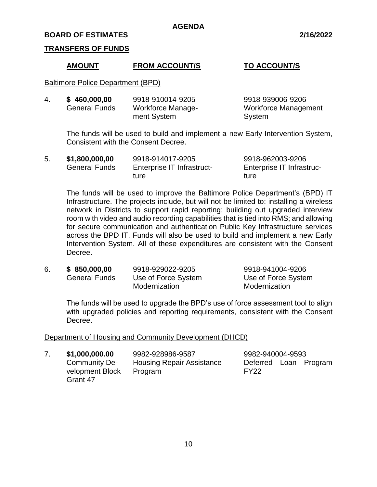#### **BOARD OF ESTIMATES 2/16/2022**

#### **TRANSFERS OF FUNDS**

#### **AMOUNT FROM ACCOUNT/S TO ACCOUNT/S**

Baltimore Police Department (BPD)

| 4. | \$460,000,00         | 9918-910014-9205  | 9918-939006-9206            |
|----|----------------------|-------------------|-----------------------------|
|    | <b>General Funds</b> | Workforce Manage- | <b>Workforce Management</b> |
|    |                      | ment System       | System                      |

The funds will be used to build and implement a new Early Intervention System, Consistent with the Consent Decree.

| 5. | \$1,800,000,00       | 9918-914017-9205           | 9918-962003-9206          |
|----|----------------------|----------------------------|---------------------------|
|    | <b>General Funds</b> | Enterprise IT Infrastruct- | Enterprise IT Infrastruc- |
|    |                      | ture                       | ture                      |

The funds will be used to improve the Baltimore Police Department's (BPD) IT Infrastructure. The projects include, but will not be limited to: installing a wireless network in Districts to support rapid reporting; building out upgraded interview room with video and audio recording capabilities that is tied into RMS; and allowing for secure communication and authentication Public Key Infrastructure services across the BPD IT. Funds will also be used to build and implement a new Early Intervention System. All of these expenditures are consistent with the Consent Decree.

| 6. | \$850,000,00         | 9918-929022-9205    | 9918-941004-9206    |  |
|----|----------------------|---------------------|---------------------|--|
|    | <b>General Funds</b> | Use of Force System | Use of Force System |  |
|    |                      | Modernization       | Modernization       |  |

The funds will be used to upgrade the BPD's use of force assessment tool to align with upgraded policies and reporting requirements, consistent with the Consent Decree.

#### Department of Housing and Community Development (DHCD)

| \$1,000,000.00<br>9982-928986-9587 |                                             | 9982-940004-9593 |                       |  |
|------------------------------------|---------------------------------------------|------------------|-----------------------|--|
| Community De-<br>velopment Block   | <b>Housing Repair Assistance</b><br>Program | FY <sub>22</sub> | Deferred Loan Program |  |
| Grant 47                           |                                             |                  |                       |  |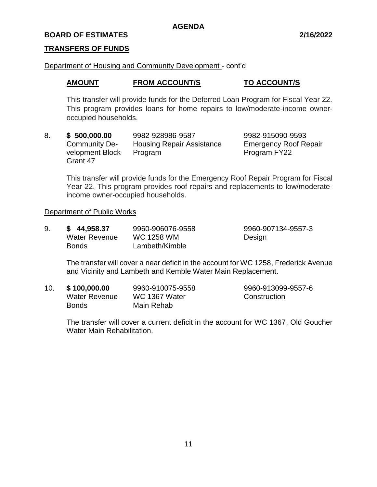# **BOARD OF ESTIMATES 2/16/2022**

#### **TRANSFERS OF FUNDS**

#### Department of Housing and Community Development - cont'd

# **AMOUNT FROM ACCOUNT/S TO ACCOUNT/S**

This transfer will provide funds for the Deferred Loan Program for Fiscal Year 22. This program provides loans for home repairs to low/moderate-income owneroccupied households.

8. **\$ 500,000.00** 9982-928986-9587 9982-915090-9593 Community De- Housing Repair Assistance Emergency Roof Repair velopment Block Program Program Program FY22 Grant 47

This transfer will provide funds for the Emergency Roof Repair Program for Fiscal Year 22. This program provides roof repairs and replacements to low/moderateincome owner-occupied households.

#### Department of Public Works

| 9. | \$44,958.37   | 9960-906076-9558  | 9960-907134-9557-3 |
|----|---------------|-------------------|--------------------|
|    | Water Revenue | <b>WC 1258 WM</b> | Design             |
|    | <b>Bonds</b>  | Lambeth/Kimble    |                    |

The transfer will cover a near deficit in the account for WC 1258, Frederick Avenue and Vicinity and Lambeth and Kemble Water Main Replacement.

| 10. | \$100,000.00  | 9960-910075-9558 | 9960-913099-9557-6 |
|-----|---------------|------------------|--------------------|
|     | Water Revenue | WC 1367 Water    | Construction       |
|     | <b>Bonds</b>  | Main Rehab       |                    |

The transfer will cover a current deficit in the account for WC 1367, Old Goucher Water Main Rehabilitation.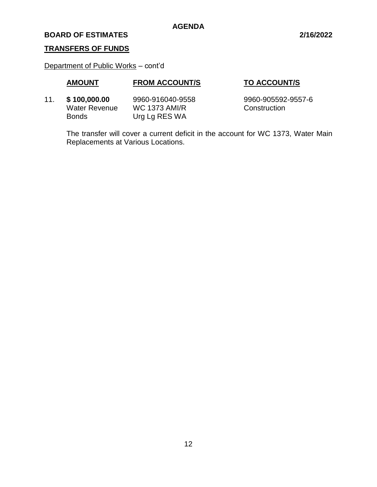#### **BOARD OF ESTIMATES 2/16/2022**

# **TRANSFERS OF FUNDS**

Department of Public Works – cont'd

# **AMOUNT FROM ACCOUNT/S TO ACCOUNT/S**

11. **\$ 100,000.00** 9960-916040-9558 9960-905592-9557-6 Water Revenue MC 1373 AMI/R Construction Bonds Urg Lg RES WA

The transfer will cover a current deficit in the account for WC 1373, Water Main Replacements at Various Locations.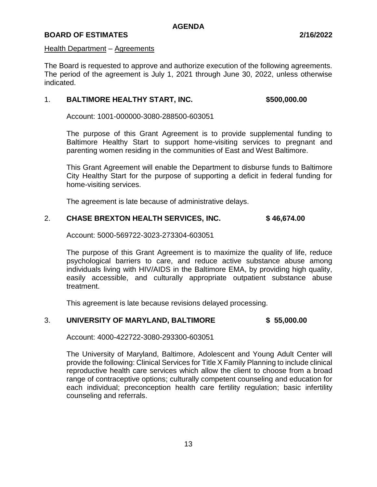#### Health Department – Agreements

The Board is requested to approve and authorize execution of the following agreements. The period of the agreement is July 1, 2021 through June 30, 2022, unless otherwise indicated.

# 1. **BALTIMORE HEALTHY START, INC. \$500,000.00**

Account: 1001-000000-3080-288500-603051

The purpose of this Grant Agreement is to provide supplemental funding to Baltimore Healthy Start to support home-visiting services to pregnant and parenting women residing in the communities of East and West Baltimore.

This Grant Agreement will enable the Department to disburse funds to Baltimore City Healthy Start for the purpose of supporting a deficit in federal funding for home-visiting services.

The agreement is late because of administrative delays.

# 2. **CHASE BREXTON HEALTH SERVICES, INC. \$ 46,674.00**

Account: 5000-569722-3023-273304-603051

The purpose of this Grant Agreement is to maximize the quality of life, reduce psychological barriers to care, and reduce active substance abuse among individuals living with HIV/AIDS in the Baltimore EMA, by providing high quality, easily accessible, and culturally appropriate outpatient substance abuse treatment.

This agreement is late because revisions delayed processing.

# 3. **UNIVERSITY OF MARYLAND, BALTIMORE \$ 55,000.00**

Account: 4000-422722-3080-293300-603051

The University of Maryland, Baltimore, Adolescent and Young Adult Center will provide the following: Clinical Services for Title X Family Planning to include clinical reproductive health care services which allow the client to choose from a broad range of contraceptive options; culturally competent counseling and education for each individual; preconception health care fertility regulation; basic infertility counseling and referrals.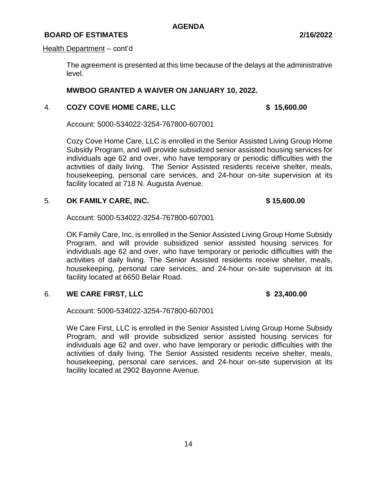#### **BOARD OF ESTIMATES 2/16/2022**

#### Health Department – cont'd

The agreement is presented at this time because of the delays at the administrative level.

#### **MWBOO GRANTED A WAIVER ON JANUARY 10, 2022.**

#### 4. **COZY COVE HOME CARE, LLC \$ 15,600.00**

Account: 5000-534022-3254-767800-607001

Cozy Cove Home Care, LLC is enrolled in the Senior Assisted Living Group Home Subsidy Program, and will provide subsidized senior assisted housing services for individuals age 62 and over, who have temporary or periodic difficulties with the activities of daily living. The Senior Assisted residents receive shelter, meals, housekeeping, personal care services, and 24-hour on-site supervision at its facility located at 718 N. Augusta Avenue.

#### 5. **OK FAMILY CARE, INC. \$ 15,600.00**

Account: 5000-534022-3254-767800-607001

OK Family Care, Inc. is enrolled in the Senior Assisted Living Group Home Subsidy Program, and will provide subsidized senior assisted housing services for individuals age 62 and over, who have temporary or periodic difficulties with the activities of daily living. The Senior Assisted residents receive shelter, meals, housekeeping, personal care services, and 24-hour on-site supervision at its facility located at 6650 Belair Road.

# 6. **WE CARE FIRST, LLC \$ 23,400.00**

Account: 5000-534022-3254-767800-607001

We Care First, LLC is enrolled in the Senior Assisted Living Group Home Subsidy Program, and will provide subsidized senior assisted housing services for individuals age 62 and over, who have temporary or periodic difficulties with the activities of daily living. The Senior Assisted residents receive shelter, meals, housekeeping, personal care services, and 24-hour on-site supervision at its facility located at 2902 Bayonne Avenue.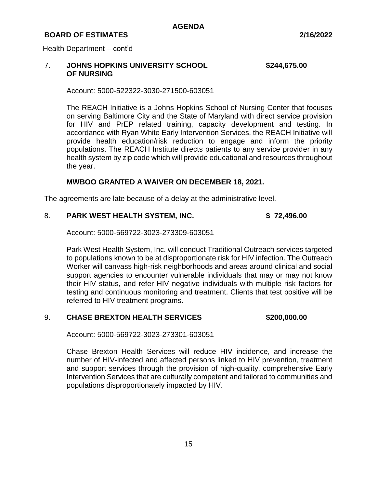#### Health Department – cont'd

# 7. **JOHNS HOPKINS UNIVERSITY SCHOOL \$244,675.00 OF NURSING**

Account: 5000-522322-3030-271500-603051

The REACH Initiative is a Johns Hopkins School of Nursing Center that focuses on serving Baltimore City and the State of Maryland with direct service provision for HIV and PrEP related training, capacity development and testing. In accordance with Ryan White Early Intervention Services, the REACH Initiative will provide health education/risk reduction to engage and inform the priority populations. The REACH Institute directs patients to any service provider in any health system by zip code which will provide educational and resources throughout the year.

#### **MWBOO GRANTED A WAIVER ON DECEMBER 18, 2021.**

The agreements are late because of a delay at the administrative level.

#### 8. **PARK WEST HEALTH SYSTEM, INC. \$ 72,496.00**

Account: 5000-569722-3023-273309-603051

Park West Health System, Inc. will conduct Traditional Outreach services targeted to populations known to be at disproportionate risk for HIV infection. The Outreach Worker will canvass high-risk neighborhoods and areas around clinical and social support agencies to encounter vulnerable individuals that may or may not know their HIV status, and refer HIV negative individuals with multiple risk factors for testing and continuous monitoring and treatment. Clients that test positive will be referred to HIV treatment programs.

#### 9. **CHASE BREXTON HEALTH SERVICES \$200,000.00**

Account: 5000-569722-3023-273301-603051

Chase Brexton Health Services will reduce HIV incidence, and increase the number of HIV-infected and affected persons linked to HIV prevention, treatment and support services through the provision of high-quality, comprehensive Early Intervention Services that are culturally competent and tailored to communities and populations disproportionately impacted by HIV.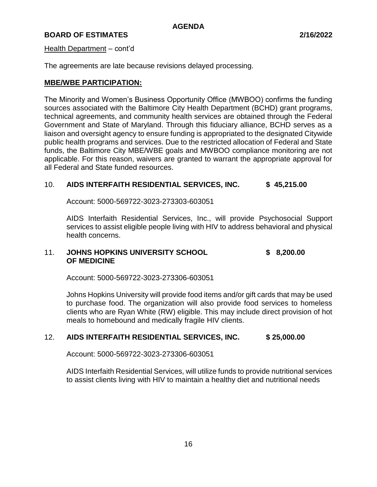#### Health Department – cont'd

The agreements are late because revisions delayed processing.

# **MBE/WBE PARTICIPATION:**

The Minority and Women's Business Opportunity Office (MWBOO) confirms the funding sources associated with the Baltimore City Health Department (BCHD) grant programs, technical agreements, and community health services are obtained through the Federal Government and State of Maryland. Through this fiduciary alliance, BCHD serves as a liaison and oversight agency to ensure funding is appropriated to the designated Citywide public health programs and services. Due to the restricted allocation of Federal and State funds, the Baltimore City MBE/WBE goals and MWBOO compliance monitoring are not applicable. For this reason, waivers are granted to warrant the appropriate approval for all Federal and State funded resources.

# 10. **AIDS INTERFAITH RESIDENTIAL SERVICES, INC. \$ 45,215.00**

Account: 5000-569722-3023-273303-603051

AIDS Interfaith Residential Services, Inc., will provide Psychosocial Support services to assist eligible people living with HIV to address behavioral and physical health concerns.

# 11. **JOHNS HOPKINS UNIVERSITY SCHOOL \$ 8,200.00 OF MEDICINE**

Account: 5000-569722-3023-273306-603051

Johns Hopkins University will provide food items and/or gift cards that may be used to purchase food. The organization will also provide food services to homeless clients who are Ryan White (RW) eligible. This may include direct provision of hot meals to homebound and medically fragile HIV clients.

# 12. **AIDS INTERFAITH RESIDENTIAL SERVICES, INC. \$ 25,000.00**

Account: 5000-569722-3023-273306-603051

AIDS Interfaith Residential Services, will utilize funds to provide nutritional services to assist clients living with HIV to maintain a healthy diet and nutritional needs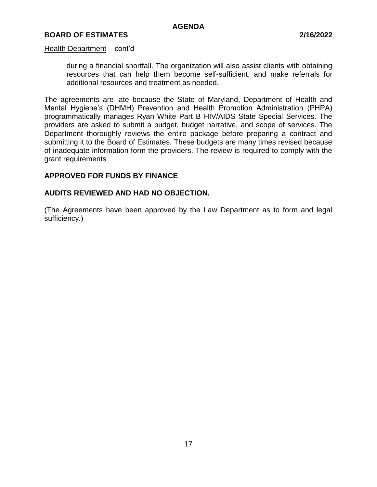# **BOARD OF ESTIMATES 2/16/2022**

#### Health Department – cont'd

during a financial shortfall. The organization will also assist clients with obtaining resources that can help them become self-sufficient, and make referrals for additional resources and treatment as needed.

The agreements are late because the State of Maryland, Department of Health and Mental Hygiene's (DHMH) Prevention and Health Promotion Administration (PHPA) programmatically manages Ryan White Part B HIV/AIDS State Special Services. The providers are asked to submit a budget, budget narrative, and scope of services. The Department thoroughly reviews the entire package before preparing a contract and submitting it to the Board of Estimates. These budgets are many times revised because of inadequate information form the providers. The review is required to comply with the grant requirements

#### **APPROVED FOR FUNDS BY FINANCE**

# **AUDITS REVIEWED AND HAD NO OBJECTION.**

(The Agreements have been approved by the Law Department as to form and legal sufficiency.)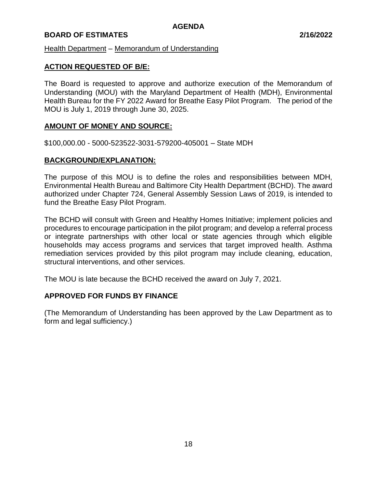Health Department – Memorandum of Understanding

#### **ACTION REQUESTED OF B/E:**

The Board is requested to approve and authorize execution of the Memorandum of Understanding (MOU) with the Maryland Department of Health (MDH), Environmental Health Bureau for the FY 2022 Award for Breathe Easy Pilot Program. The period of the MOU is July 1, 2019 through June 30, 2025.

#### **AMOUNT OF MONEY AND SOURCE:**

\$100,000.00 - 5000-523522-3031-579200-405001 – State MDH

#### **BACKGROUND/EXPLANATION:**

The purpose of this MOU is to define the roles and responsibilities between MDH, Environmental Health Bureau and Baltimore City Health Department (BCHD). The award authorized under Chapter 724, General Assembly Session Laws of 2019, is intended to fund the Breathe Easy Pilot Program.

The BCHD will consult with Green and Healthy Homes Initiative; implement policies and procedures to encourage participation in the pilot program; and develop a referral process or integrate partnerships with other local or state agencies through which eligible households may access programs and services that target improved health. Asthma remediation services provided by this pilot program may include cleaning, education, structural interventions, and other services.

The MOU is late because the BCHD received the award on July 7, 2021.

#### **APPROVED FOR FUNDS BY FINANCE**

(The Memorandum of Understanding has been approved by the Law Department as to form and legal sufficiency.)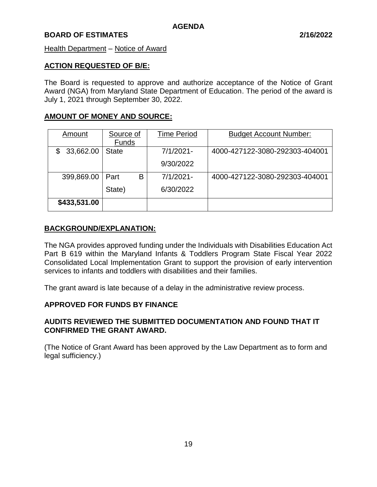#### Health Department – Notice of Award

#### **ACTION REQUESTED OF B/E:**

The Board is requested to approve and authorize acceptance of the Notice of Grant Award (NGA) from Maryland State Department of Education. The period of the award is July 1, 2021 through September 30, 2022.

# **AMOUNT OF MONEY AND SOURCE:**

| Amount          | Source of    | <b>Time Period</b> | <b>Budget Account Number:</b>  |
|-----------------|--------------|--------------------|--------------------------------|
|                 | <b>Funds</b> |                    |                                |
| 33,662.00<br>\$ | <b>State</b> | $7/1/2021 -$       | 4000-427122-3080-292303-404001 |
|                 |              | 9/30/2022          |                                |
| 399,869.00      | В<br>Part    | 7/1/2021-          | 4000-427122-3080-292303-404001 |
|                 | State)       | 6/30/2022          |                                |
| \$433,531.00    |              |                    |                                |

#### **BACKGROUND/EXPLANATION:**

The NGA provides approved funding under the Individuals with Disabilities Education Act Part B 619 within the Maryland Infants & Toddlers Program State Fiscal Year 2022 Consolidated Local Implementation Grant to support the provision of early intervention services to infants and toddlers with disabilities and their families.

The grant award is late because of a delay in the administrative review process.

#### **APPROVED FOR FUNDS BY FINANCE**

# **AUDITS REVIEWED THE SUBMITTED DOCUMENTATION AND FOUND THAT IT CONFIRMED THE GRANT AWARD.**

(The Notice of Grant Award has been approved by the Law Department as to form and legal sufficiency.)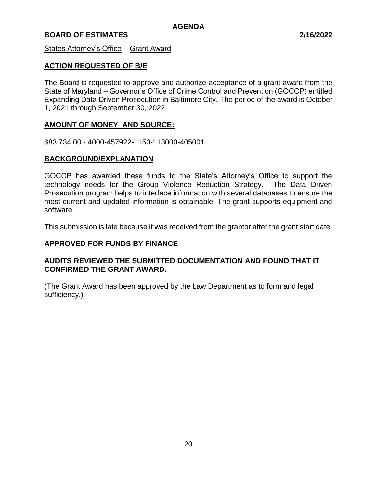States Attorney's Office – Grant Award

# **ACTION REQUESTED OF B/E**

The Board is requested to approve and authorize acceptance of a grant award from the State of Maryland – Governor's Office of Crime Control and Prevention (GOCCP) entitled Expanding Data Driven Prosecution in Baltimore City. The period of the award is October 1, 2021 through September 30, 2022.

#### **AMOUNT OF MONEY AND SOURCE:**

\$83,734.00 - 4000-457922-1150-118000-405001

# **BACKGROUND/EXPLANATION**

GOCCP has awarded these funds to the State's Attorney's Office to support the technology needs for the Group Violence Reduction Strategy. The Data Driven Prosecution program helps to interface information with several databases to ensure the most current and updated information is obtainable. The grant supports equipment and software.

This submission is late because it was received from the grantor after the grant start date.

# **APPROVED FOR FUNDS BY FINANCE**

# **AUDITS REVIEWED THE SUBMITTED DOCUMENTATION AND FOUND THAT IT CONFIRMED THE GRANT AWARD.**

(The Grant Award has been approved by the Law Department as to form and legal sufficiency.)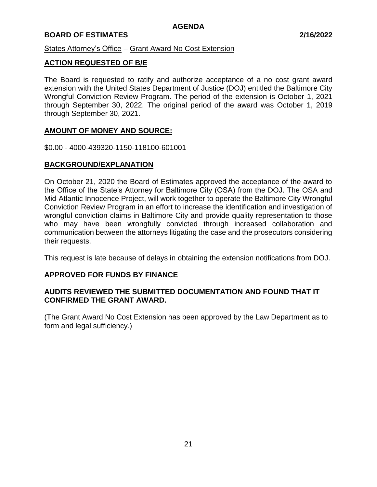# States Attorney's Office – Grant Award No Cost Extension

# **ACTION REQUESTED OF B/E**

The Board is requested to ratify and authorize acceptance of a no cost grant award extension with the United States Department of Justice (DOJ) entitled the Baltimore City Wrongful Conviction Review Program. The period of the extension is October 1, 2021 through September 30, 2022. The original period of the award was October 1, 2019 through September 30, 2021.

# **AMOUNT OF MONEY AND SOURCE:**

\$0.00 - 4000-439320-1150-118100-601001

# **BACKGROUND/EXPLANATION**

On October 21, 2020 the Board of Estimates approved the acceptance of the award to the Office of the State's Attorney for Baltimore City (OSA) from the DOJ. The OSA and Mid-Atlantic Innocence Project, will work together to operate the Baltimore City Wrongful Conviction Review Program in an effort to increase the identification and investigation of wrongful conviction claims in Baltimore City and provide quality representation to those who may have been wrongfully convicted through increased collaboration and communication between the attorneys litigating the case and the prosecutors considering their requests.

This request is late because of delays in obtaining the extension notifications from DOJ.

#### **APPROVED FOR FUNDS BY FINANCE**

# **AUDITS REVIEWED THE SUBMITTED DOCUMENTATION AND FOUND THAT IT CONFIRMED THE GRANT AWARD.**

(The Grant Award No Cost Extension has been approved by the Law Department as to form and legal sufficiency.)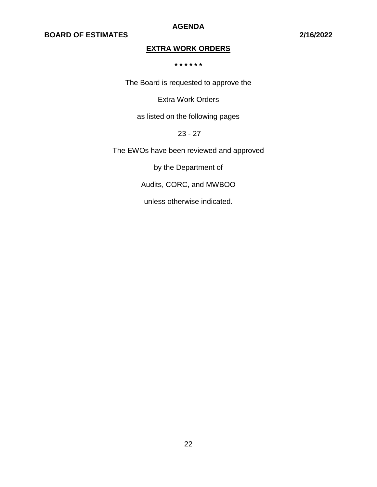**AGENDA**

# **EXTRA WORK ORDERS**

**\* \* \* \* \* \***

The Board is requested to approve the

Extra Work Orders

as listed on the following pages

23 - 27

The EWOs have been reviewed and approved

by the Department of

Audits, CORC, and MWBOO

unless otherwise indicated.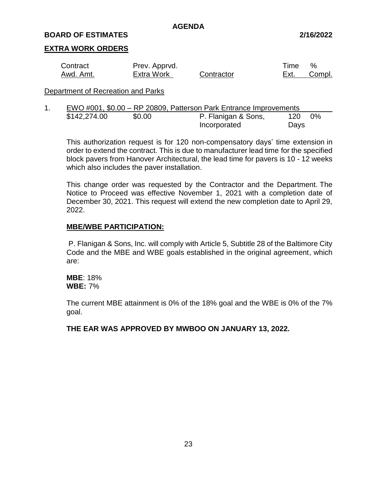#### **BOARD OF ESTIMATES 2/16/2022**

#### **EXTRA WORK ORDERS**

| Contract  | Prev. Apprvd.     |            | Time | $\%$        |
|-----------|-------------------|------------|------|-------------|
| Awd. Amt. | <b>Extra Work</b> | Contractor |      | Ext. Compl. |

#### Department of Recreation and Parks

| EWO #001, \$0.00 – RP 20809, Patterson Park Entrance Improvements |        |                     |      |       |
|-------------------------------------------------------------------|--------|---------------------|------|-------|
| \$142,274.00                                                      | \$0.00 | P. Flanigan & Sons, | 120  | $0\%$ |
|                                                                   |        | Incorporated        | Days |       |

This authorization request is for 120 non-compensatory days' time extension in order to extend the contract. This is due to manufacturer lead time for the specified block pavers from Hanover Architectural, the lead time for pavers is 10 - 12 weeks which also includes the paver installation.

This change order was requested by the Contractor and the Department. The Notice to Proceed was effective November 1, 2021 with a completion date of December 30, 2021. This request will extend the new completion date to April 29, 2022.

#### **MBE/WBE PARTICIPATION:**

P. Flanigan & Sons, Inc. will comply with Article 5, Subtitle 28 of the Baltimore City Code and the MBE and WBE goals established in the original agreement, which are:

**MBE**: 18% **WBE:** 7%

The current MBE attainment is 0% of the 18% goal and the WBE is 0% of the 7% goal.

**THE EAR WAS APPROVED BY MWBOO ON JANUARY 13, 2022.**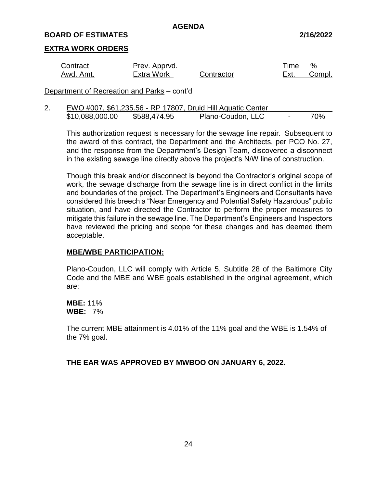#### **BOARD OF ESTIMATES 2/16/2022**

#### **EXTRA WORK ORDERS**

| Contract  | Prev. Apprvd.     |            | Time | $\%$        |
|-----------|-------------------|------------|------|-------------|
| Awd. Amt. | <b>Extra Work</b> | Contractor |      | Ext. Compl. |

Department of Recreation and Parks – cont'd

| z. |                 |              | EWO #007, \$61,235.56 - RP 17807, Druid Hill Aquatic Center |     |
|----|-----------------|--------------|-------------------------------------------------------------|-----|
|    | \$10,088,000.00 | \$588,474.95 | Plano-Coudon, LLC                                           | 70% |

This authorization request is necessary for the sewage line repair. Subsequent to the award of this contract, the Department and the Architects, per PCO No. 27, and the response from the Department's Design Team, discovered a disconnect in the existing sewage line directly above the project's N/W line of construction.

Though this break and/or disconnect is beyond the Contractor's original scope of work, the sewage discharge from the sewage line is in direct conflict in the limits and boundaries of the project. The Department's Engineers and Consultants have considered this breech a "Near Emergency and Potential Safety Hazardous" public situation, and have directed the Contractor to perform the proper measures to mitigate this failure in the sewage line. The Department's Engineers and Inspectors have reviewed the pricing and scope for these changes and has deemed them acceptable.

#### **MBE/WBE PARTICIPATION:**

Plano-Coudon, LLC will comply with Article 5, Subtitle 28 of the Baltimore City Code and the MBE and WBE goals established in the original agreement, which are:

**MBE:** 11% **WBE:** 7%

The current MBE attainment is 4.01% of the 11% goal and the WBE is 1.54% of the 7% goal.

**THE EAR WAS APPROVED BY MWBOO ON JANUARY 6, 2022.**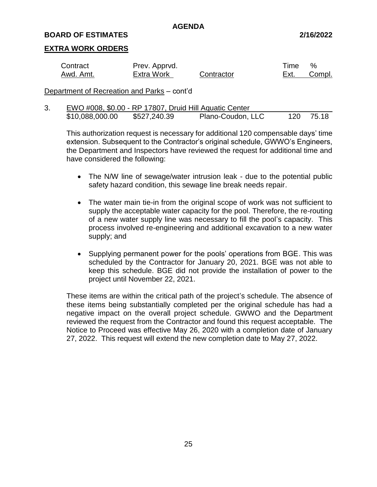#### **BOARD OF ESTIMATES 2/16/2022**

#### **EXTRA WORK ORDERS**

| Contract  | Prev. Apprvd.     |            | Time | %      |
|-----------|-------------------|------------|------|--------|
| Awd. Amt. | <b>Extra Work</b> | Contractor | Ext. | Compl. |

Department of Recreation and Parks – cont'd

3. EWO #008, \$0.00 - RP 17807, Druid Hill Aquatic Center \$10,088,000.00 \$527,240.39 Plano-Coudon, LLC 120 75.18

This authorization request is necessary for additional 120 compensable days' time extension. Subsequent to the Contractor's original schedule, GWWO's Engineers, the Department and Inspectors have reviewed the request for additional time and have considered the following:

- The N/W line of sewage/water intrusion leak due to the potential public safety hazard condition, this sewage line break needs repair.
- The water main tie-in from the original scope of work was not sufficient to supply the acceptable water capacity for the pool. Therefore, the re-routing of a new water supply line was necessary to fill the pool's capacity. This process involved re-engineering and additional excavation to a new water supply; and
- Supplying permanent power for the pools' operations from BGE. This was scheduled by the Contractor for January 20, 2021. BGE was not able to keep this schedule. BGE did not provide the installation of power to the project until November 22, 2021.

These items are within the critical path of the project's schedule. The absence of these items being substantially completed per the original schedule has had a negative impact on the overall project schedule. GWWO and the Department reviewed the request from the Contractor and found this request acceptable. The Notice to Proceed was effective May 26, 2020 with a completion date of January 27, 2022. This request will extend the new completion date to May 27, 2022.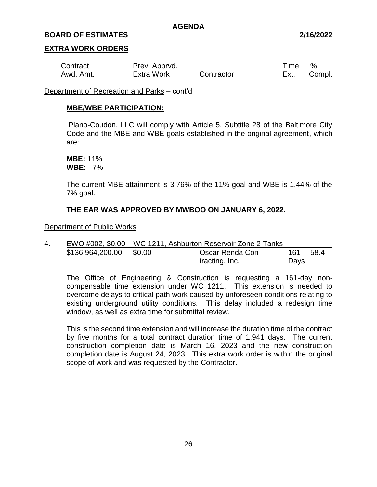#### **BOARD OF ESTIMATES 2/16/2022**

#### **EXTRA WORK ORDERS**

| Contract  | Prev. Apprvd.     |            | Time | $\%$   |
|-----------|-------------------|------------|------|--------|
| Awd. Amt. | <b>Extra Work</b> | Contractor | Ext. | Compl. |

Department of Recreation and Parks – cont'd

#### **MBE/WBE PARTICIPATION:**

Plano-Coudon, LLC will comply with Article 5, Subtitle 28 of the Baltimore City Code and the MBE and WBE goals established in the original agreement, which are:

**MBE:** 11% **WBE:** 7%

The current MBE attainment is 3.76% of the 11% goal and WBE is 1.44% of the 7% goal.

#### **THE EAR WAS APPROVED BY MWBOO ON JANUARY 6, 2022.**

Department of Public Works

| 4. |                         | EWO #002, \$0.00 – WC 1211, Ashburton Reservoir Zone 2 Tanks |      |      |
|----|-------------------------|--------------------------------------------------------------|------|------|
|    | \$136,964,200.00 \$0.00 | Oscar Renda Con-                                             | 161  | 58.4 |
|    |                         | tracting, Inc.                                               | Days |      |

The Office of Engineering & Construction is requesting a 161-day noncompensable time extension under WC 1211. This extension is needed to overcome delays to critical path work caused by unforeseen conditions relating to existing underground utility conditions. This delay included a redesign time window, as well as extra time for submittal review.

This is the second time extension and will increase the duration time of the contract by five months for a total contract duration time of 1,941 days. The current construction completion date is March 16, 2023 and the new construction completion date is August 24, 2023. This extra work order is within the original scope of work and was requested by the Contractor.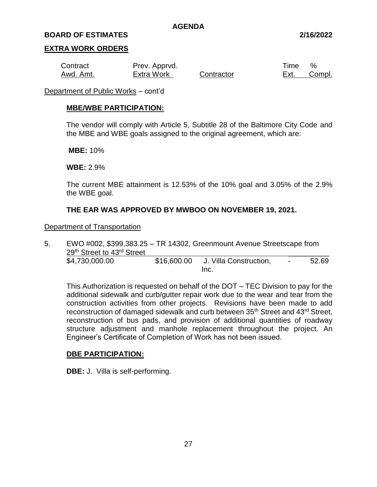#### **BOARD OF ESTIMATES 2/16/2022**

#### **EXTRA WORK ORDERS**

| Contract  | Prev. Apprvd.     |            | Time | $\%$   |
|-----------|-------------------|------------|------|--------|
| Awd. Amt. | <b>Extra Work</b> | Contractor | Ext. | Compl. |

Department of Public Works – cont'd

#### **MBE/WBE PARTICIPATION:**

The vendor will comply with Article 5, Subtitle 28 of the Baltimore City Code and the MBE and WBE goals assigned to the original agreement, which are:

**MBE:** 10%

**WBE:** 2.9%

The current MBE attainment is 12.53% of the 10% goal and 3.05% of the 2.9% the WBE goal.

#### **THE EAR WAS APPROVED BY MWBOO ON NOVEMBER 19, 2021.**

#### Department of Transportation

5. EWO #002, \$399,383.25 – TR 14302, Greenmount Avenue Streetscape from 29<sup>th</sup> Street to 43<sup>rd</sup> Street \$4,730,000.00 \$16,600.00 J. Villa Construction, - 52.69 Inc.

This Authorization is requested on behalf of the DOT – TEC Division to pay for the additional sidewalk and curb/gutter repair work due to the wear and tear from the construction activities from other projects. Revisions have been made to add reconstruction of damaged sidewalk and curb between 35<sup>th</sup> Street and 43<sup>rd</sup> Street, reconstruction of bus pads, and provision of additional quantities of roadway structure adjustment and manhole replacement throughout the project. An Engineer's Certificate of Completion of Work has not been issued.

#### **DBE PARTICIPATION:**

**DBE:** J. Villa is self-performing.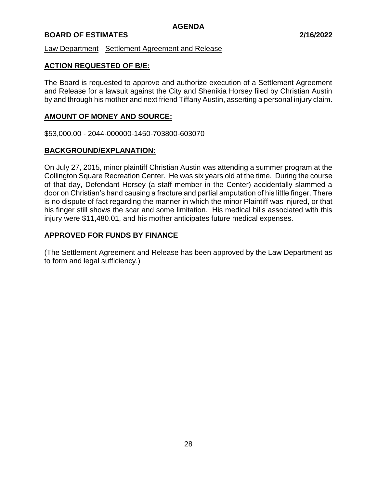# **BOARD OF ESTIMATES 2/16/2022**

Law Department - Settlement Agreement and Release

#### **ACTION REQUESTED OF B/E:**

The Board is requested to approve and authorize execution of a Settlement Agreement and Release for a lawsuit against the City and Shenikia Horsey filed by Christian Austin by and through his mother and next friend Tiffany Austin, asserting a personal injury claim.

#### **AMOUNT OF MONEY AND SOURCE:**

\$53,000.00 - 2044-000000-1450-703800-603070

#### **BACKGROUND/EXPLANATION:**

On July 27, 2015, minor plaintiff Christian Austin was attending a summer program at the Collington Square Recreation Center. He was six years old at the time. During the course of that day, Defendant Horsey (a staff member in the Center) accidentally slammed a door on Christian's hand causing a fracture and partial amputation of his little finger. There is no dispute of fact regarding the manner in which the minor Plaintiff was injured, or that his finger still shows the scar and some limitation. His medical bills associated with this injury were \$11,480.01, and his mother anticipates future medical expenses.

# **APPROVED FOR FUNDS BY FINANCE**

(The Settlement Agreement and Release has been approved by the Law Department as to form and legal sufficiency.)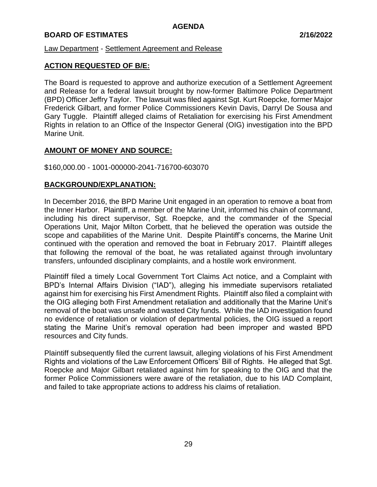#### Law Department - Settlement Agreement and Release

# **ACTION REQUESTED OF B/E:**

The Board is requested to approve and authorize execution of a Settlement Agreement and Release for a federal lawsuit brought by now-former Baltimore Police Department (BPD) Officer Jeffry Taylor. The lawsuit was filed against Sgt. Kurt Roepcke, former Major Frederick Gilbart, and former Police Commissioners Kevin Davis, Darryl De Sousa and Gary Tuggle. Plaintiff alleged claims of Retaliation for exercising his First Amendment Rights in relation to an Office of the Inspector General (OIG) investigation into the BPD Marine Unit.

# **AMOUNT OF MONEY AND SOURCE:**

\$160,000.00 - 1001-000000-2041-716700-603070

#### **BACKGROUND/EXPLANATION:**

In December 2016, the BPD Marine Unit engaged in an operation to remove a boat from the Inner Harbor. Plaintiff, a member of the Marine Unit, informed his chain of command, including his direct supervisor, Sgt. Roepcke, and the commander of the Special Operations Unit, Major Milton Corbett, that he believed the operation was outside the scope and capabilities of the Marine Unit. Despite Plaintiff's concerns, the Marine Unit continued with the operation and removed the boat in February 2017. Plaintiff alleges that following the removal of the boat, he was retaliated against through involuntary transfers, unfounded disciplinary complaints, and a hostile work environment.

Plaintiff filed a timely Local Government Tort Claims Act notice, and a Complaint with BPD's Internal Affairs Division ("IAD"), alleging his immediate supervisors retaliated against him for exercising his First Amendment Rights. Plaintiff also filed a complaint with the OIG alleging both First Amendment retaliation and additionally that the Marine Unit's removal of the boat was unsafe and wasted City funds. While the IAD investigation found no evidence of retaliation or violation of departmental policies, the OIG issued a report stating the Marine Unit's removal operation had been improper and wasted BPD resources and City funds.

Plaintiff subsequently filed the current lawsuit, alleging violations of his First Amendment Rights and violations of the Law Enforcement Officers' Bill of Rights. He alleged that Sgt. Roepcke and Major Gilbart retaliated against him for speaking to the OIG and that the former Police Commissioners were aware of the retaliation, due to his IAD Complaint, and failed to take appropriate actions to address his claims of retaliation.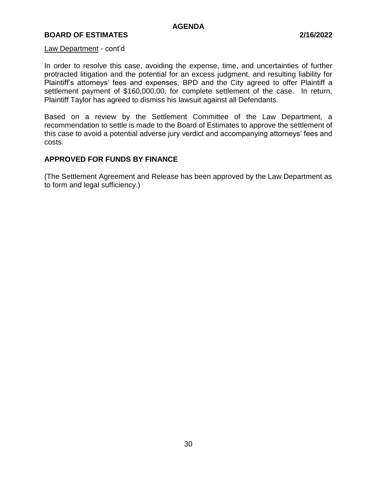# **BOARD OF ESTIMATES 2/16/2022**

#### Law Department - cont'd

In order to resolve this case, avoiding the expense, time, and uncertainties of further protracted litigation and the potential for an excess judgment, and resulting liability for Plaintiff's attorneys' fees and expenses, BPD and the City agreed to offer Plaintiff a settlement payment of \$160,000.00, for complete settlement of the case. In return, Plaintiff Taylor has agreed to dismiss his lawsuit against all Defendants.

Based on a review by the Settlement Committee of the Law Department, a recommendation to settle is made to the Board of Estimates to approve the settlement of this case to avoid a potential adverse jury verdict and accompanying attorneys' fees and costs.

# **APPROVED FOR FUNDS BY FINANCE**

(The Settlement Agreement and Release has been approved by the Law Department as to form and legal sufficiency.)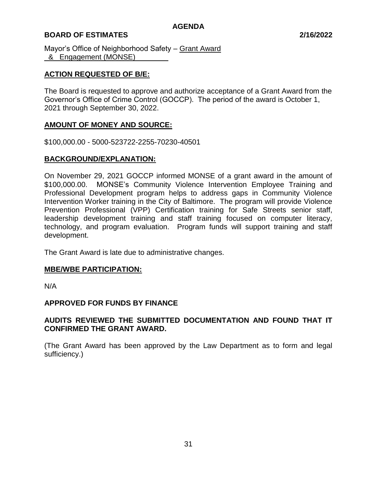# **BOARD OF ESTIMATES 2/16/2022**

Mayor's Office of Neighborhood Safety – Grant Award & Engagement (MONSE)

#### **ACTION REQUESTED OF B/E:**

The Board is requested to approve and authorize acceptance of a Grant Award from the Governor's Office of Crime Control (GOCCP). The period of the award is October 1, 2021 through September 30, 2022.

#### **AMOUNT OF MONEY AND SOURCE:**

\$100,000.00 - 5000-523722-2255-70230-40501

# **BACKGROUND/EXPLANATION:**

On November 29, 2021 GOCCP informed MONSE of a grant award in the amount of \$100,000.00. MONSE's Community Violence Intervention Employee Training and Professional Development program helps to address gaps in Community Violence Intervention Worker training in the City of Baltimore. The program will provide Violence Prevention Professional (VPP) Certification training for Safe Streets senior staff, leadership development training and staff training focused on computer literacy, technology, and program evaluation. Program funds will support training and staff development.

The Grant Award is late due to administrative changes.

#### **MBE/WBE PARTICIPATION:**

N/A

#### **APPROVED FOR FUNDS BY FINANCE**

# **AUDITS REVIEWED THE SUBMITTED DOCUMENTATION AND FOUND THAT IT CONFIRMED THE GRANT AWARD.**

(The Grant Award has been approved by the Law Department as to form and legal sufficiency.)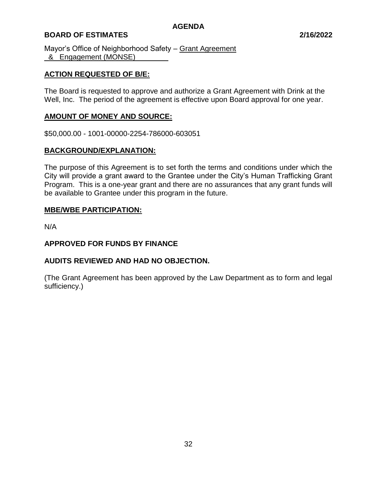# **BOARD OF ESTIMATES 2/16/2022**

Mayor's Office of Neighborhood Safety – Grant Agreement & Engagement (MONSE)

# **ACTION REQUESTED OF B/E:**

The Board is requested to approve and authorize a Grant Agreement with Drink at the Well, Inc. The period of the agreement is effective upon Board approval for one year.

# **AMOUNT OF MONEY AND SOURCE:**

\$50,000.00 - 1001-00000-2254-786000-603051

#### **BACKGROUND/EXPLANATION:**

The purpose of this Agreement is to set forth the terms and conditions under which the City will provide a grant award to the Grantee under the City's Human Trafficking Grant Program. This is a one-year grant and there are no assurances that any grant funds will be available to Grantee under this program in the future.

#### **MBE/WBE PARTICIPATION:**

N/A

#### **APPROVED FOR FUNDS BY FINANCE**

#### **AUDITS REVIEWED AND HAD NO OBJECTION.**

(The Grant Agreement has been approved by the Law Department as to form and legal sufficiency.)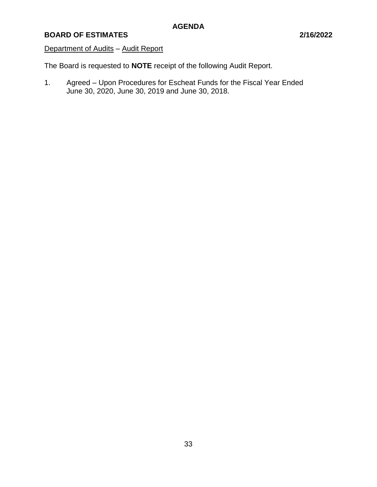# Department of Audits - Audit Report

The Board is requested to **NOTE** receipt of the following Audit Report.

1. Agreed – Upon Procedures for Escheat Funds for the Fiscal Year Ended June 30, 2020, June 30, 2019 and June 30, 2018.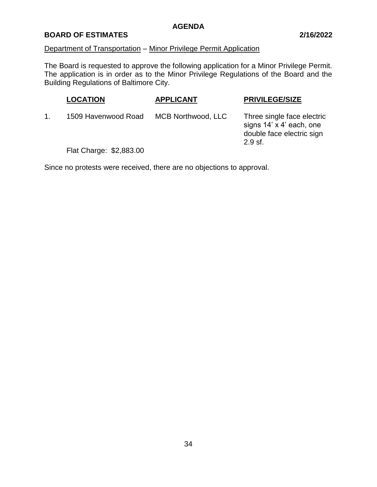## **BOARD OF ESTIMATES 2/16/2022**

# Department of Transportation – Minor Privilege Permit Application

The Board is requested to approve the following application for a Minor Privilege Permit. The application is in order as to the Minor Privilege Regulations of the Board and the Building Regulations of Baltimore City.

| <b>LOCATION</b>        | <b>APPLICANT</b>   | <b>PRIVILEGE/SIZE</b>                                                                            |
|------------------------|--------------------|--------------------------------------------------------------------------------------------------|
| 1509 Havenwood Road    | MCB Northwood, LLC | Three single face electric<br>signs 14' x 4' each, one<br>double face electric sign<br>$2.9$ sf. |
| Flat Charna: R2 R83 AN |                    |                                                                                                  |

Flat Charge: \$2,883.00

Since no protests were received, there are no objections to approval.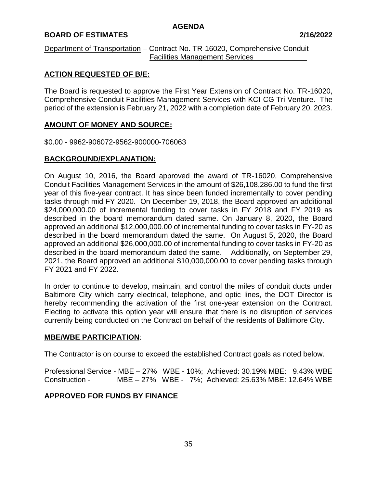## **BOARD OF ESTIMATES 2/16/2022**

### Department of Transportation – Contract No. TR-16020, Comprehensive Conduit Facilities Management Services\_\_\_\_\_\_\_\_\_\_\_\_\_

## **ACTION REQUESTED OF B/E:**

The Board is requested to approve the First Year Extension of Contract No. TR-16020, Comprehensive Conduit Facilities Management Services with KCI-CG Tri-Venture. The period of the extension is February 21, 2022 with a completion date of February 20, 2023.

## **AMOUNT OF MONEY AND SOURCE:**

\$0.00 - 9962-906072-9562-900000-706063

## **BACKGROUND/EXPLANATION:**

On August 10, 2016, the Board approved the award of TR-16020, Comprehensive Conduit Facilities Management Services in the amount of \$26,108,286.00 to fund the first year of this five-year contract. It has since been funded incrementally to cover pending tasks through mid FY 2020. On December 19, 2018, the Board approved an additional \$24,000,000.00 of incremental funding to cover tasks in FY 2018 and FY 2019 as described in the board memorandum dated same. On January 8, 2020, the Board approved an additional \$12,000,000.00 of incremental funding to cover tasks in FY-20 as described in the board memorandum dated the same. On August 5, 2020, the Board approved an additional \$26,000,000.00 of incremental funding to cover tasks in FY-20 as described in the board memorandum dated the same. Additionally, on September 29, 2021, the Board approved an additional \$10,000,000.00 to cover pending tasks through FY 2021 and FY 2022.

In order to continue to develop, maintain, and control the miles of conduit ducts under Baltimore City which carry electrical, telephone, and optic lines, the DOT Director is hereby recommending the activation of the first one-year extension on the Contract. Electing to activate this option year will ensure that there is no disruption of services currently being conducted on the Contract on behalf of the residents of Baltimore City.

## **MBE/WBE PARTICIPATION**:

The Contractor is on course to exceed the established Contract goals as noted below.

Professional Service - MBE – 27% WBE - 10%; Achieved: 30.19% MBE: 9.43% WBE Construction - MBE – 27% WBE - 7%; Achieved: 25.63% MBE: 12.64% WBE

# **APPROVED FOR FUNDS BY FINANCE**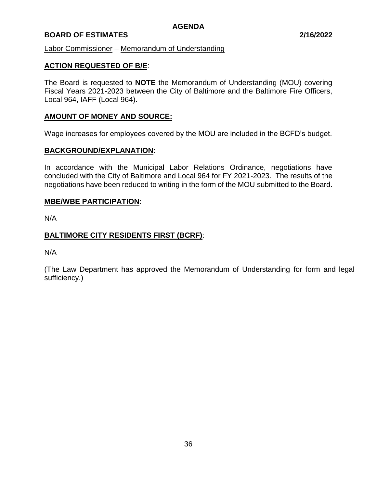## **BOARD OF ESTIMATES 2/16/2022**

Labor Commissioner – Memorandum of Understanding

## **ACTION REQUESTED OF B/E**:

The Board is requested to **NOTE** the Memorandum of Understanding (MOU) covering Fiscal Years 2021-2023 between the City of Baltimore and the Baltimore Fire Officers, Local 964, IAFF (Local 964).

## **AMOUNT OF MONEY AND SOURCE:**

Wage increases for employees covered by the MOU are included in the BCFD's budget.

### **BACKGROUND/EXPLANATION**:

In accordance with the Municipal Labor Relations Ordinance, negotiations have concluded with the City of Baltimore and Local 964 for FY 2021-2023. The results of the negotiations have been reduced to writing in the form of the MOU submitted to the Board.

### **MBE/WBE PARTICIPATION**:

N/A

## **BALTIMORE CITY RESIDENTS FIRST (BCRF)**:

N/A

(The Law Department has approved the Memorandum of Understanding for form and legal sufficiency.)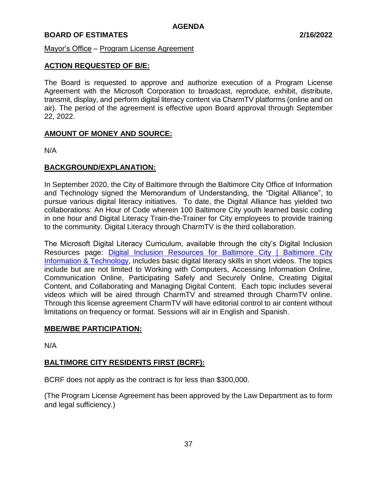## Mayor's Office – Program License Agreement

## **ACTION REQUESTED OF B/E:**

The Board is requested to approve and authorize execution of a Program License Agreement with the Microsoft Corporation to broadcast, reproduce, exhibit, distribute, transmit, display, and perform digital literacy content via CharmTV platforms (online and on air). The period of the agreement is effective upon Board approval through September 22, 2022.

## **AMOUNT OF MONEY AND SOURCE:**

N/A

## **BACKGROUND/EXPLANATION:**

In September 2020, the City of Baltimore through the Baltimore City Office of Information and Technology signed the Memorandum of Understanding, the "Digital Alliance", to pursue various digital literacy initiatives. To date, the Digital Alliance has yielded two collaborations: An Hour of Code wherein 100 Baltimore City youth learned basic coding in one hour and Digital Literacy Train-the-Trainer for City employees to provide training to the community. Digital Literacy through CharmTV is the third collaboration.

The Microsoft Digital Literacy Curriculum, available through the city's Digital Inclusion Resources page: [Digital Inclusion Resources for Baltimore City | Baltimore City](https://technology.baltimorecity.gov/digital-inclusion-resources-baltimore-city)  [Information & Technology,](https://technology.baltimorecity.gov/digital-inclusion-resources-baltimore-city) includes basic digital literacy skills in short videos. The topics include but are not limited to Working with Computers, Accessing Information Online, Communication Online, Participating Safely and Securely Online, Creating Digital Content, and Collaborating and Managing Digital Content. Each topic includes several videos which will be aired through CharmTV and streamed through CharmTV online. Through this license agreement CharmTV will have editorial control to air content without limitations on frequency or format. Sessions will air in English and Spanish.

## **MBE/WBE PARTICIPATION:**

N/A

# **BALTIMORE CITY RESIDENTS FIRST (BCRF):**

BCRF does not apply as the contract is for less than \$300,000.

(The Program License Agreement has been approved by the Law Department as to form and legal sufficiency.)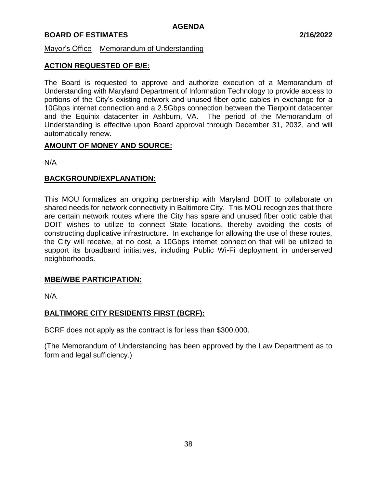## Mayor's Office – Memorandum of Understanding

## **ACTION REQUESTED OF B/E:**

The Board is requested to approve and authorize execution of a Memorandum of Understanding with Maryland Department of Information Technology to provide access to portions of the City's existing network and unused fiber optic cables in exchange for a 10Gbps internet connection and a 2.5Gbps connection between the Tierpoint datacenter and the Equinix datacenter in Ashburn, VA. The period of the Memorandum of Understanding is effective upon Board approval through December 31, 2032, and will automatically renew.

## **AMOUNT OF MONEY AND SOURCE:**

N/A

## **BACKGROUND/EXPLANATION:**

This MOU formalizes an ongoing partnership with Maryland DOIT to collaborate on shared needs for network connectivity in Baltimore City. This MOU recognizes that there are certain network routes where the City has spare and unused fiber optic cable that DOIT wishes to utilize to connect State locations, thereby avoiding the costs of constructing duplicative infrastructure. In exchange for allowing the use of these routes, the City will receive, at no cost, a 10Gbps internet connection that will be utilized to support its broadband initiatives, including Public Wi-Fi deployment in underserved neighborhoods.

## **MBE/WBE PARTICIPATION:**

N/A

## **BALTIMORE CITY RESIDENTS FIRST (BCRF):**

BCRF does not apply as the contract is for less than \$300,000.

(The Memorandum of Understanding has been approved by the Law Department as to form and legal sufficiency.)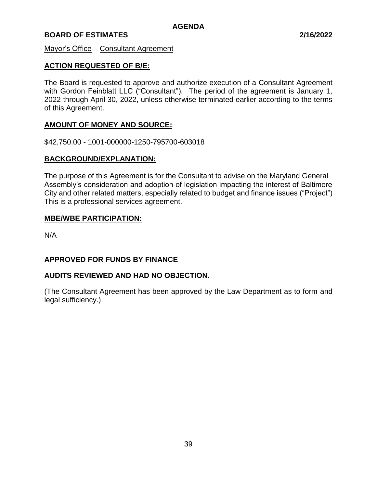Mayor's Office – Consultant Agreement

## **ACTION REQUESTED OF B/E:**

The Board is requested to approve and authorize execution of a Consultant Agreement with Gordon Feinblatt LLC ("Consultant"). The period of the agreement is January 1, 2022 through April 30, 2022, unless otherwise terminated earlier according to the terms of this Agreement.

## **AMOUNT OF MONEY AND SOURCE:**

\$42,750.00 - 1001-000000-1250-795700-603018

## **BACKGROUND/EXPLANATION:**

The purpose of this Agreement is for the Consultant to advise on the Maryland General Assembly's consideration and adoption of legislation impacting the interest of Baltimore City and other related matters, especially related to budget and finance issues ("Project") This is a professional services agreement.

## **MBE/WBE PARTICIPATION:**

N/A

## **APPROVED FOR FUNDS BY FINANCE**

## **AUDITS REVIEWED AND HAD NO OBJECTION.**

(The Consultant Agreement has been approved by the Law Department as to form and legal sufficiency.)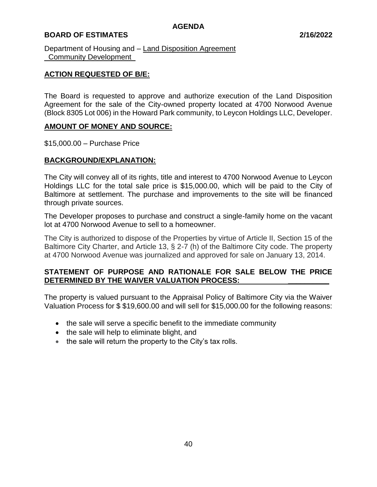## **BOARD OF ESTIMATES 2/16/2022**

Department of Housing and – Land Disposition Agreement Community Development

## **ACTION REQUESTED OF B/E:**

The Board is requested to approve and authorize execution of the Land Disposition Agreement for the sale of the City-owned property located at 4700 Norwood Avenue (Block 8305 Lot 006) in the Howard Park community, to Leycon Holdings LLC, Developer.

## **AMOUNT OF MONEY AND SOURCE:**

\$15,000.00 – Purchase Price

## **BACKGROUND/EXPLANATION:**

The City will convey all of its rights, title and interest to 4700 Norwood Avenue to Leycon Holdings LLC for the total sale price is \$15,000.00, which will be paid to the City of Baltimore at settlement. The purchase and improvements to the site will be financed through private sources.

The Developer proposes to purchase and construct a single-family home on the vacant lot at 4700 Norwood Avenue to sell to a homeowner.

The City is authorized to dispose of the Properties by virtue of Article II, Section 15 of the Baltimore City Charter, and Article 13, § 2-7 (h) of the Baltimore City code. The property at 4700 Norwood Avenue was journalized and approved for sale on January 13, 2014.

## **STATEMENT OF PURPOSE AND RATIONALE FOR SALE BELOW THE PRICE DETERMINED BY THE WAIVER VALUATION PROCESS: \_\_\_\_\_\_\_\_\_\_**

The property is valued pursuant to the Appraisal Policy of Baltimore City via the Waiver Valuation Process for \$ \$19,600.00 and will sell for \$15,000.00 for the following reasons:

- the sale will serve a specific benefit to the immediate community
- the sale will help to eliminate blight, and
- the sale will return the property to the City's tax rolls.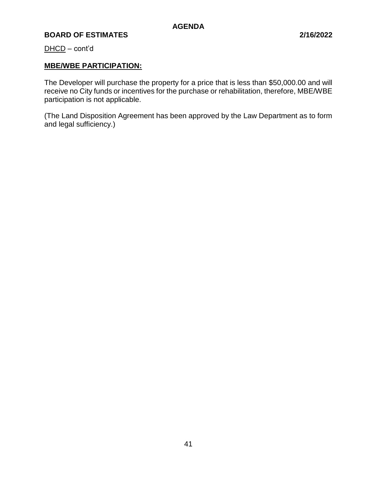DHCD – cont'd

## **MBE/WBE PARTICIPATION:**

The Developer will purchase the property for a price that is less than \$50,000.00 and will receive no City funds or incentives for the purchase or rehabilitation, therefore, MBE/WBE participation is not applicable.

(The Land Disposition Agreement has been approved by the Law Department as to form and legal sufficiency.)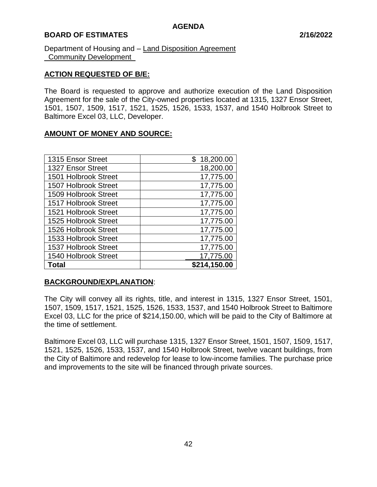## **BOARD OF ESTIMATES 2/16/2022**

Department of Housing and – Land Disposition Agreement Community Development

## **ACTION REQUESTED OF B/E:**

The Board is requested to approve and authorize execution of the Land Disposition Agreement for the sale of the City-owned properties located at 1315, 1327 Ensor Street, 1501, 1507, 1509, 1517, 1521, 1525, 1526, 1533, 1537, and 1540 Holbrook Street to Baltimore Excel 03, LLC, Developer.

## **AMOUNT OF MONEY AND SOURCE:**

| 1315 Ensor Street    | \$18,200.00  |
|----------------------|--------------|
| 1327 Ensor Street    | 18,200.00    |
| 1501 Holbrook Street | 17,775.00    |
| 1507 Holbrook Street | 17,775.00    |
| 1509 Holbrook Street | 17,775.00    |
| 1517 Holbrook Street | 17,775.00    |
| 1521 Holbrook Street | 17,775.00    |
| 1525 Holbrook Street | 17,775.00    |
| 1526 Holbrook Street | 17,775.00    |
| 1533 Holbrook Street | 17,775.00    |
| 1537 Holbrook Street | 17,775.00    |
| 1540 Holbrook Street | 17,775.00    |
| Total                | \$214,150.00 |

## **BACKGROUND/EXPLANATION**:

The City will convey all its rights, title, and interest in 1315, 1327 Ensor Street, 1501, 1507, 1509, 1517, 1521, 1525, 1526, 1533, 1537, and 1540 Holbrook Street to Baltimore Excel 03, LLC for the price of \$214,150.00, which will be paid to the City of Baltimore at the time of settlement.

Baltimore Excel 03, LLC will purchase 1315, 1327 Ensor Street, 1501, 1507, 1509, 1517, 1521, 1525, 1526, 1533, 1537, and 1540 Holbrook Street, twelve vacant buildings, from the City of Baltimore and redevelop for lease to low-income families. The purchase price and improvements to the site will be financed through private sources.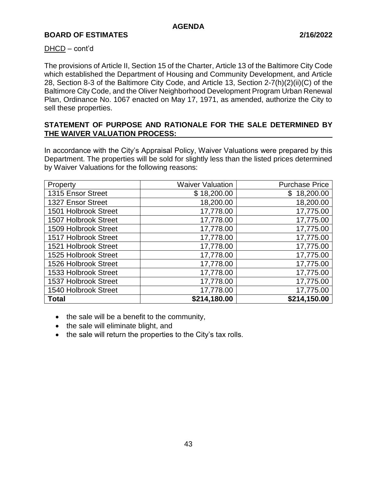## DHCD – cont'd

The provisions of Article II, Section 15 of the Charter, Article 13 of the Baltimore City Code which established the Department of Housing and Community Development, and Article 28, Section 8-3 of the Baltimore City Code, and Article 13, Section 2-7(h)(2)(ii)(C) of the Baltimore City Code, and the Oliver Neighborhood Development Program Urban Renewal Plan, Ordinance No. 1067 enacted on May 17, 1971, as amended, authorize the City to sell these properties.

## **STATEMENT OF PURPOSE AND RATIONALE FOR THE SALE DETERMINED BY THE WAIVER VALUATION PROCESS:**

In accordance with the City's Appraisal Policy, Waiver Valuations were prepared by this Department. The properties will be sold for slightly less than the listed prices determined by Waiver Valuations for the following reasons:

| Property             | <b>Waiver Valuation</b> | <b>Purchase Price</b> |
|----------------------|-------------------------|-----------------------|
| 1315 Ensor Street    | \$18,200.00             | \$18,200.00           |
| 1327 Ensor Street    | 18,200.00               | 18,200.00             |
| 1501 Holbrook Street | 17,778.00               | 17,775.00             |
| 1507 Holbrook Street | 17,778.00               | 17,775.00             |
| 1509 Holbrook Street | 17,778.00               | 17,775.00             |
| 1517 Holbrook Street | 17,778.00               | 17,775.00             |
| 1521 Holbrook Street | 17,778.00               | 17,775.00             |
| 1525 Holbrook Street | 17,778.00               | 17,775.00             |
| 1526 Holbrook Street | 17,778.00               | 17,775.00             |
| 1533 Holbrook Street | 17,778.00               | 17,775.00             |
| 1537 Holbrook Street | 17,778.00               | 17,775.00             |
| 1540 Holbrook Street | 17,778.00               | 17,775.00             |
| <b>Total</b>         | \$214,180.00            | \$214,150.00          |

- the sale will be a benefit to the community,
- the sale will eliminate blight, and
- the sale will return the properties to the City's tax rolls.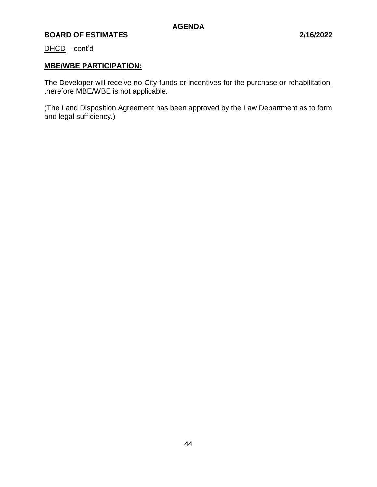DHCD – cont'd

# **MBE/WBE PARTICIPATION:**

The Developer will receive no City funds or incentives for the purchase or rehabilitation, therefore MBE/WBE is not applicable.

(The Land Disposition Agreement has been approved by the Law Department as to form and legal sufficiency.)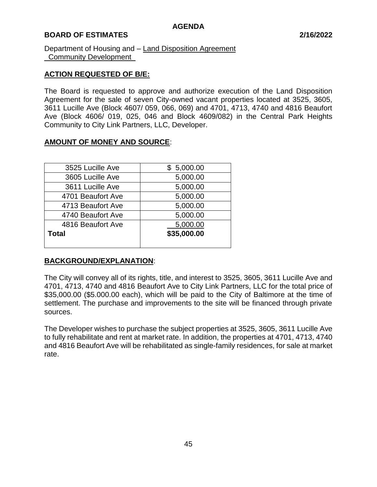## **BOARD OF ESTIMATES 2/16/2022**

Department of Housing and – Land Disposition Agreement Community Development

## **ACTION REQUESTED OF B/E:**

The Board is requested to approve and authorize execution of the Land Disposition Agreement for the sale of seven City-owned vacant properties located at 3525, 3605, 3611 Lucille Ave (Block 4607/ 059, 066, 069) and 4701, 4713, 4740 and 4816 Beaufort Ave (Block 4606/ 019, 025, 046 and Block 4609/082) in the Central Park Heights Community to City Link Partners, LLC, Developer.

## **AMOUNT OF MONEY AND SOURCE**:

| 3525 Lucille Ave  | \$5,000.00  |
|-------------------|-------------|
| 3605 Lucille Ave  | 5,000.00    |
| 3611 Lucille Ave  | 5,000.00    |
| 4701 Beaufort Ave | 5,000.00    |
| 4713 Beaufort Ave | 5,000.00    |
| 4740 Beaufort Ave | 5,000.00    |
| 4816 Beaufort Ave | 5,000.00    |
| <b>Total</b>      | \$35,000.00 |
|                   |             |

## **BACKGROUND/EXPLANATION**:

The City will convey all of its rights, title, and interest to 3525, 3605, 3611 Lucille Ave and 4701, 4713, 4740 and 4816 Beaufort Ave to City Link Partners, LLC for the total price of \$35,000.00 (\$5.000.00 each), which will be paid to the City of Baltimore at the time of settlement. The purchase and improvements to the site will be financed through private sources.

The Developer wishes to purchase the subject properties at 3525, 3605, 3611 Lucille Ave to fully rehabilitate and rent at market rate. In addition, the properties at 4701, 4713, 4740 and 4816 Beaufort Ave will be rehabilitated as single-family residences, for sale at market rate.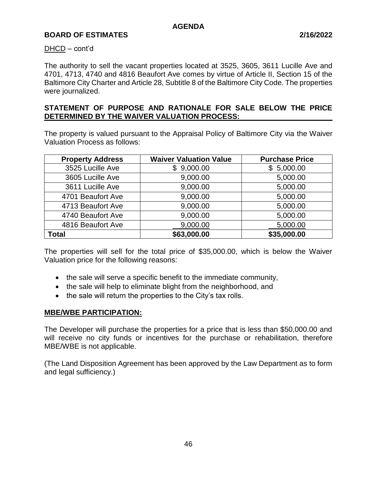### DHCD – cont'd

The authority to sell the vacant properties located at 3525, 3605, 3611 Lucille Ave and 4701, 4713, 4740 and 4816 Beaufort Ave comes by virtue of Article II, Section 15 of the Baltimore City Charter and Article 28, Subtitle 8 of the Baltimore City Code. The properties were journalized.

## **STATEMENT OF PURPOSE AND RATIONALE FOR SALE BELOW THE PRICE DETERMINED BY THE WAIVER VALUATION PROCESS:**

The property is valued pursuant to the Appraisal Policy of Baltimore City via the Waiver Valuation Process as follows:

| <b>Property Address</b> | <b>Waiver Valuation Value</b> | <b>Purchase Price</b> |
|-------------------------|-------------------------------|-----------------------|
| 3525 Lucille Ave        | \$9,000.00                    | \$5,000.00            |
| 3605 Lucille Ave        | 9,000.00                      | 5,000.00              |
| 3611 Lucille Ave        | 9,000.00                      | 5,000.00              |
| 4701 Beaufort Ave       | 9,000.00                      | 5,000.00              |
| 4713 Beaufort Ave       | 9,000.00                      | 5,000.00              |
| 4740 Beaufort Ave       | 9,000.00                      | 5,000.00              |
| 4816 Beaufort Ave       | 9,000.00                      | 5,000.00              |
| <b>Total</b>            | \$63,000.00                   | \$35,000.00           |

The properties will sell for the total price of \$35,000.00, which is below the Waiver Valuation price for the following reasons:

- the sale will serve a specific benefit to the immediate community,
- the sale will help to eliminate blight from the neighborhood, and
- the sale will return the properties to the City's tax rolls.

## **MBE/WBE PARTICIPATION:**

The Developer will purchase the properties for a price that is less than \$50,000.00 and will receive no city funds or incentives for the purchase or rehabilitation, therefore MBE/WBE is not applicable.

(The Land Disposition Agreement has been approved by the Law Department as to form and legal sufficiency.)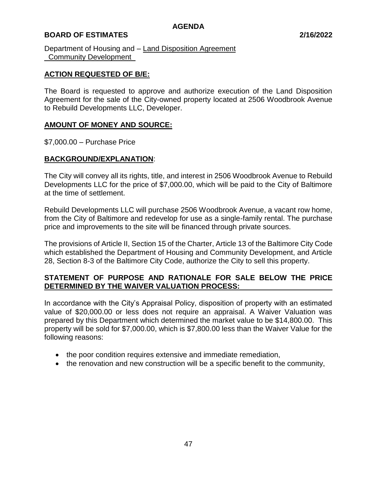## **BOARD OF ESTIMATES 2/16/2022**

Department of Housing and – Land Disposition Agreement Community Development

## **ACTION REQUESTED OF B/E:**

The Board is requested to approve and authorize execution of the Land Disposition Agreement for the sale of the City-owned property located at 2506 Woodbrook Avenue to Rebuild Developments LLC, Developer.

## **AMOUNT OF MONEY AND SOURCE:**

\$7,000.00 – Purchase Price

## **BACKGROUND/EXPLANATION**:

The City will convey all its rights, title, and interest in 2506 Woodbrook Avenue to Rebuild Developments LLC for the price of \$7,000.00, which will be paid to the City of Baltimore at the time of settlement.

Rebuild Developments LLC will purchase 2506 Woodbrook Avenue, a vacant row home, from the City of Baltimore and redevelop for use as a single-family rental. The purchase price and improvements to the site will be financed through private sources.

The provisions of Article II, Section 15 of the Charter, Article 13 of the Baltimore City Code which established the Department of Housing and Community Development, and Article 28, Section 8-3 of the Baltimore City Code, authorize the City to sell this property.

## **STATEMENT OF PURPOSE AND RATIONALE FOR SALE BELOW THE PRICE DETERMINED BY THE WAIVER VALUATION PROCESS:**

In accordance with the City's Appraisal Policy, disposition of property with an estimated value of \$20,000.00 or less does not require an appraisal. A Waiver Valuation was prepared by this Department which determined the market value to be \$14,800.00. This property will be sold for \$7,000.00, which is \$7,800.00 less than the Waiver Value for the following reasons:

- the poor condition requires extensive and immediate remediation,
- the renovation and new construction will be a specific benefit to the community,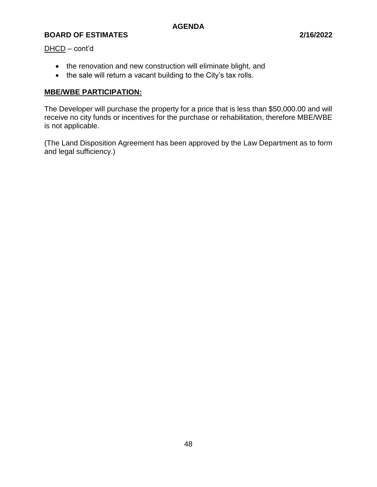DHCD – cont'd

- the renovation and new construction will eliminate blight, and
- the sale will return a vacant building to the City's tax rolls.

# **MBE/WBE PARTICIPATION:**

The Developer will purchase the property for a price that is less than \$50,000.00 and will receive no city funds or incentives for the purchase or rehabilitation, therefore MBE/WBE is not applicable.

(The Land Disposition Agreement has been approved by the Law Department as to form and legal sufficiency.)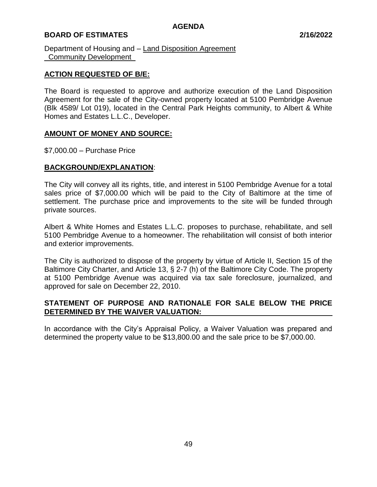## **BOARD OF ESTIMATES 2/16/2022**

Department of Housing and – Land Disposition Agreement Community Development

## **ACTION REQUESTED OF B/E:**

The Board is requested to approve and authorize execution of the Land Disposition Agreement for the sale of the City-owned property located at 5100 Pembridge Avenue (Blk 4589/ Lot 019), located in the Central Park Heights community, to Albert & White Homes and Estates L.L.C., Developer.

## **AMOUNT OF MONEY AND SOURCE:**

\$7,000.00 – Purchase Price

## **BACKGROUND/EXPLANATION**:

The City will convey all its rights, title, and interest in 5100 Pembridge Avenue for a total sales price of \$7,000.00 which will be paid to the City of Baltimore at the time of settlement. The purchase price and improvements to the site will be funded through private sources.

Albert & White Homes and Estates L.L.C. proposes to purchase, rehabilitate, and sell 5100 Pembridge Avenue to a homeowner. The rehabilitation will consist of both interior and exterior improvements.

The City is authorized to dispose of the property by virtue of Article II, Section 15 of the Baltimore City Charter, and Article 13, § 2-7 (h) of the Baltimore City Code. The property at 5100 Pembridge Avenue was acquired via tax sale foreclosure, journalized, and approved for sale on December 22, 2010.

## **STATEMENT OF PURPOSE AND RATIONALE FOR SALE BELOW THE PRICE DETERMINED BY THE WAIVER VALUATION:**

In accordance with the City's Appraisal Policy, a Waiver Valuation was prepared and determined the property value to be \$13,800.00 and the sale price to be \$7,000.00.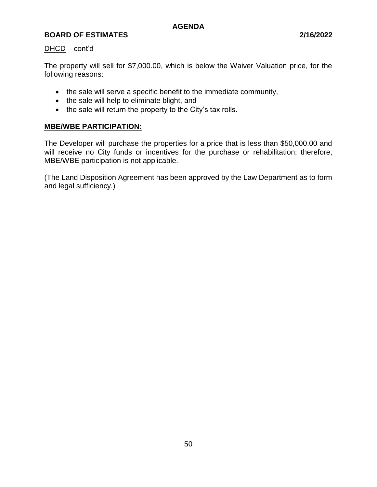## DHCD – cont'd

The property will sell for \$7,000.00, which is below the Waiver Valuation price, for the following reasons:

- the sale will serve a specific benefit to the immediate community,
- the sale will help to eliminate blight, and
- the sale will return the property to the City's tax rolls.

# **MBE/WBE PARTICIPATION:**

The Developer will purchase the properties for a price that is less than \$50,000.00 and will receive no City funds or incentives for the purchase or rehabilitation; therefore, MBE/WBE participation is not applicable.

(The Land Disposition Agreement has been approved by the Law Department as to form and legal sufficiency.)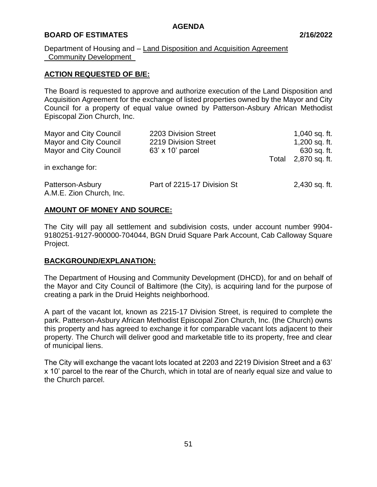## **BOARD OF ESTIMATES 2/16/2022**

## Department of Housing and – Land Disposition and Acquisition Agreement Community Development

## **ACTION REQUESTED OF B/E:**

The Board is requested to approve and authorize execution of the Land Disposition and Acquisition Agreement for the exchange of listed properties owned by the Mayor and City Council for a property of equal value owned by Patterson-Asbury African Methodist Episcopal Zion Church, Inc.

| Mayor and City Council                       | 2203 Division Street        |       | 1,040 sq. ft. |
|----------------------------------------------|-----------------------------|-------|---------------|
| <b>Mayor and City Council</b>                | 2219 Division Street        |       | 1,200 sq. ft. |
| <b>Mayor and City Council</b>                | 63' x 10' parcel            |       | 630 sq. ft.   |
|                                              |                             | Total | 2,870 sq. ft. |
| in exchange for:                             |                             |       |               |
| Patterson-Asbury<br>A.M.E. Zion Church, Inc. | Part of 2215-17 Division St |       | 2,430 sq. ft. |

## **AMOUNT OF MONEY AND SOURCE:**

The City will pay all settlement and subdivision costs, under account number 9904- 9180251-9127-900000-704044, BGN Druid Square Park Account, Cab Calloway Square Project.

## **BACKGROUND/EXPLANATION:**

The Department of Housing and Community Development (DHCD), for and on behalf of the Mayor and City Council of Baltimore (the City), is acquiring land for the purpose of creating a park in the Druid Heights neighborhood.

A part of the vacant lot, known as 2215-17 Division Street, is required to complete the park. Patterson-Asbury African Methodist Episcopal Zion Church, Inc. (the Church) owns this property and has agreed to exchange it for comparable vacant lots adjacent to their property. The Church will deliver good and marketable title to its property, free and clear of municipal liens.

The City will exchange the vacant lots located at 2203 and 2219 Division Street and a 63' x 10' parcel to the rear of the Church, which in total are of nearly equal size and value to the Church parcel.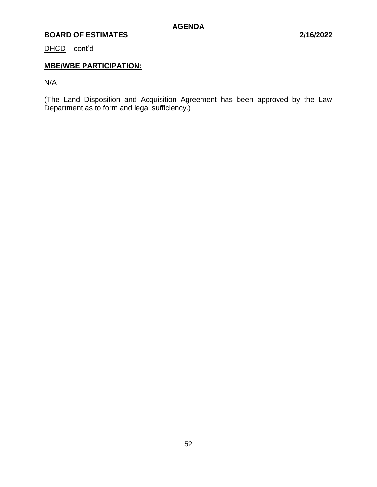DHCD – cont'd

# **MBE/WBE PARTICIPATION:**

N/A

(The Land Disposition and Acquisition Agreement has been approved by the Law Department as to form and legal sufficiency.)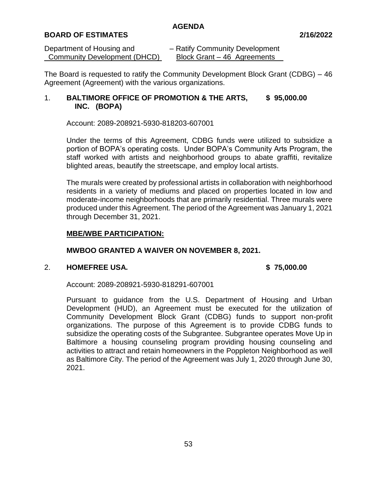## **BOARD OF ESTIMATES 2/16/2022**

| Department of Housing and    | - Ratify Community Development |
|------------------------------|--------------------------------|
| Community Development (DHCD) | Block Grant – 46 Agreements    |

The Board is requested to ratify the Community Development Block Grant (CDBG) – 46 Agreement (Agreement) with the various organizations.

## 1. **BALTIMORE OFFICE OF PROMOTION & THE ARTS, \$ 95,000.00 INC. (BOPA)**

Account: 2089-208921-5930-818203-607001

Under the terms of this Agreement, CDBG funds were utilized to subsidize a portion of BOPA's operating costs. Under BOPA's Community Arts Program, the staff worked with artists and neighborhood groups to abate graffiti, revitalize blighted areas, beautify the streetscape, and employ local artists.

The murals were created by professional artists in collaboration with neighborhood residents in a variety of mediums and placed on properties located in low and moderate-income neighborhoods that are primarily residential. Three murals were produced under this Agreement. The period of the Agreement was January 1, 2021 through December 31, 2021.

## **MBE/WBE PARTICIPATION:**

## **MWBOO GRANTED A WAIVER ON NOVEMBER 8, 2021.**

## 2. **HOMEFREE USA. \$ 75,000.00**

Account: 2089-208921-5930-818291-607001

Pursuant to guidance from the U.S. Department of Housing and Urban Development (HUD), an Agreement must be executed for the utilization of Community Development Block Grant (CDBG) funds to support non-profit organizations. The purpose of this Agreement is to provide CDBG funds to subsidize the operating costs of the Subgrantee. Subgrantee operates Move Up in Baltimore a housing counseling program providing housing counseling and activities to attract and retain homeowners in the Poppleton Neighborhood as well as Baltimore City. The period of the Agreement was July 1, 2020 through June 30, 2021.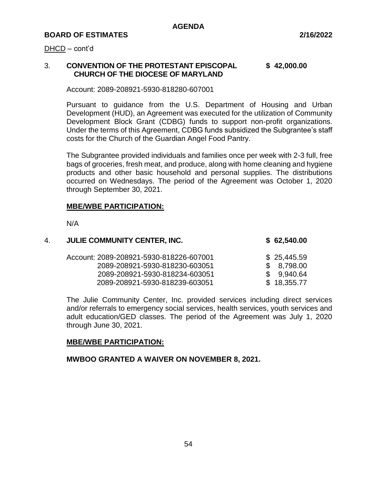#### DHCD – cont'd

## 3. **CONVENTION OF THE PROTESTANT EPISCOPAL \$ 42,000.00 CHURCH OF THE DIOCESE OF MARYLAND**

Account: 2089-208921-5930-818280-607001

Pursuant to guidance from the U.S. Department of Housing and Urban Development (HUD), an Agreement was executed for the utilization of Community Development Block Grant (CDBG) funds to support non-profit organizations. Under the terms of this Agreement, CDBG funds subsidized the Subgrantee's staff costs for the Church of the Guardian Angel Food Pantry.

The Subgrantee provided individuals and families once per week with 2-3 full, free bags of groceries, fresh meat, and produce, along with home cleaning and hygiene products and other basic household and personal supplies. The distributions occurred on Wednesdays. The period of the Agreement was October 1, 2020 through September 30, 2021.

### **MBE/WBE PARTICIPATION:**

N/A

| 4. | <b>JULIE COMMUNITY CENTER, INC.</b>     | \$62,540.00 |
|----|-----------------------------------------|-------------|
|    | Account: 2089-208921-5930-818226-607001 | \$25,445.59 |
|    | 2089-208921-5930-818230-603051          | \$8,798.00  |
|    | 2089-208921-5930-818234-603051          | \$9.940.64  |
|    | 2089-208921-5930-818239-603051          | \$18,355.77 |

The Julie Community Center, Inc. provided services including direct services and/or referrals to emergency social services, health services, youth services and adult education/GED classes. The period of the Agreement was July 1, 2020 through June 30, 2021.

## **MBE/WBE PARTICIPATION:**

**MWBOO GRANTED A WAIVER ON NOVEMBER 8, 2021.**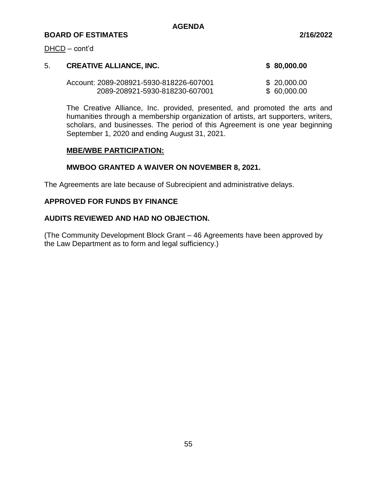#### DHCD – cont'd

| 5. | <b>CREATIVE ALLIANCE, INC.</b>          | \$80,000.00  |
|----|-----------------------------------------|--------------|
|    | Account: 2089-208921-5930-818226-607001 | \$ 20,000.00 |
|    | 2089-208921-5930-818230-607001          | \$60,000.00  |

The Creative Alliance, Inc. provided, presented, and promoted the arts and humanities through a membership organization of artists, art supporters, writers, scholars, and businesses. The period of this Agreement is one year beginning September 1, 2020 and ending August 31, 2021.

## **MBE/WBE PARTICIPATION:**

## **MWBOO GRANTED A WAIVER ON NOVEMBER 8, 2021.**

The Agreements are late because of Subrecipient and administrative delays.

## **APPROVED FOR FUNDS BY FINANCE**

## **AUDITS REVIEWED AND HAD NO OBJECTION.**

(The Community Development Block Grant – 46 Agreements have been approved by the Law Department as to form and legal sufficiency.)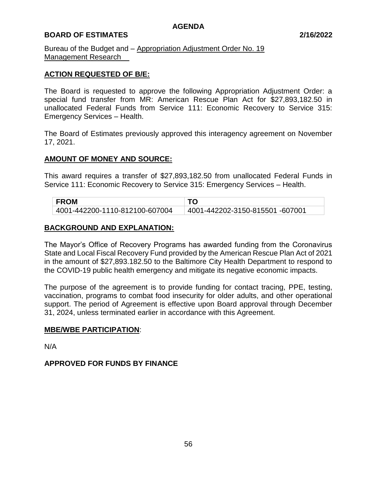## **BOARD OF ESTIMATES 2/16/2022**

Bureau of the Budget and – Appropriation Adjustment Order No. 19 Management Research\_\_

## **ACTION REQUESTED OF B/E:**

The Board is requested to approve the following Appropriation Adjustment Order: a special fund transfer from MR: American Rescue Plan Act for \$27,893,182.50 in unallocated Federal Funds from Service 111: Economic Recovery to Service 315: Emergency Services – Health.

The Board of Estimates previously approved this interagency agreement on November 17, 2021.

## **AMOUNT OF MONEY AND SOURCE:**

This award requires a transfer of \$27,893,182.50 from unallocated Federal Funds in Service 111: Economic Recovery to Service 315: Emergency Services – Health.

| <b>FROM</b>                    |                                 |
|--------------------------------|---------------------------------|
| 4001-442200-1110-812100-607004 | 4001-442202-3150-815501 -607001 |

## **BACKGROUND AND EXPLANATION:**

The Mayor's Office of Recovery Programs has awarded funding from the Coronavirus State and Local Fiscal Recovery Fund provided by the American Rescue Plan Act of 2021 in the amount of \$27,893.182.50 to the Baltimore City Health Department to respond to the COVID-19 public health emergency and mitigate its negative economic impacts.

The purpose of the agreement is to provide funding for contact tracing, PPE, testing, vaccination, programs to combat food insecurity for older adults, and other operational support. The period of Agreement is effective upon Board approval through December 31, 2024, unless terminated earlier in accordance with this Agreement.

## **MBE/WBE PARTICIPATION**:

N/A

## **APPROVED FOR FUNDS BY FINANCE**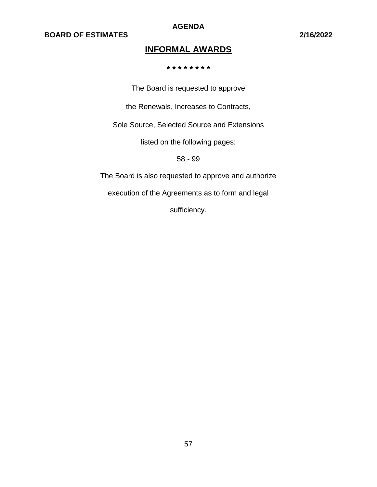**AGENDA**

# **INFORMAL AWARDS**

**\* \* \* \* \* \* \* \***

The Board is requested to approve

the Renewals, Increases to Contracts,

Sole Source, Selected Source and Extensions

listed on the following pages:

58 - 99

The Board is also requested to approve and authorize

execution of the Agreements as to form and legal

sufficiency.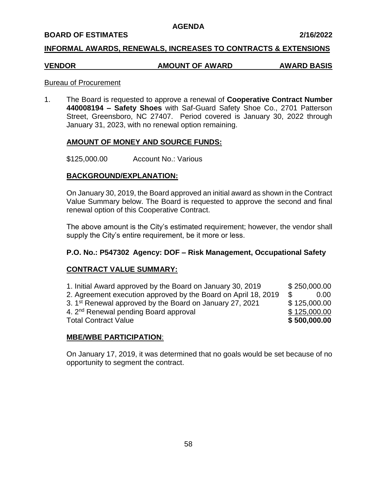### **BOARD OF ESTIMATES 2/16/2022**

## **INFORMAL AWARDS, RENEWALS, INCREASES TO CONTRACTS & EXTENSIONS**

# **VENDOR AMOUNT OF AWARD AWARD BASIS**

### Bureau of Procurement

1. The Board is requested to approve a renewal of **Cooperative Contract Number 440008194 – Safety Shoes** with Saf-Guard Safety Shoe Co., 2701 Patterson Street, Greensboro, NC 27407. Period covered is January 30, 2022 through January 31, 2023, with no renewal option remaining.

## **AMOUNT OF MONEY AND SOURCE FUNDS:**

\$125,000.00 Account No.: Various

## **BACKGROUND/EXPLANATION:**

On January 30, 2019, the Board approved an initial award as shown in the Contract Value Summary below. The Board is requested to approve the second and final renewal option of this Cooperative Contract.

The above amount is the City's estimated requirement; however, the vendor shall supply the City's entire requirement, be it more or less.

## **P.O. No.: P547302 Agency: DOF – Risk Management, Occupational Safety**

## **CONTRACT VALUE SUMMARY:**

1. Initial Award approved by the Board on January 30, 2019 \$ 250,000.00 2. Agreement execution approved by the Board on April 18, 2019 \$ 0.00 3. 1<sup>st</sup> Renewal approved by the Board on January 27, 2021  $$ 125,000.00$ 4. 2<sup>nd</sup> Renewal pending Board approval **6 and 5** 125,000.00 Total Contract Value **\$ 500,000.00**

## **MBE/WBE PARTICIPATION**:

On January 17, 2019, it was determined that no goals would be set because of no opportunity to segment the contract.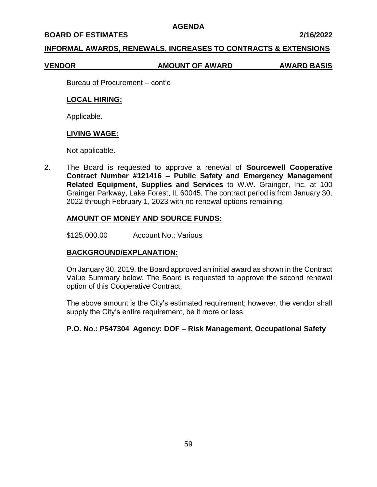#### **BOARD OF ESTIMATES 2/16/2022**

## **INFORMAL AWARDS, RENEWALS, INCREASES TO CONTRACTS & EXTENSIONS**

#### **VENDOR AMOUNT OF AWARD AWARD BASIS**

Bureau of Procurement – cont'd

### **LOCAL HIRING:**

Applicable.

## **LIVING WAGE:**

Not applicable.

2. The Board is requested to approve a renewal of **Sourcewell Cooperative Contract Number #121416 – Public Safety and Emergency Management Related Equipment, Supplies and Services** to W.W. Grainger, Inc. at 100 Grainger Parkway, Lake Forest, IL 60045. The contract period is from January 30, 2022 through February 1, 2023 with no renewal options remaining.

## **AMOUNT OF MONEY AND SOURCE FUNDS:**

\$125,000.00 Account No.: Various

## **BACKGROUND/EXPLANATION:**

On January 30, 2019, the Board approved an initial award as shown in the Contract Value Summary below. The Board is requested to approve the second renewal option of this Cooperative Contract.

The above amount is the City's estimated requirement; however, the vendor shall supply the City's entire requirement, be it more or less.

## **P.O. No.: P547304 Agency: DOF – Risk Management, Occupational Safety**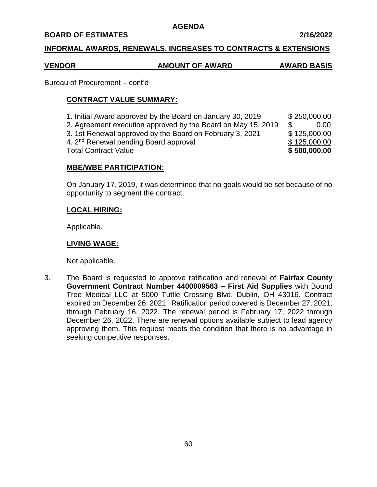### **BOARD OF ESTIMATES 2/16/2022**

## **INFORMAL AWARDS, RENEWALS, INCREASES TO CONTRACTS & EXTENSIONS**

# **VENDOR AMOUNT OF AWARD AWARD BASIS**

# Bureau of Procurement – cont'd

# **CONTRACT VALUE SUMMARY:**

1. Initial Award approved by the Board on January 30, 2019 \$ 250,000.00 2. Agreement execution approved by the Board on May 15, 2019 \$ 0.00 3. 1st Renewal approved by the Board on February 3, 2021 \$ 125,000.00 4. 2<sup>nd</sup> Renewal pending Board approval **\$125,000.00** \$125,000.00 Total Contract Value **\$ 500,000.00**

# **MBE/WBE PARTICIPATION**:

On January 17, 2019, it was determined that no goals would be set because of no opportunity to segment the contract.

# **LOCAL HIRING:**

Applicable.

# **LIVING WAGE:**

Not applicable.

3. The Board is requested to approve ratification and renewal of **Fairfax County Government Contract Number 4400009563 – First Aid Supplies** with Bound Tree Medical LLC at 5000 Tuttle Crossing Blvd, Dublin, OH 43016. Contract expired on December 26, 2021. Ratification period covered is December 27, 2021, through February 16, 2022. The renewal period is February 17, 2022 through December 26, 2022. There are renewal options available subject to lead agency approving them. This request meets the condition that there is no advantage in seeking competitive responses.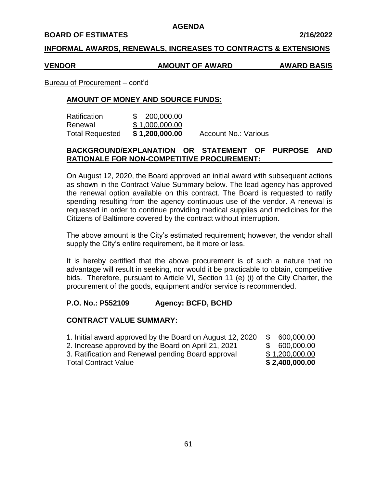#### **BOARD OF ESTIMATES 2/16/2022**

## **INFORMAL AWARDS, RENEWALS, INCREASES TO CONTRACTS & EXTENSIONS**

## **VENDOR AMOUNT OF AWARD AWARD BASIS**

Bureau of Procurement – cont'd

# **AMOUNT OF MONEY AND SOURCE FUNDS:**

| Ratification           | \$ 200,000.00  |                             |
|------------------------|----------------|-----------------------------|
| Renewal                | \$1,000,000.00 |                             |
| <b>Total Requested</b> | \$1,200,000.00 | <b>Account No.: Various</b> |

# **BACKGROUND/EXPLANATION OR STATEMENT OF PURPOSE AND RATIONALE FOR NON-COMPETITIVE PROCUREMENT:**

On August 12, 2020, the Board approved an initial award with subsequent actions as shown in the Contract Value Summary below. The lead agency has approved the renewal option available on this contract. The Board is requested to ratify spending resulting from the agency continuous use of the vendor. A renewal is requested in order to continue providing medical supplies and medicines for the Citizens of Baltimore covered by the contract without interruption.

The above amount is the City's estimated requirement; however, the vendor shall supply the City's entire requirement, be it more or less.

It is hereby certified that the above procurement is of such a nature that no advantage will result in seeking, nor would it be practicable to obtain, competitive bids. Therefore, pursuant to Article VI, Section 11 (e) (i) of the City Charter, the procurement of the goods, equipment and/or service is recommended.

# **P.O. No.: P552109 Agency: BCFD, BCHD**

# **CONTRACT VALUE SUMMARY:**

| 1. Initial award approved by the Board on August 12, 2020<br>2. Increase approved by the Board on April 21, 2021<br>3. Ratification and Renewal pending Board approval<br><b>Total Contract Value</b> | -S<br>600,000.00<br>\$600,000.00<br>\$1,200,000.00<br>\$2,400,000.00 |
|-------------------------------------------------------------------------------------------------------------------------------------------------------------------------------------------------------|----------------------------------------------------------------------|
|-------------------------------------------------------------------------------------------------------------------------------------------------------------------------------------------------------|----------------------------------------------------------------------|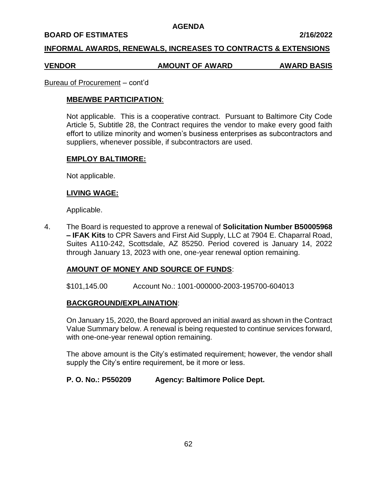### **BOARD OF ESTIMATES 2/16/2022**

## **INFORMAL AWARDS, RENEWALS, INCREASES TO CONTRACTS & EXTENSIONS**

#### **VENDOR AMOUNT OF AWARD AWARD BASIS**

#### Bureau of Procurement – cont'd

## **MBE/WBE PARTICIPATION**:

Not applicable. This is a cooperative contract. Pursuant to Baltimore City Code Article 5, Subtitle 28, the Contract requires the vendor to make every good faith effort to utilize minority and women's business enterprises as subcontractors and suppliers, whenever possible, if subcontractors are used.

### **EMPLOY BALTIMORE:**

Not applicable.

### **LIVING WAGE:**

Applicable.

4. The Board is requested to approve a renewal of **Solicitation Number B50005968 – IFAK Kits** to CPR Savers and First Aid Supply, LLC at 7904 E. Chaparral Road, Suites A110-242, Scottsdale, AZ 85250. Period covered is January 14, 2022 through January 13, 2023 with one, one-year renewal option remaining.

## **AMOUNT OF MONEY AND SOURCE OF FUNDS**:

\$101,145.00 Account No.: 1001-000000-2003-195700-604013

## **BACKGROUND/EXPLAINATION**:

On January 15, 2020, the Board approved an initial award as shown in the Contract Value Summary below. A renewal is being requested to continue services forward, with one-one-year renewal option remaining.

The above amount is the City's estimated requirement; however, the vendor shall supply the City's entire requirement, be it more or less.

## **P. O. No.: P550209 Agency: Baltimore Police Dept.**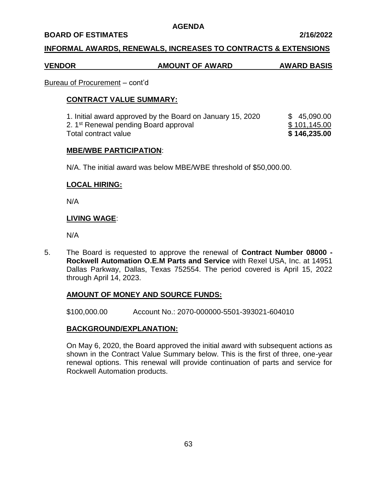### **BOARD OF ESTIMATES 2/16/2022**

## **INFORMAL AWARDS, RENEWALS, INCREASES TO CONTRACTS & EXTENSIONS**

# **VENDOR AMOUNT OF AWARD AWARD BASIS**

## Bureau of Procurement – cont'd

## **CONTRACT VALUE SUMMARY:**

1. Initial award approved by the Board on January 15, 2020 \$ 45,090.00 2. 1<sup>st</sup> Renewal pending Board approval **\$ 101,145.00** Total contract value **\$ 146,235.00**

### **MBE/WBE PARTICIPATION**:

N/A. The initial award was below MBE/WBE threshold of \$50,000.00.

## **LOCAL HIRING:**

N/A

## **LIVING WAGE**:

N/A

5. The Board is requested to approve the renewal of **Contract Number 08000 - Rockwell Automation O.E.M Parts and Service** with Rexel USA, Inc. at 14951 Dallas Parkway, Dallas, Texas 752554. The period covered is April 15, 2022 through April 14, 2023.

## **AMOUNT OF MONEY AND SOURCE FUNDS:**

\$100,000.00 Account No.: 2070-000000-5501-393021-604010

## **BACKGROUND/EXPLANATION:**

On May 6, 2020, the Board approved the initial award with subsequent actions as shown in the Contract Value Summary below. This is the first of three, one-year renewal options. This renewal will provide continuation of parts and service for Rockwell Automation products.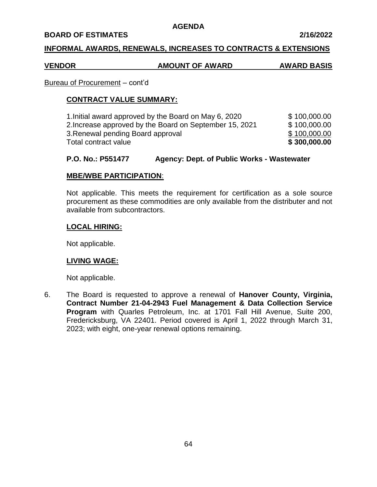#### **BOARD OF ESTIMATES 2/16/2022**

## **INFORMAL AWARDS, RENEWALS, INCREASES TO CONTRACTS & EXTENSIONS**

#### **VENDOR AMOUNT OF AWARD AWARD BASIS**

#### Bureau of Procurement – cont'd

## **CONTRACT VALUE SUMMARY:**

| 1. Initial award approved by the Board on May 6, 2020   | \$100,000.00 |
|---------------------------------------------------------|--------------|
| 2. Increase approved by the Board on September 15, 2021 | \$100,000.00 |
| 3. Renewal pending Board approval                       | \$100,000.00 |
| Total contract value                                    | \$300,000.00 |

## **P.O. No.: P551477 Agency: Dept. of Public Works - Wastewater**

## **MBE/WBE PARTICIPATION**:

Not applicable. This meets the requirement for certification as a sole source procurement as these commodities are only available from the distributer and not available from subcontractors.

### **LOCAL HIRING:**

Not applicable.

## **LIVING WAGE:**

Not applicable.

6. The Board is requested to approve a renewal of **Hanover County, Virginia, Contract Number 21-04-2943 Fuel Management & Data Collection Service Program** with Quarles Petroleum, Inc. at 1701 Fall Hill Avenue, Suite 200, Fredericksburg, VA 22401. Period covered is April 1, 2022 through March 31, 2023; with eight, one-year renewal options remaining.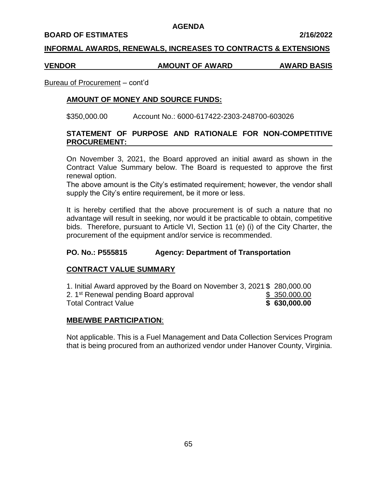#### **BOARD OF ESTIMATES 2/16/2022**

## **INFORMAL AWARDS, RENEWALS, INCREASES TO CONTRACTS & EXTENSIONS**

## **VENDOR AMOUNT OF AWARD AWARD BASIS**

# Bureau of Procurement – cont'd

# **AMOUNT OF MONEY AND SOURCE FUNDS:**

\$350,000.00 Account No.: 6000-617422-2303-248700-603026

# **STATEMENT OF PURPOSE AND RATIONALE FOR NON-COMPETITIVE PROCUREMENT:**

On November 3, 2021, the Board approved an initial award as shown in the Contract Value Summary below. The Board is requested to approve the first renewal option.

The above amount is the City's estimated requirement; however, the vendor shall supply the City's entire requirement, be it more or less.

It is hereby certified that the above procurement is of such a nature that no advantage will result in seeking, nor would it be practicable to obtain, competitive bids. Therefore, pursuant to Article VI, Section 11 (e) (i) of the City Charter, the procurement of the equipment and/or service is recommended.

# **PO. No.: P555815 Agency: Department of Transportation**

# **CONTRACT VALUE SUMMARY**

1. Initial Award approved by the Board on November 3, 2021 \$ 280,000.00 2. 1<sup>st</sup> Renewal pending Board approval **\$** 350.000.00 Total Contract Value **\$ 630,000.00**

# **MBE/WBE PARTICIPATION**:

Not applicable. This is a Fuel Management and Data Collection Services Program that is being procured from an authorized vendor under Hanover County, Virginia.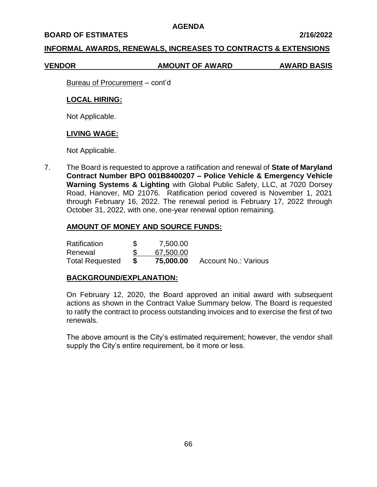#### **BOARD OF ESTIMATES 2/16/2022**

## **INFORMAL AWARDS, RENEWALS, INCREASES TO CONTRACTS & EXTENSIONS**

#### **VENDOR AMOUNT OF AWARD AWARD BASIS**

Bureau of Procurement – cont'd

## **LOCAL HIRING:**

Not Applicable.

## **LIVING WAGE:**

Not Applicable.

7. The Board is requested to approve a ratification and renewal of **State of Maryland Contract Number BPO 001B8400207 – Police Vehicle & Emergency Vehicle Warning Systems & Lighting** with Global Public Safety, LLC, at 7020 Dorsey Road, Hanover, MD 21076. Ratification period covered is November 1, 2021 through February 16, 2022. The renewal period is February 17, 2022 through October 31, 2022, with one, one-year renewal option remaining.

## **AMOUNT OF MONEY AND SOURCE FUNDS:**

| Ratification           | 7,500.00  |                             |
|------------------------|-----------|-----------------------------|
| Renewal                | 67,500.00 |                             |
| <b>Total Requested</b> | 75,000.00 | <b>Account No.: Various</b> |

## **BACKGROUND/EXPLANATION:**

On February 12, 2020, the Board approved an initial award with subsequent actions as shown in the Contract Value Summary below. The Board is requested to ratify the contract to process outstanding invoices and to exercise the first of two renewals.

The above amount is the City's estimated requirement; however, the vendor shall supply the City's entire requirement, be it more or less.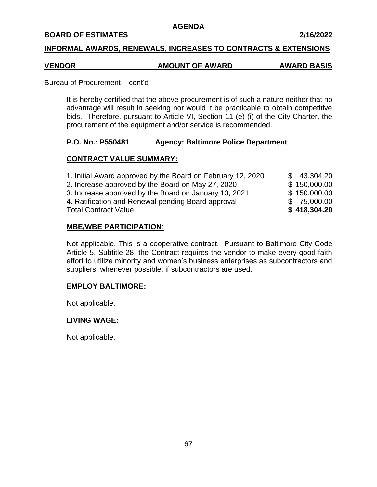### **BOARD OF ESTIMATES 2/16/2022**

## **INFORMAL AWARDS, RENEWALS, INCREASES TO CONTRACTS & EXTENSIONS**

#### **VENDOR AMOUNT OF AWARD AWARD BASIS**

#### Bureau of Procurement – cont'd

It is hereby certified that the above procurement is of such a nature neither that no advantage will result in seeking nor would it be practicable to obtain competitive bids. Therefore, pursuant to Article VI, Section 11 (e) (i) of the City Charter, the procurement of the equipment and/or service is recommended.

## **P.O. No.: P550481 Agency: Baltimore Police Department**

## **CONTRACT VALUE SUMMARY:**

| 1. Initial Award approved by the Board on February 12, 2020 | \$43,304.20  |
|-------------------------------------------------------------|--------------|
| 2. Increase approved by the Board on May 27, 2020           | \$150,000.00 |
| 3. Increase approved by the Board on January 13, 2021       | \$150,000.00 |
| 4. Ratification and Renewal pending Board approval          | \$75,000.00  |
| <b>Total Contract Value</b>                                 | \$418,304.20 |

## **MBE/WBE PARTICIPATION**:

Not applicable. This is a cooperative contract. Pursuant to Baltimore City Code Article 5, Subtitle 28, the Contract requires the vendor to make every good faith effort to utilize minority and women's business enterprises as subcontractors and suppliers, whenever possible, if subcontractors are used.

## **EMPLOY BALTIMORE:**

Not applicable.

## **LIVING WAGE:**

Not applicable.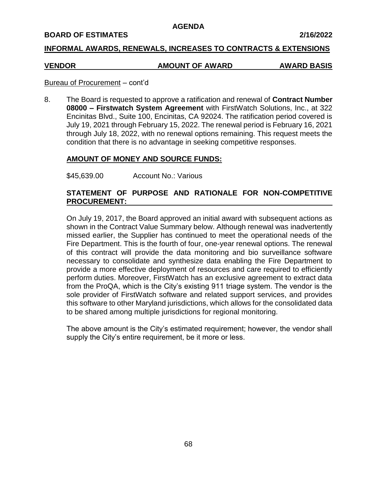#### **BOARD OF ESTIMATES 2/16/2022**

## **INFORMAL AWARDS, RENEWALS, INCREASES TO CONTRACTS & EXTENSIONS**

#### **VENDOR AMOUNT OF AWARD AWARD BASIS**

### Bureau of Procurement – cont'd

8. The Board is requested to approve a ratification and renewal of **Contract Number 08000 – Firstwatch System Agreement** with FirstWatch Solutions, Inc., at 322 Encinitas Blvd., Suite 100, Encinitas, CA 92024. The ratification period covered is July 19, 2021 through February 15, 2022. The renewal period is February 16, 2021 through July 18, 2022, with no renewal options remaining. This request meets the condition that there is no advantage in seeking competitive responses.

## **AMOUNT OF MONEY AND SOURCE FUNDS:**

\$45,639.00 Account No.: Various

## **STATEMENT OF PURPOSE AND RATIONALE FOR NON-COMPETITIVE PROCUREMENT:**

On July 19, 2017, the Board approved an initial award with subsequent actions as shown in the Contract Value Summary below. Although renewal was inadvertently missed earlier, the Supplier has continued to meet the operational needs of the Fire Department. This is the fourth of four, one-year renewal options. The renewal of this contract will provide the data monitoring and bio surveillance software necessary to consolidate and synthesize data enabling the Fire Department to provide a more effective deployment of resources and care required to efficiently perform duties. Moreover, FirstWatch has an exclusive agreement to extract data from the ProQA, which is the City's existing 911 triage system. The vendor is the sole provider of FirstWatch software and related support services, and provides this software to other Maryland jurisdictions, which allows for the consolidated data to be shared among multiple jurisdictions for regional monitoring.

The above amount is the City's estimated requirement; however, the vendor shall supply the City's entire requirement, be it more or less.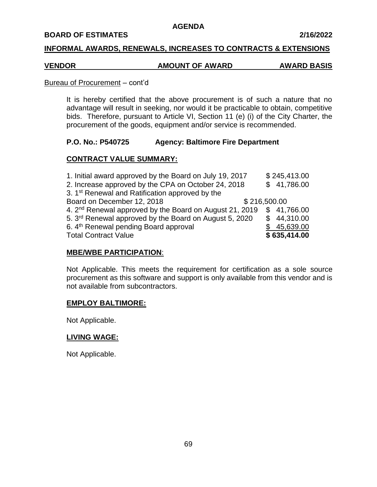### **BOARD OF ESTIMATES 2/16/2022**

## **INFORMAL AWARDS, RENEWALS, INCREASES TO CONTRACTS & EXTENSIONS**

### **VENDOR AMOUNT OF AWARD AWARD BASIS**

#### Bureau of Procurement – cont'd

It is hereby certified that the above procurement is of such a nature that no advantage will result in seeking, nor would it be practicable to obtain, competitive bids. Therefore, pursuant to Article VI, Section 11 (e) (i) of the City Charter, the procurement of the goods, equipment and/or service is recommended.

## **P.O. No.: P540725 Agency: Baltimore Fire Department**

## **CONTRACT VALUE SUMMARY:**

| 1. Initial award approved by the Board on July 19, 2017             | \$245,413.00 |
|---------------------------------------------------------------------|--------------|
| 2. Increase approved by the CPA on October 24, 2018                 | \$41,786.00  |
| 3. 1 <sup>st</sup> Renewal and Ratification approved by the         |              |
| Board on December 12, 2018<br>\$216,500.00                          |              |
| 4. 2 <sup>nd</sup> Renewal approved by the Board on August 21, 2019 | \$41,766.00  |
| 5. 3 <sup>rd</sup> Renewal approved by the Board on August 5, 2020  | \$44,310.00  |
| 6. 4th Renewal pending Board approval                               | \$45,639.00  |
| <b>Total Contract Value</b>                                         | \$635,414.00 |

## **MBE/WBE PARTICIPATION**:

Not Applicable. This meets the requirement for certification as a sole source procurement as this software and support is only available from this vendor and is not available from subcontractors.

## **EMPLOY BALTIMORE:**

Not Applicable.

## **LIVING WAGE:**

Not Applicable.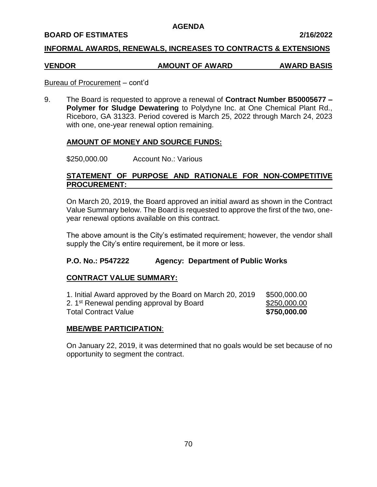## **BOARD OF ESTIMATES 2/16/2022**

## **INFORMAL AWARDS, RENEWALS, INCREASES TO CONTRACTS & EXTENSIONS**

# **VENDOR AMOUNT OF AWARD AWARD BASIS**

### Bureau of Procurement – cont'd

9. The Board is requested to approve a renewal of **Contract Number B50005677 – Polymer for Sludge Dewatering** to Polydyne Inc. at One Chemical Plant Rd., Riceboro, GA 31323. Period covered is March 25, 2022 through March 24, 2023 with one, one-year renewal option remaining.

## **AMOUNT OF MONEY AND SOURCE FUNDS:**

\$250,000.00 Account No.: Various

# **STATEMENT OF PURPOSE AND RATIONALE FOR NON-COMPETITIVE PROCUREMENT:**

On March 20, 2019, the Board approved an initial award as shown in the Contract Value Summary below. The Board is requested to approve the first of the two, oneyear renewal options available on this contract.

The above amount is the City's estimated requirement; however, the vendor shall supply the City's entire requirement, be it more or less.

## **P.O. No.: P547222 Agency: Department of Public Works**

## **CONTRACT VALUE SUMMARY:**

| 1. Initial Award approved by the Board on March 20, 2019 | \$500,000.00 |
|----------------------------------------------------------|--------------|
| 2. 1 <sup>st</sup> Renewal pending approval by Board     | \$250,000.00 |
| <b>Total Contract Value</b>                              | \$750,000.00 |

## **MBE/WBE PARTICIPATION**:

On January 22, 2019, it was determined that no goals would be set because of no opportunity to segment the contract.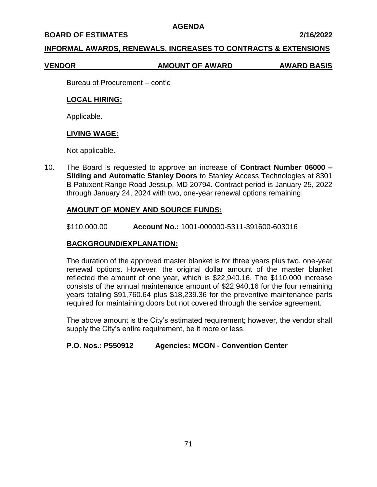#### **BOARD OF ESTIMATES 2/16/2022**

## **INFORMAL AWARDS, RENEWALS, INCREASES TO CONTRACTS & EXTENSIONS**

#### **VENDOR AMOUNT OF AWARD AWARD BASIS**

Bureau of Procurement – cont'd

## **LOCAL HIRING:**

Applicable.

## **LIVING WAGE:**

Not applicable.

10. The Board is requested to approve an increase of **Contract Number 06000 – Sliding and Automatic Stanley Doors** to Stanley Access Technologies at 8301 B Patuxent Range Road Jessup, MD 20794. Contract period is January 25, 2022 through January 24, 2024 with two, one-year renewal options remaining.

## **AMOUNT OF MONEY AND SOURCE FUNDS:**

\$110,000.00 **Account No.:** 1001-000000-5311-391600-603016

## **BACKGROUND/EXPLANATION:**

The duration of the approved master blanket is for three years plus two, one-year renewal options. However, the original dollar amount of the master blanket reflected the amount of one year, which is \$22,940.16. The \$110,000 increase consists of the annual maintenance amount of \$22,940.16 for the four remaining years totaling \$91,760.64 plus \$18,239.36 for the preventive maintenance parts required for maintaining doors but not covered through the service agreement.

The above amount is the City's estimated requirement; however, the vendor shall supply the City's entire requirement, be it more or less.

## **P.O. Nos.: P550912 Agencies: MCON - Convention Center**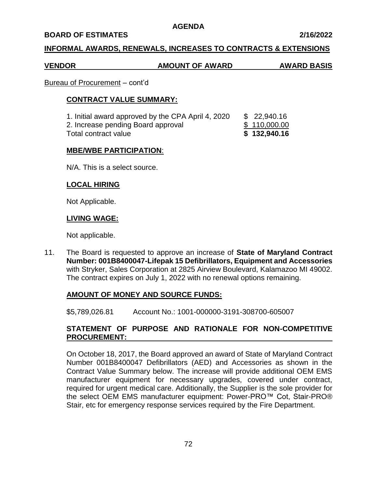### **BOARD OF ESTIMATES 2/16/2022**

## **INFORMAL AWARDS, RENEWALS, INCREASES TO CONTRACTS & EXTENSIONS**

## **VENDOR AMOUNT OF AWARD AWARD BASIS**

#### Bureau of Procurement – cont'd

### **CONTRACT VALUE SUMMARY:**

| 1. Initial award approved by the CPA April 4, 2020 | \$22,940.16  |
|----------------------------------------------------|--------------|
| 2. Increase pending Board approval                 | \$110,000.00 |
| Total contract value                               | \$132,940.16 |

### **MBE/WBE PARTICIPATION**:

N/A. This is a select source.

### **LOCAL HIRING**

Not Applicable.

## **LIVING WAGE:**

Not applicable.

11. The Board is requested to approve an increase of **State of Maryland Contract Number: 001B8400047-Lifepak 15 Defibrillators, Equipment and Accessories**  with Stryker, Sales Corporation at 2825 Airview Boulevard, Kalamazoo MI 49002. The contract expires on July 1, 2022 with no renewal options remaining.

#### **AMOUNT OF MONEY AND SOURCE FUNDS:**

\$5,789,026.81 Account No.: 1001-000000-3191-308700-605007

# **STATEMENT OF PURPOSE AND RATIONALE FOR NON-COMPETITIVE PROCUREMENT:**

On October 18, 2017, the Board approved an award of State of Maryland Contract Number 001B8400047 Defibrillators (AED) and Accessories as shown in the Contract Value Summary below. The increase will provide additional OEM EMS manufacturer equipment for necessary upgrades, covered under contract, required for urgent medical care. Additionally, the Supplier is the sole provider for the select OEM EMS manufacturer equipment: Power-PRO™ Cot, Stair-PRO® Stair, etc for emergency response services required by the Fire Department.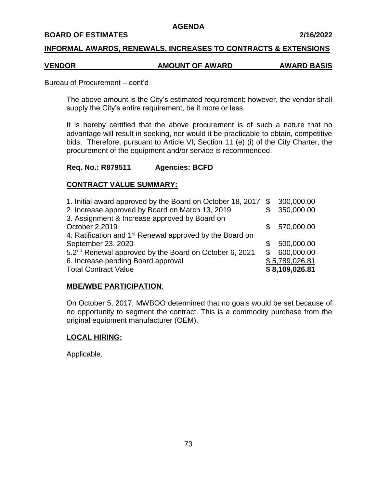#### **BOARD OF ESTIMATES 2/16/2022**

## **INFORMAL AWARDS, RENEWALS, INCREASES TO CONTRACTS & EXTENSIONS**

# **VENDOR AMOUNT OF AWARD AWARD BASIS**

#### Bureau of Procurement – cont'd

The above amount is the City's estimated requirement; however, the vendor shall supply the City's entire requirement, be it more or less.

It is hereby certified that the above procurement is of such a nature that no advantage will result in seeking, nor would it be practicable to obtain, competitive bids. Therefore, pursuant to Article VI, Section 11 (e) (i) of the City Charter, the procurement of the equipment and/or service is recommended.

## **Req. No.: R879511 Agencies: BCFD**

## **CONTRACT VALUE SUMMARY:**

| 1. Initial award approved by the Board on October 18, 2017           | \$  | 300,000.00     |
|----------------------------------------------------------------------|-----|----------------|
| 2. Increase approved by Board on March 13, 2019                      |     | 350,000.00     |
| 3. Assignment & Increase approved by Board on                        |     |                |
| October 2,2019                                                       | \$. | 570,000.00     |
| 4. Ratification and 1 <sup>st</sup> Renewal approved by the Board on |     |                |
| September 23, 2020                                                   | S   | 500,000.00     |
| 5.2 <sup>nd</sup> Renewal approved by the Board on October 6, 2021   | \$  | 600,000.00     |
| 6. Increase pending Board approval                                   |     | \$5,789,026.81 |
| <b>Total Contract Value</b>                                          |     | \$8,109,026.81 |

## **MBE/WBE PARTICIPATION**:

On October 5, 2017, MWBOO determined that no goals would be set because of no opportunity to segment the contract. This is a commodity purchase from the original equipment manufacturer (OEM).

## **LOCAL HIRING:**

Applicable.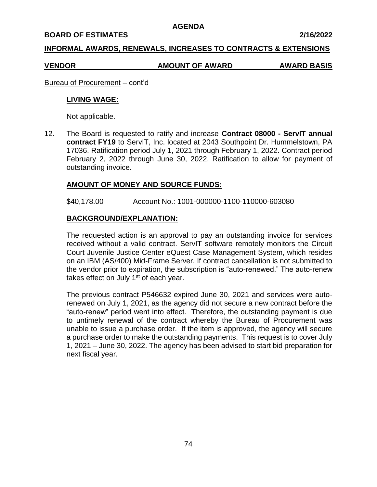#### **BOARD OF ESTIMATES 2/16/2022**

## **INFORMAL AWARDS, RENEWALS, INCREASES TO CONTRACTS & EXTENSIONS**

#### **VENDOR AMOUNT OF AWARD AWARD BASIS**

Bureau of Procurement – cont'd

#### **LIVING WAGE:**

Not applicable.

12. The Board is requested to ratify and increase **Contract 08000 - ServIT annual contract FY19** to ServIT, Inc. located at 2043 Southpoint Dr. Hummelstown, PA 17036. Ratification period July 1, 2021 through February 1, 2022. Contract period February 2, 2022 through June 30, 2022. Ratification to allow for payment of outstanding invoice.

## **AMOUNT OF MONEY AND SOURCE FUNDS:**

\$40,178.00 Account No.: 1001-000000-1100-110000-603080

## **BACKGROUND/EXPLANATION:**

The requested action is an approval to pay an outstanding invoice for services received without a valid contract. ServIT software remotely monitors the Circuit Court Juvenile Justice Center eQuest Case Management System, which resides on an IBM (AS/400) Mid-Frame Server. If contract cancellation is not submitted to the vendor prior to expiration, the subscription is "auto-renewed." The auto-renew takes effect on July  $1<sup>st</sup>$  of each year.

The previous contract P546632 expired June 30, 2021 and services were autorenewed on July 1, 2021, as the agency did not secure a new contract before the "auto-renew" period went into effect. Therefore, the outstanding payment is due to untimely renewal of the contract whereby the Bureau of Procurement was unable to issue a purchase order. If the item is approved, the agency will secure a purchase order to make the outstanding payments. This request is to cover July 1, 2021 – June 30, 2022. The agency has been advised to start bid preparation for next fiscal year.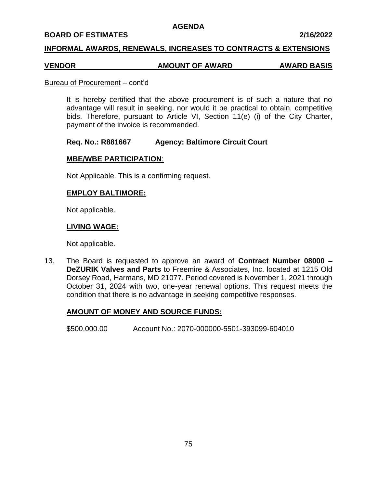#### **BOARD OF ESTIMATES 2/16/2022**

## **INFORMAL AWARDS, RENEWALS, INCREASES TO CONTRACTS & EXTENSIONS**

# **VENDOR AMOUNT OF AWARD AWARD BASIS**

#### Bureau of Procurement – cont'd

It is hereby certified that the above procurement is of such a nature that no advantage will result in seeking, nor would it be practical to obtain, competitive bids. Therefore, pursuant to Article VI, Section 11(e) (i) of the City Charter, payment of the invoice is recommended.

### **Req. No.: R881667 Agency: Baltimore Circuit Court**

## **MBE/WBE PARTICIPATION**:

Not Applicable. This is a confirming request.

### **EMPLOY BALTIMORE:**

Not applicable.

### **LIVING WAGE:**

Not applicable.

13. The Board is requested to approve an award of **Contract Number 08000 – DeZURIK Valves and Parts** to Freemire & Associates, Inc. located at 1215 Old Dorsey Road, Harmans, MD 21077. Period covered is November 1, 2021 through October 31, 2024 with two, one-year renewal options. This request meets the condition that there is no advantage in seeking competitive responses.

## **AMOUNT OF MONEY AND SOURCE FUNDS:**

\$500,000.00 Account No.: 2070-000000-5501-393099-604010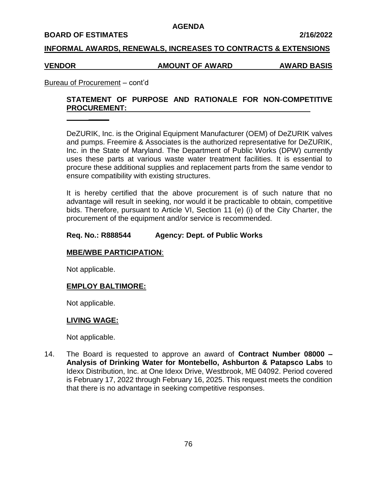#### **BOARD OF ESTIMATES 2/16/2022**

## **INFORMAL AWARDS, RENEWALS, INCREASES TO CONTRACTS & EXTENSIONS**

#### **VENDOR AMOUNT OF AWARD AWARD BASIS**

## Bureau of Procurement – cont'd

**\_\_\_\_\_**

# **STATEMENT OF PURPOSE AND RATIONALE FOR NON-COMPETITIVE PROCUREMENT:**

DeZURIK, Inc. is the Original Equipment Manufacturer (OEM) of DeZURIK valves and pumps. Freemire & Associates is the authorized representative for DeZURIK, Inc. in the State of Maryland. The Department of Public Works (DPW) currently uses these parts at various waste water treatment facilities. It is essential to procure these additional supplies and replacement parts from the same vendor to ensure compatibility with existing structures.

It is hereby certified that the above procurement is of such nature that no advantage will result in seeking, nor would it be practicable to obtain, competitive bids. Therefore, pursuant to Article VI, Section 11 (e) (i) of the City Charter, the procurement of the equipment and/or service is recommended.

### **Req. No.: R888544 Agency: Dept. of Public Works**

## **MBE/WBE PARTICIPATION**:

Not applicable.

## **EMPLOY BALTIMORE:**

Not applicable.

#### **LIVING WAGE:**

Not applicable.

14. The Board is requested to approve an award of **Contract Number 08000 – Analysis of Drinking Water for Montebello, Ashburton & Patapsco Labs** to Idexx Distribution, Inc. at One Idexx Drive, Westbrook, ME 04092. Period covered is February 17, 2022 through February 16, 2025. This request meets the condition that there is no advantage in seeking competitive responses.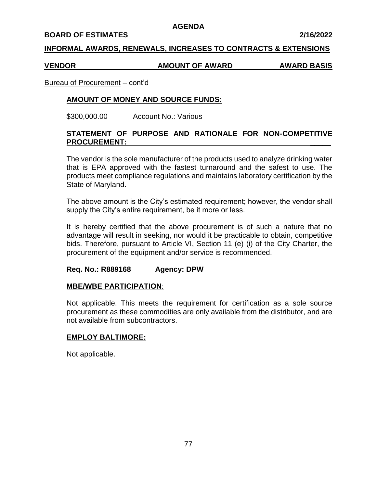#### **BOARD OF ESTIMATES 2/16/2022**

## **INFORMAL AWARDS, RENEWALS, INCREASES TO CONTRACTS & EXTENSIONS**

#### **VENDOR AMOUNT OF AWARD AWARD BASIS**

#### Bureau of Procurement – cont'd

## **AMOUNT OF MONEY AND SOURCE FUNDS:**

\$300,000.00 Account No.: Various

## **STATEMENT OF PURPOSE AND RATIONALE FOR NON-COMPETITIVE PROCUREMENT: \_\_\_\_\_**

The vendor is the sole manufacturer of the products used to analyze drinking water that is EPA approved with the fastest turnaround and the safest to use. The products meet compliance regulations and maintains laboratory certification by the State of Maryland.

The above amount is the City's estimated requirement; however, the vendor shall supply the City's entire requirement, be it more or less.

It is hereby certified that the above procurement is of such a nature that no advantage will result in seeking, nor would it be practicable to obtain, competitive bids. Therefore, pursuant to Article VI, Section 11 (e) (i) of the City Charter, the procurement of the equipment and/or service is recommended.

## **Req. No.: R889168 Agency: DPW**

#### **MBE/WBE PARTICIPATION**:

Not applicable. This meets the requirement for certification as a sole source procurement as these commodities are only available from the distributor, and are not available from subcontractors.

#### **EMPLOY BALTIMORE:**

Not applicable.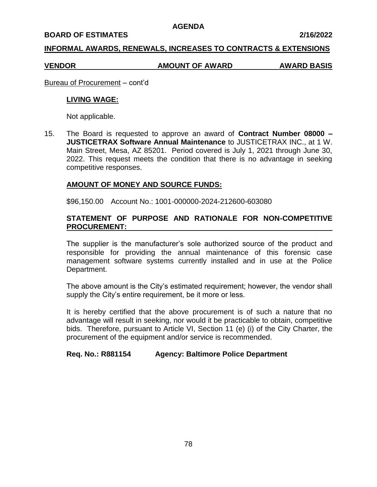#### **BOARD OF ESTIMATES 2/16/2022**

## **INFORMAL AWARDS, RENEWALS, INCREASES TO CONTRACTS & EXTENSIONS**

### **VENDOR AMOUNT OF AWARD AWARD BASIS**

Bureau of Procurement – cont'd

### **LIVING WAGE:**

Not applicable.

15. The Board is requested to approve an award of **Contract Number 08000 – JUSTICETRAX Software Annual Maintenance** to JUSTICETRAX INC., at 1 W. Main Street, Mesa, AZ 85201. Period covered is July 1, 2021 through June 30, 2022. This request meets the condition that there is no advantage in seeking competitive responses.

## **AMOUNT OF MONEY AND SOURCE FUNDS:**

\$96,150.00 Account No.: 1001-000000-2024-212600-603080

# **STATEMENT OF PURPOSE AND RATIONALE FOR NON-COMPETITIVE PROCUREMENT:**

The supplier is the manufacturer's sole authorized source of the product and responsible for providing the annual maintenance of this forensic case management software systems currently installed and in use at the Police Department.

The above amount is the City's estimated requirement; however, the vendor shall supply the City's entire requirement, be it more or less.

It is hereby certified that the above procurement is of such a nature that no advantage will result in seeking, nor would it be practicable to obtain, competitive bids. Therefore, pursuant to Article VI, Section 11 (e) (i) of the City Charter, the procurement of the equipment and/or service is recommended.

## **Req. No.: R881154 Agency: Baltimore Police Department**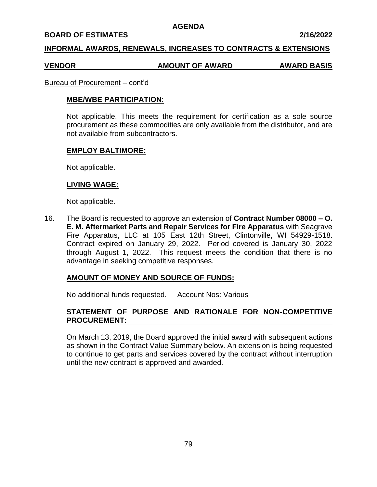#### **BOARD OF ESTIMATES 2/16/2022**

### **INFORMAL AWARDS, RENEWALS, INCREASES TO CONTRACTS & EXTENSIONS**

#### **VENDOR AMOUNT OF AWARD AWARD BASIS**

#### Bureau of Procurement – cont'd

### **MBE/WBE PARTICIPATION**:

Not applicable. This meets the requirement for certification as a sole source procurement as these commodities are only available from the distributor, and are not available from subcontractors.

### **EMPLOY BALTIMORE:**

Not applicable.

### **LIVING WAGE:**

Not applicable.

16. The Board is requested to approve an extension of **Contract Number 08000 – O. E. M. Aftermarket Parts and Repair Services for Fire Apparatus** with Seagrave Fire Apparatus, LLC at 105 East 12th Street, Clintonville, WI 54929-1518. Contract expired on January 29, 2022. Period covered is January 30, 2022 through August 1, 2022. This request meets the condition that there is no advantage in seeking competitive responses.

## **AMOUNT OF MONEY AND SOURCE OF FUNDS:**

No additional funds requested. Account Nos: Various

# **STATEMENT OF PURPOSE AND RATIONALE FOR NON-COMPETITIVE PROCUREMENT:**

On March 13, 2019, the Board approved the initial award with subsequent actions as shown in the Contract Value Summary below. An extension is being requested to continue to get parts and services covered by the contract without interruption until the new contract is approved and awarded.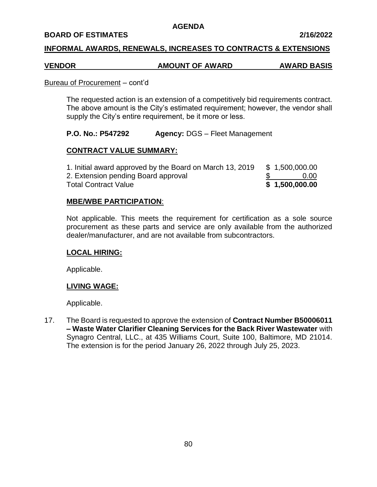## **BOARD OF ESTIMATES 2/16/2022**

## **INFORMAL AWARDS, RENEWALS, INCREASES TO CONTRACTS & EXTENSIONS**

# **VENDOR AMOUNT OF AWARD AWARD BASIS**

#### Bureau of Procurement – cont'd

The requested action is an extension of a competitively bid requirements contract. The above amount is the City's estimated requirement; however, the vendor shall supply the City's entire requirement, be it more or less.

## **P.O. No.: P547292 Agency:** DGS – Fleet Management

## **CONTRACT VALUE SUMMARY:**

1. Initial award approved by the Board on March 13, 2019  $$ 1,500,000.00$ 2. Extension pending Board approval \$ 0.00 Total Contract Value **\$ 1,500,000.00**

## **MBE/WBE PARTICIPATION**:

Not applicable. This meets the requirement for certification as a sole source procurement as these parts and service are only available from the authorized dealer/manufacturer, and are not available from subcontractors.

## **LOCAL HIRING:**

Applicable.

## **LIVING WAGE:**

Applicable.

17. The Board is requested to approve the extension of **Contract Number B50006011 – Waste Water Clarifier Cleaning Services for the Back River Wastewater** with Synagro Central, LLC., at 435 Williams Court, Suite 100, Baltimore, MD 21014. The extension is for the period January 26, 2022 through July 25, 2023.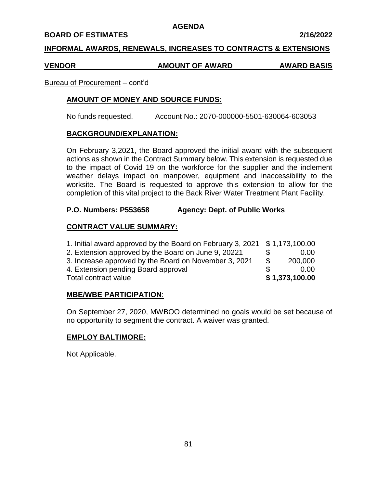#### **BOARD OF ESTIMATES 2/16/2022**

## **INFORMAL AWARDS, RENEWALS, INCREASES TO CONTRACTS & EXTENSIONS**

#### **VENDOR AMOUNT OF AWARD AWARD BASIS**

### Bureau of Procurement – cont'd

## **AMOUNT OF MONEY AND SOURCE FUNDS:**

No funds requested. Account No.: 2070-000000-5501-630064-603053

### **BACKGROUND/EXPLANATION:**

On February 3,2021, the Board approved the initial award with the subsequent actions as shown in the Contract Summary below. This extension is requested due to the impact of Covid 19 on the workforce for the supplier and the inclement weather delays impact on manpower, equipment and inaccessibility to the worksite. The Board is requested to approve this extension to allow for the completion of this vital project to the Back River Water Treatment Plant Facility.

## **P.O. Numbers: P553658 Agency: Dept. of Public Works**

## **CONTRACT VALUE SUMMARY:**

| 1. Initial award approved by the Board on February 3, 2021 \$1,173,100.00 |                |
|---------------------------------------------------------------------------|----------------|
| 2. Extension approved by the Board on June 9, 20221                       | 0.00           |
| 3. Increase approved by the Board on November 3, 2021                     | \$<br>200,000  |
| 4. Extension pending Board approval                                       | 0.00           |
| Total contract value                                                      | \$1,373,100.00 |

#### **MBE/WBE PARTICIPATION**:

On September 27, 2020, MWBOO determined no goals would be set because of no opportunity to segment the contract. A waiver was granted.

## **EMPLOY BALTIMORE:**

Not Applicable.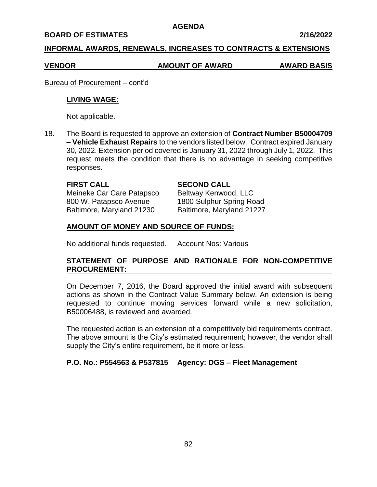#### **BOARD OF ESTIMATES 2/16/2022**

## **INFORMAL AWARDS, RENEWALS, INCREASES TO CONTRACTS & EXTENSIONS**

## **VENDOR AMOUNT OF AWARD AWARD BASIS**

Bureau of Procurement – cont'd

### **LIVING WAGE:**

Not applicable.

18. The Board is requested to approve an extension of **Contract Number B50004709 – Vehicle Exhaust Repairs** to the vendors listed below. Contract expired January 30, 2022. Extension period covered is January 31, 2022 through July 1, 2022. This request meets the condition that there is no advantage in seeking competitive responses.

### **FIRST CALL SECOND CALL**

Meineke Car Care Patapsco Beltway Kenwood, LLC 800 W. Patapsco Avenue 1800 Sulphur Spring Road

Baltimore, Maryland 21230 Baltimore, Maryland 21227

## **AMOUNT OF MONEY AND SOURCE OF FUNDS:**

No additional funds requested. Account Nos: Various

# **STATEMENT OF PURPOSE AND RATIONALE FOR NON-COMPETITIVE PROCUREMENT:**

On December 7, 2016, the Board approved the initial award with subsequent actions as shown in the Contract Value Summary below. An extension is being requested to continue moving services forward while a new solicitation, B50006488, is reviewed and awarded.

The requested action is an extension of a competitively bid requirements contract. The above amount is the City's estimated requirement; however, the vendor shall supply the City's entire requirement, be it more or less.

## **P.O. No.: P554563 & P537815 Agency: DGS – Fleet Management**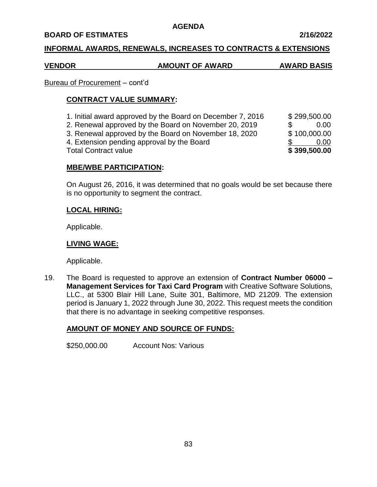## **BOARD OF ESTIMATES 2/16/2022**

## **INFORMAL AWARDS, RENEWALS, INCREASES TO CONTRACTS & EXTENSIONS**

# **VENDOR AMOUNT OF AWARD AWARD BASIS**

# Bureau of Procurement – cont'd

# **CONTRACT VALUE SUMMARY:**

1. Initial award approved by the Board on December 7, 2016 \$ 299,500.00 2. Renewal approved by the Board on November 20, 2019 \$ 0.00 3. Renewal approved by the Board on November 18, 2020 \$100,000.00 4. Extension pending approval by the Board  $\$\$$  0.00 Total Contract value **\$ 399,500.00** 

# **MBE/WBE PARTICIPATION:**

On August 26, 2016, it was determined that no goals would be set because there is no opportunity to segment the contract.

# **LOCAL HIRING:**

Applicable.

## **LIVING WAGE:**

Applicable.

19. The Board is requested to approve an extension of **Contract Number 06000 – Management Services for Taxi Card Program** with Creative Software Solutions, LLC., at 5300 Blair Hill Lane, Suite 301, Baltimore, MD 21209. The extension period is January 1, 2022 through June 30, 2022. This request meets the condition that there is no advantage in seeking competitive responses.

# **AMOUNT OF MONEY AND SOURCE OF FUNDS:**

\$250,000.00 Account Nos: Various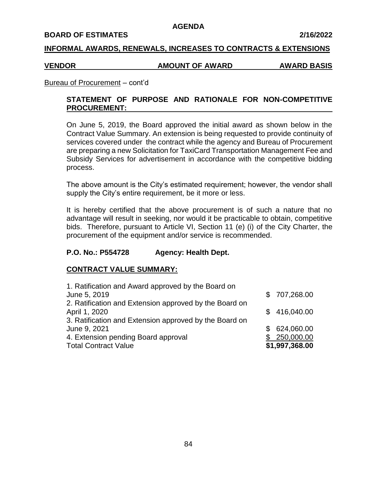#### **BOARD OF ESTIMATES 2/16/2022**

### **INFORMAL AWARDS, RENEWALS, INCREASES TO CONTRACTS & EXTENSIONS**

#### **VENDOR AMOUNT OF AWARD AWARD BASIS**

### Bureau of Procurement – cont'd

# **STATEMENT OF PURPOSE AND RATIONALE FOR NON-COMPETITIVE PROCUREMENT:**

On June 5, 2019, the Board approved the initial award as shown below in the Contract Value Summary. An extension is being requested to provide continuity of services covered under the contract while the agency and Bureau of Procurement are preparing a new Solicitation for TaxiCard Transportation Management Fee and Subsidy Services for advertisement in accordance with the competitive bidding process.

The above amount is the City's estimated requirement; however, the vendor shall supply the City's entire requirement, be it more or less.

It is hereby certified that the above procurement is of such a nature that no advantage will result in seeking, nor would it be practicable to obtain, competitive bids. Therefore, pursuant to Article VI, Section 11 (e) (i) of the City Charter, the procurement of the equipment and/or service is recommended.

## **P.O. No.: P554728 Agency: Health Dept.**

## **CONTRACT VALUE SUMMARY:**

| 1. Ratification and Award approved by the Board on     |                |
|--------------------------------------------------------|----------------|
| June 5, 2019                                           | \$707,268.00   |
| 2. Ratification and Extension approved by the Board on |                |
| April 1, 2020                                          | \$416,040.00   |
| 3. Ratification and Extension approved by the Board on |                |
| June 9, 2021                                           | \$624,060.00   |
| 4. Extension pending Board approval                    | 250,000.00     |
| <b>Total Contract Value</b>                            | \$1,997,368.00 |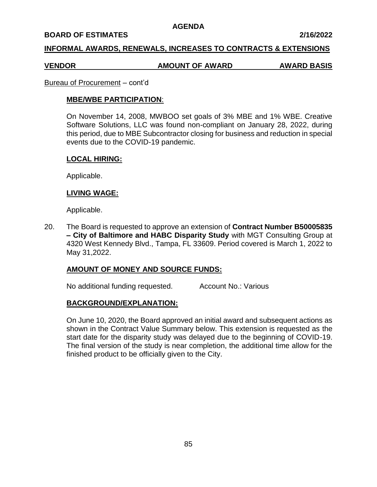#### **BOARD OF ESTIMATES 2/16/2022**

## **INFORMAL AWARDS, RENEWALS, INCREASES TO CONTRACTS & EXTENSIONS**

#### **VENDOR AMOUNT OF AWARD AWARD BASIS**

#### Bureau of Procurement – cont'd

## **MBE/WBE PARTICIPATION**:

On November 14, 2008, MWBOO set goals of 3% MBE and 1% WBE. Creative Software Solutions, LLC was found non-compliant on January 28, 2022, during this period, due to MBE Subcontractor closing for business and reduction in special events due to the COVID-19 pandemic.

## **LOCAL HIRING:**

Applicable.

### **LIVING WAGE:**

#### Applicable.

20. The Board is requested to approve an extension of **Contract Number B50005835 – City of Baltimore and HABC Disparity Study** with MGT Consulting Group at 4320 West Kennedy Blvd., Tampa, FL 33609. Period covered is March 1, 2022 to May 31,2022.

#### **AMOUNT OF MONEY AND SOURCE FUNDS:**

No additional funding requested. Account No.: Various

## **BACKGROUND/EXPLANATION:**

On June 10, 2020, the Board approved an initial award and subsequent actions as shown in the Contract Value Summary below. This extension is requested as the start date for the disparity study was delayed due to the beginning of COVID-19. The final version of the study is near completion, the additional time allow for the finished product to be officially given to the City.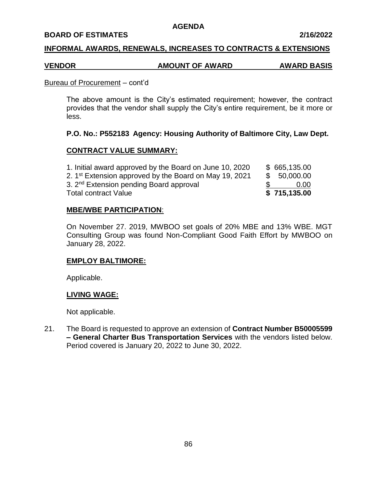#### **BOARD OF ESTIMATES 2/16/2022**

### **INFORMAL AWARDS, RENEWALS, INCREASES TO CONTRACTS & EXTENSIONS**

# **VENDOR AMOUNT OF AWARD AWARD BASIS**

#### Bureau of Procurement – cont'd

The above amount is the City's estimated requirement; however, the contract provides that the vendor shall supply the City's entire requirement, be it more or less.

## **P.O. No.: P552183 Agency: Housing Authority of Baltimore City, Law Dept.**

### **CONTRACT VALUE SUMMARY:**

| <b>Total contract Value</b>                                        | \$715,135.00 |
|--------------------------------------------------------------------|--------------|
| 3. 2 <sup>nd</sup> Extension pending Board approval                | 0.00         |
| 2. 1 <sup>st</sup> Extension approved by the Board on May 19, 2021 | \$ 50,000.00 |
| 1. Initial award approved by the Board on June 10, 2020            | \$665,135.00 |

### **MBE/WBE PARTICIPATION**:

On November 27. 2019, MWBOO set goals of 20% MBE and 13% WBE. MGT Consulting Group was found Non-Compliant Good Faith Effort by MWBOO on January 28, 2022.

#### **EMPLOY BALTIMORE:**

Applicable.

#### **LIVING WAGE:**

Not applicable.

21. The Board is requested to approve an extension of **Contract Number B50005599 – General Charter Bus Transportation Services** with the vendors listed below. Period covered is January 20, 2022 to June 30, 2022.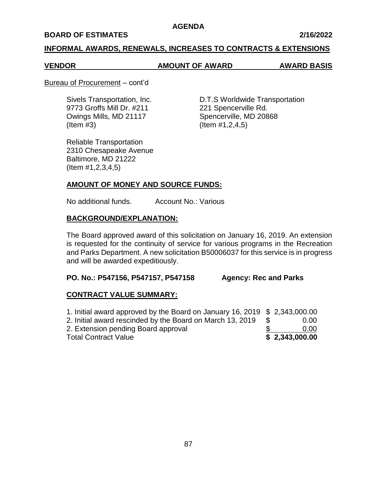### **BOARD OF ESTIMATES 2/16/2022**

### **INFORMAL AWARDS, RENEWALS, INCREASES TO CONTRACTS & EXTENSIONS**

### **VENDOR AMOUNT OF AWARD AWARD BASIS**

#### Bureau of Procurement – cont'd

9773 Groffs Mill Dr. #211 221 Spencerville Rd. Owings Mills, MD 21117 Spencerville, MD 20868  $($ ltem  $#3)$   $($ ltem  $#1,2,4,5)$ 

Sivels Transportation, Inc. D.T.S Worldwide Transportation

Reliable Transportation 2310 Chesapeake Avenue Baltimore, MD 21222 (Item #1,2,3,4,5)

## **AMOUNT OF MONEY AND SOURCE FUNDS:**

No additional funds. Account No.: Various

## **BACKGROUND/EXPLANATION:**

The Board approved award of this solicitation on January 16, 2019. An extension is requested for the continuity of service for various programs in the Recreation and Parks Department. A new solicitation B50006037 for this service is in progress and will be awarded expeditiously.

## **PO. No.: P547156, P547157, P547158 Agency: Rec and Parks**

## **CONTRACT VALUE SUMMARY:**

| 1. Initial award approved by the Board on January 16, 2019 \$ 2,343,000.00 |                |
|----------------------------------------------------------------------------|----------------|
| 2. Initial award rescinded by the Board on March 13, 2019                  | 0.00           |
| 2. Extension pending Board approval                                        | 0.00           |
| <b>Total Contract Value</b>                                                | \$2,343,000.00 |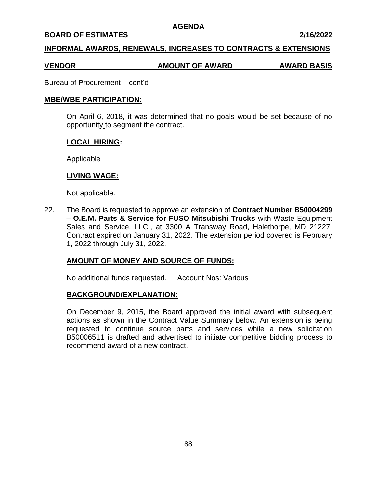#### **BOARD OF ESTIMATES 2/16/2022**

## **INFORMAL AWARDS, RENEWALS, INCREASES TO CONTRACTS & EXTENSIONS**

# **VENDOR AMOUNT OF AWARD AWARD BASIS**

Bureau of Procurement – cont'd

#### **MBE/WBE PARTICIPATION**:

On April 6, 2018, it was determined that no goals would be set because of no opportunity to segment the contract.

### **LOCAL HIRING:**

Applicable

## **LIVING WAGE:**

Not applicable.

22. The Board is requested to approve an extension of **Contract Number B50004299 – O.E.M. Parts & Service for FUSO Mitsubishi Trucks** with Waste Equipment Sales and Service, LLC., at 3300 A Transway Road, Halethorpe, MD 21227. Contract expired on January 31, 2022. The extension period covered is February 1, 2022 through July 31, 2022.

# **AMOUNT OF MONEY AND SOURCE OF FUNDS:**

No additional funds requested. Account Nos: Various

#### **BACKGROUND/EXPLANATION:**

On December 9, 2015, the Board approved the initial award with subsequent actions as shown in the Contract Value Summary below. An extension is being requested to continue source parts and services while a new solicitation B50006511 is drafted and advertised to initiate competitive bidding process to recommend award of a new contract.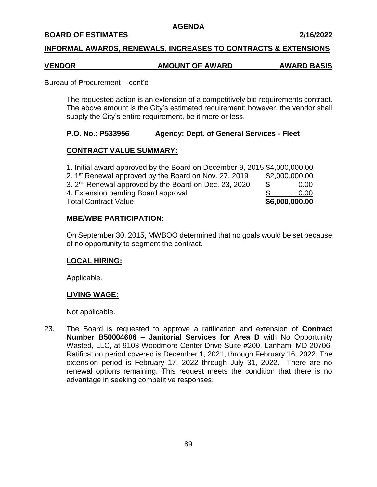## **BOARD OF ESTIMATES 2/16/2022**

## **INFORMAL AWARDS, RENEWALS, INCREASES TO CONTRACTS & EXTENSIONS**

### **VENDOR AMOUNT OF AWARD AWARD BASIS**

#### Bureau of Procurement – cont'd

The requested action is an extension of a competitively bid requirements contract. The above amount is the City's estimated requirement; however, the vendor shall supply the City's entire requirement, be it more or less.

## **P.O. No.: P533956 Agency: Dept. of General Services - Fleet**

## **CONTRACT VALUE SUMMARY:**

| 1. Initial award approved by the Board on December 9, 2015 \$4,000,000.00 |                |      |
|---------------------------------------------------------------------------|----------------|------|
| 2. 1 <sup>st</sup> Renewal approved by the Board on Nov. 27, 2019         | \$2,000,000.00 |      |
| 3. 2 <sup>nd</sup> Renewal approved by the Board on Dec. 23, 2020         | - \$           | 0.00 |
| 4. Extension pending Board approval                                       |                | 0.00 |
| <b>Total Contract Value</b>                                               | \$6,000,000.00 |      |

## **MBE/WBE PARTICIPATION**:

On September 30, 2015, MWBOO determined that no goals would be set because of no opportunity to segment the contract.

## **LOCAL HIRING:**

Applicable.

## **LIVING WAGE:**

Not applicable.

23. The Board is requested to approve a ratification and extension of **Contract Number B50004606 – Janitorial Services for Area D** with No Opportunity Wasted, LLC, at 9103 Woodmore Center Drive Suite #200, Lanham, MD 20706. Ratification period covered is December 1, 2021, through February 16, 2022. The extension period is February 17, 2022 through July 31, 2022. There are no renewal options remaining. This request meets the condition that there is no advantage in seeking competitive responses.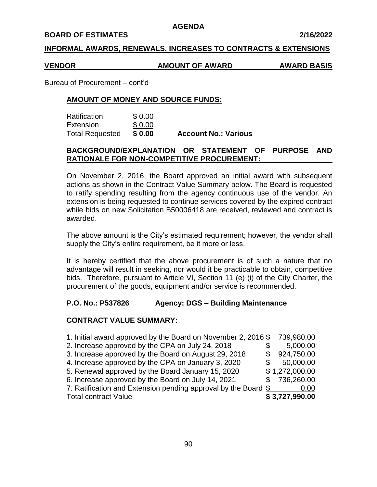#### **BOARD OF ESTIMATES 2/16/2022**

## **INFORMAL AWARDS, RENEWALS, INCREASES TO CONTRACTS & EXTENSIONS**

#### **VENDOR AMOUNT OF AWARD AWARD BASIS**

Bureau of Procurement – cont'd

## **AMOUNT OF MONEY AND SOURCE FUNDS:**

| Ratification           | \$0.00 |                             |
|------------------------|--------|-----------------------------|
| Extension              | \$0.00 |                             |
| <b>Total Requested</b> | \$0.00 | <b>Account No.: Various</b> |

## **BACKGROUND/EXPLANATION OR STATEMENT OF PURPOSE AND RATIONALE FOR NON-COMPETITIVE PROCUREMENT:**

On November 2, 2016, the Board approved an initial award with subsequent actions as shown in the Contract Value Summary below. The Board is requested to ratify spending resulting from the agency continuous use of the vendor. An extension is being requested to continue services covered by the expired contract while bids on new Solicitation B50006418 are received, reviewed and contract is awarded.

The above amount is the City's estimated requirement; however, the vendor shall supply the City's entire requirement, be it more or less.

It is hereby certified that the above procurement is of such a nature that no advantage will result in seeking, nor would it be practicable to obtain, competitive bids. Therefore, pursuant to Article VI, Section 11 (e) (i) of the City Charter, the procurement of the goods, equipment and/or service is recommended.

## **P.O. No.: P537826 Agency: DGS – Building Maintenance**

## **CONTRACT VALUE SUMMARY:**

| 1. Initial award approved by the Board on November 2, 2016 \$  | 739,980.00     |
|----------------------------------------------------------------|----------------|
| 2. Increase approved by the CPA on July 24, 2018               | 5,000.00       |
| 3. Increase approved by the Board on August 29, 2018           | 924,750.00     |
| 4. Increase approved by the CPA on January 3, 2020             | 50,000.00      |
| 5. Renewal approved by the Board January 15, 2020              | \$1,272,000.00 |
| 6. Increase approved by the Board on July 14, 2021             | \$736,260.00   |
| 7. Ratification and Extension pending approval by the Board \$ | 0.00           |
| <b>Total contract Value</b>                                    | \$3,727,990.00 |
|                                                                |                |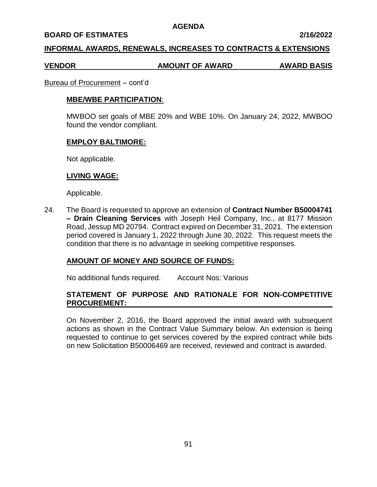#### **BOARD OF ESTIMATES 2/16/2022**

### **INFORMAL AWARDS, RENEWALS, INCREASES TO CONTRACTS & EXTENSIONS**

#### **VENDOR AMOUNT OF AWARD AWARD BASIS**

#### Bureau of Procurement – cont'd

### **MBE/WBE PARTICIPATION**:

MWBOO set goals of MBE 20% and WBE 10%. On January 24, 2022, MWBOO found the vendor compliant.

### **EMPLOY BALTIMORE:**

Not applicable.

### **LIVING WAGE:**

Applicable.

24. The Board is requested to approve an extension of **Contract Number B50004741 – Drain Cleaning Services** with Joseph Heil Company, Inc., at 8177 Mission Road, Jessup MD 20794. Contract expired on December 31, 2021. The extension period covered is January 1, 2022 through June 30, 2022. This request meets the condition that there is no advantage in seeking competitive responses.

## **AMOUNT OF MONEY AND SOURCE OF FUNDS:**

No additional funds required. Account Nos: Various

# **STATEMENT OF PURPOSE AND RATIONALE FOR NON-COMPETITIVE PROCUREMENT:**

On November 2, 2016, the Board approved the initial award with subsequent actions as shown in the Contract Value Summary below. An extension is being requested to continue to get services covered by the expired contract while bids on new Solicitation B50006469 are received, reviewed and contract is awarded.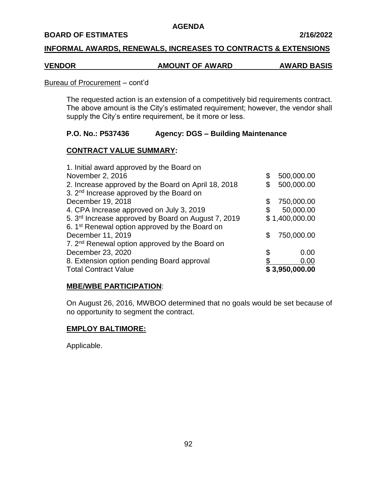#### **BOARD OF ESTIMATES 2/16/2022**

## **INFORMAL AWARDS, RENEWALS, INCREASES TO CONTRACTS & EXTENSIONS**

### **VENDOR AMOUNT OF AWARD AWARD BASIS**

#### Bureau of Procurement – cont'd

The requested action is an extension of a competitively bid requirements contract. The above amount is the City's estimated requirement; however, the vendor shall supply the City's entire requirement, be it more or less.

## **P.O. No.: P537436 Agency: DGS – Building Maintenance**

## **CONTRACT VALUE SUMMARY:**

| <b>Total Contract Value</b>                                     |    | \$3,950,000.00 |
|-----------------------------------------------------------------|----|----------------|
| 8. Extension option pending Board approval                      |    | 0.00           |
| December 23, 2020                                               | S  | 0.00           |
| 7. 2 <sup>nd</sup> Renewal option approved by the Board on      |    |                |
| December 11, 2019                                               | S  | 750,000.00     |
| 6. 1 <sup>st</sup> Renewal option approved by the Board on      |    |                |
| 5. 3 <sup>rd</sup> Increase approved by Board on August 7, 2019 |    | \$1,400,000.00 |
| 4. CPA Increase approved on July 3, 2019                        |    | 50,000.00      |
| December 19, 2018                                               | \$ | 750,000.00     |
| 3. 2 <sup>nd</sup> Increase approved by the Board on            |    |                |
| 2. Increase approved by the Board on April 18, 2018             |    | 500,000.00     |
| November 2, 2016                                                | \$ | 500,000.00     |
| 1. Initial award approved by the Board on                       |    |                |

## **MBE/WBE PARTICIPATION**:

On August 26, 2016, MWBOO determined that no goals would be set because of no opportunity to segment the contract.

## **EMPLOY BALTIMORE:**

Applicable.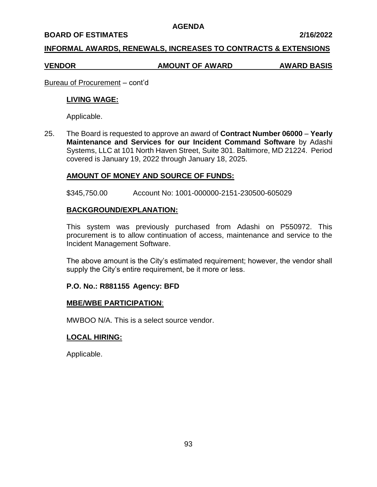#### **BOARD OF ESTIMATES 2/16/2022**

## **INFORMAL AWARDS, RENEWALS, INCREASES TO CONTRACTS & EXTENSIONS**

# **VENDOR AMOUNT OF AWARD AWARD BASIS**

Bureau of Procurement – cont'd

# **LIVING WAGE:**

Applicable.

25. The Board is requested to approve an award of **Contract Number 06000** – **Yearly Maintenance and Services for our Incident Command Software** by Adashi Systems, LLC at 101 North Haven Street, Suite 301. Baltimore, MD 21224. Period covered is January 19, 2022 through January 18, 2025.

## **AMOUNT OF MONEY AND SOURCE OF FUNDS:**

\$345,750.00 Account No: 1001-000000-2151-230500-605029

## **BACKGROUND/EXPLANATION:**

This system was previously purchased from Adashi on P550972. This procurement is to allow continuation of access, maintenance and service to the Incident Management Software.

The above amount is the City's estimated requirement; however, the vendor shall supply the City's entire requirement, be it more or less.

## **P.O. No.: R881155 Agency: BFD**

## **MBE/WBE PARTICIPATION**:

MWBOO N/A. This is a select source vendor.

# **LOCAL HIRING:**

Applicable.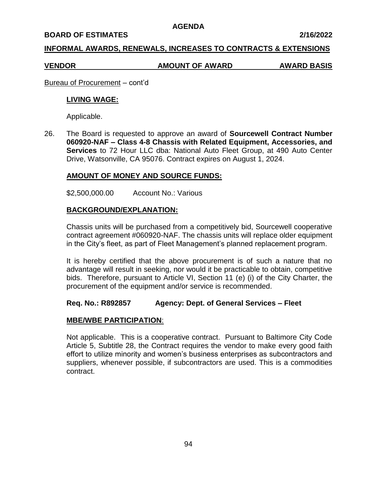#### **BOARD OF ESTIMATES 2/16/2022**

## **INFORMAL AWARDS, RENEWALS, INCREASES TO CONTRACTS & EXTENSIONS**

### **VENDOR AMOUNT OF AWARD AWARD BASIS**

Bureau of Procurement – cont'd

### **LIVING WAGE:**

Applicable.

26. The Board is requested to approve an award of **Sourcewell Contract Number 060920-NAF – Class 4-8 Chassis with Related Equipment, Accessories, and Services** to 72 Hour LLC dba: National Auto Fleet Group, at 490 Auto Center Drive, Watsonville, CA 95076. Contract expires on August 1, 2024.

## **AMOUNT OF MONEY AND SOURCE FUNDS:**

\$2,500,000.00 Account No.: Various

## **BACKGROUND/EXPLANATION:**

Chassis units will be purchased from a competitively bid, Sourcewell cooperative contract agreement #060920-NAF. The chassis units will replace older equipment in the City's fleet, as part of Fleet Management's planned replacement program.

It is hereby certified that the above procurement is of such a nature that no advantage will result in seeking, nor would it be practicable to obtain, competitive bids. Therefore, pursuant to Article VI, Section 11 (e) (i) of the City Charter, the procurement of the equipment and/or service is recommended.

## **Req. No.: R892857 Agency: Dept. of General Services – Fleet**

## **MBE/WBE PARTICIPATION**:

Not applicable. This is a cooperative contract. Pursuant to Baltimore City Code Article 5, Subtitle 28, the Contract requires the vendor to make every good faith effort to utilize minority and women's business enterprises as subcontractors and suppliers, whenever possible, if subcontractors are used. This is a commodities contract.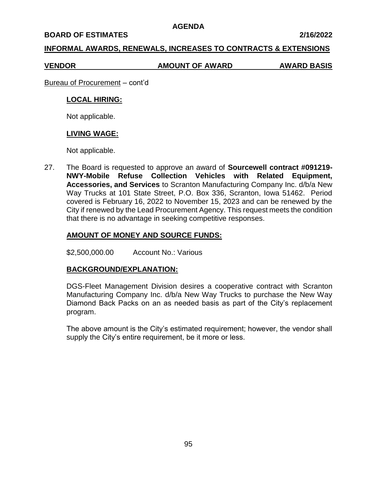#### **BOARD OF ESTIMATES 2/16/2022**

## **INFORMAL AWARDS, RENEWALS, INCREASES TO CONTRACTS & EXTENSIONS**

**VENDOR AMOUNT OF AWARD AWARD BASIS**

Bureau of Procurement – cont'd

## **LOCAL HIRING:**

Not applicable.

## **LIVING WAGE:**

Not applicable.

27. The Board is requested to approve an award of **Sourcewell contract #091219- NWY-Mobile Refuse Collection Vehicles with Related Equipment, Accessories, and Services** to Scranton Manufacturing Company Inc. d/b/a New Way Trucks at 101 State Street, P.O. Box 336, Scranton, Iowa 51462. Period covered is February 16, 2022 to November 15, 2023 and can be renewed by the City if renewed by the Lead Procurement Agency. This request meets the condition that there is no advantage in seeking competitive responses.

## **AMOUNT OF MONEY AND SOURCE FUNDS:**

\$2,500,000.00 Account No.: Various

## **BACKGROUND/EXPLANATION:**

DGS-Fleet Management Division desires a cooperative contract with Scranton Manufacturing Company Inc. d/b/a New Way Trucks to purchase the New Way Diamond Back Packs on an as needed basis as part of the City's replacement program.

The above amount is the City's estimated requirement; however, the vendor shall supply the City's entire requirement, be it more or less.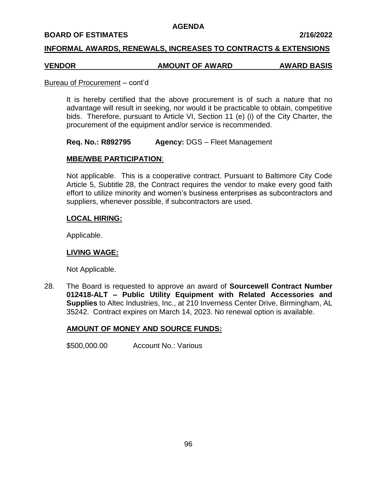### **BOARD OF ESTIMATES 2/16/2022**

## **INFORMAL AWARDS, RENEWALS, INCREASES TO CONTRACTS & EXTENSIONS**

# **VENDOR AMOUNT OF AWARD AWARD BASIS**

#### Bureau of Procurement – cont'd

It is hereby certified that the above procurement is of such a nature that no advantage will result in seeking, nor would it be practicable to obtain, competitive bids. Therefore, pursuant to Article VI, Section 11 (e) (i) of the City Charter, the procurement of the equipment and/or service is recommended.

**Req. No.: R892795 Agency:** DGS – Fleet Management

## **MBE/WBE PARTICIPATION**:

Not applicable. This is a cooperative contract. Pursuant to Baltimore City Code Article 5, Subtitle 28, the Contract requires the vendor to make every good faith effort to utilize minority and women's business enterprises as subcontractors and suppliers, whenever possible, if subcontractors are used.

## **LOCAL HIRING:**

Applicable.

## **LIVING WAGE:**

Not Applicable.

28. The Board is requested to approve an award of **Sourcewell Contract Number 012418-ALT – Public Utility Equipment with Related Accessories and Supplies** to Altec Industries, Inc., at 210 Inverness Center Drive, Birmingham, AL 35242. Contract expires on March 14, 2023. No renewal option is available.

## **AMOUNT OF MONEY AND SOURCE FUNDS:**

\$500,000.00 Account No.: Various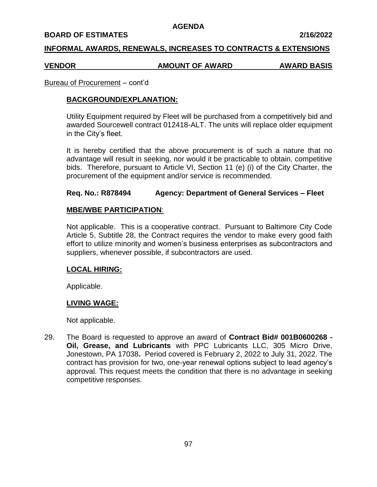#### **BOARD OF ESTIMATES 2/16/2022**

### **INFORMAL AWARDS, RENEWALS, INCREASES TO CONTRACTS & EXTENSIONS**

#### **VENDOR AMOUNT OF AWARD AWARD BASIS**

#### Bureau of Procurement – cont'd

### **BACKGROUND/EXPLANATION:**

Utility Equipment required by Fleet will be purchased from a competitively bid and awarded Sourcewell contract 012418-ALT. The units will replace older equipment in the City's fleet.

It is hereby certified that the above procurement is of such a nature that no advantage will result in seeking, nor would it be practicable to obtain, competitive bids. Therefore, pursuant to Article VI, Section 11 (e) (i) of the City Charter, the procurement of the equipment and/or service is recommended.

## **Req. No.: R878494 Agency: Department of General Services – Fleet**

### **MBE/WBE PARTICIPATION**:

Not applicable. This is a cooperative contract. Pursuant to Baltimore City Code Article 5, Subtitle 28, the Contract requires the vendor to make every good faith effort to utilize minority and women's business enterprises as subcontractors and suppliers, whenever possible, if subcontractors are used.

#### **LOCAL HIRING:**

Applicable.

#### **LIVING WAGE:**

Not applicable.

29. The Board is requested to approve an award of **Contract Bid# 001B0600268 - Oil, Grease, and Lubricants** with PPC Lubricants LLC, 305 Micro Drive, Jonestown, PA 17038**.** Period covered is February 2, 2022 to July 31, 2022. The contract has provision for two, one-year renewal options subject to lead agency's approval. This request meets the condition that there is no advantage in seeking competitive responses.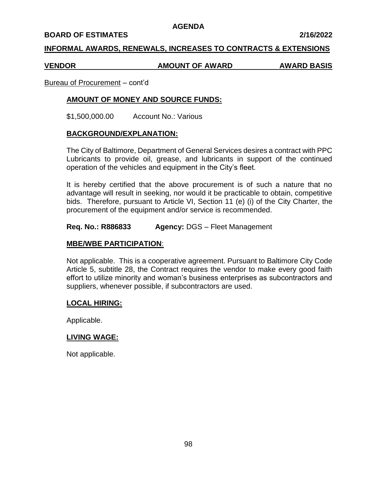#### **BOARD OF ESTIMATES 2/16/2022**

## **INFORMAL AWARDS, RENEWALS, INCREASES TO CONTRACTS & EXTENSIONS**

#### **VENDOR AMOUNT OF AWARD AWARD BASIS**

Bureau of Procurement – cont'd

## **AMOUNT OF MONEY AND SOURCE FUNDS:**

\$1,500,000.00 Account No.: Various

#### **BACKGROUND/EXPLANATION:**

The City of Baltimore, Department of General Services desires a contract with PPC Lubricants to provide oil, grease, and lubricants in support of the continued operation of the vehicles and equipment in the City's fleet.

It is hereby certified that the above procurement is of such a nature that no advantage will result in seeking, nor would it be practicable to obtain, competitive bids. Therefore, pursuant to Article VI, Section 11 (e) (i) of the City Charter, the procurement of the equipment and/or service is recommended.

#### **Req. No.: R886833 Agency:** DGS – Fleet Management

#### **MBE/WBE PARTICIPATION**:

Not applicable. This is a cooperative agreement. Pursuant to Baltimore City Code Article 5, subtitle 28, the Contract requires the vendor to make every good faith effort to utilize minority and woman's business enterprises as subcontractors and suppliers, whenever possible, if subcontractors are used.

#### **LOCAL HIRING:**

Applicable.

#### **LIVING WAGE:**

Not applicable.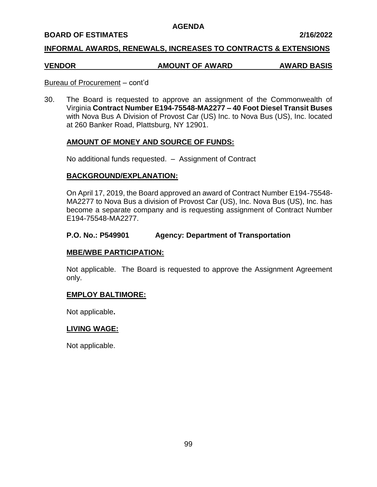### **BOARD OF ESTIMATES 2/16/2022**

## **INFORMAL AWARDS, RENEWALS, INCREASES TO CONTRACTS & EXTENSIONS**

# **VENDOR AMOUNT OF AWARD AWARD BASIS**

### Bureau of Procurement – cont'd

30. The Board is requested to approve an assignment of the Commonwealth of Virginia **Contract Number E194-75548-MA2277 – 40 Foot Diesel Transit Buses**  with Nova Bus A Division of Provost Car (US) Inc. to Nova Bus (US), Inc. located at 260 Banker Road, Plattsburg, NY 12901.

## **AMOUNT OF MONEY AND SOURCE OF FUNDS:**

No additional funds requested. – Assignment of Contract

## **BACKGROUND/EXPLANATION:**

On April 17, 2019, the Board approved an award of Contract Number E194-75548- MA2277 to Nova Bus a division of Provost Car (US), Inc. Nova Bus (US), Inc. has become a separate company and is requesting assignment of Contract Number E194-75548-MA2277.

## **P.O. No.: P549901 Agency: Department of Transportation**

## **MBE/WBE PARTICIPATION:**

Not applicable. The Board is requested to approve the Assignment Agreement only.

## **EMPLOY BALTIMORE:**

Not applicable**.**

## **LIVING WAGE:**

Not applicable.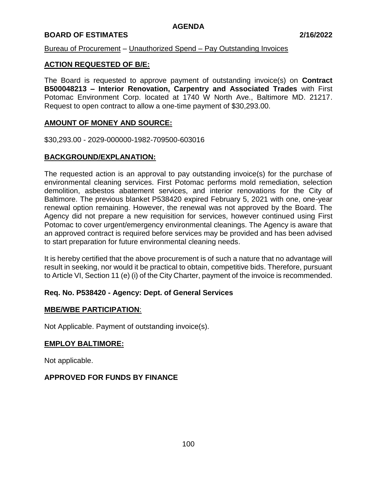# **BOARD OF ESTIMATES 2/16/2022**

## Bureau of Procurement – Unauthorized Spend – Pay Outstanding Invoices

## **ACTION REQUESTED OF B/E:**

The Board is requested to approve payment of outstanding invoice(s) on **Contract B500048213 – Interior Renovation, Carpentry and Associated Trades** with First Potomac Environment Corp. located at 1740 W North Ave., Baltimore MD. 21217. Request to open contract to allow a one-time payment of \$30,293.00.

## **AMOUNT OF MONEY AND SOURCE:**

\$30,293.00 - 2029-000000-1982-709500-603016

## **BACKGROUND/EXPLANATION:**

The requested action is an approval to pay outstanding invoice(s) for the purchase of environmental cleaning services. First Potomac performs mold remediation, selection demolition, asbestos abatement services, and interior renovations for the City of Baltimore. The previous blanket P538420 expired February 5, 2021 with one, one-year renewal option remaining. However, the renewal was not approved by the Board. The Agency did not prepare a new requisition for services, however continued using First Potomac to cover urgent/emergency environmental cleanings. The Agency is aware that an approved contract is required before services may be provided and has been advised to start preparation for future environmental cleaning needs.

It is hereby certified that the above procurement is of such a nature that no advantage will result in seeking, nor would it be practical to obtain, competitive bids. Therefore, pursuant to Article VI, Section 11 (e) (i) of the City Charter, payment of the invoice is recommended.

# **Req. No. P538420 - Agency: Dept. of General Services**

## **MBE/WBE PARTICIPATION**:

Not Applicable. Payment of outstanding invoice(s).

# **EMPLOY BALTIMORE:**

Not applicable.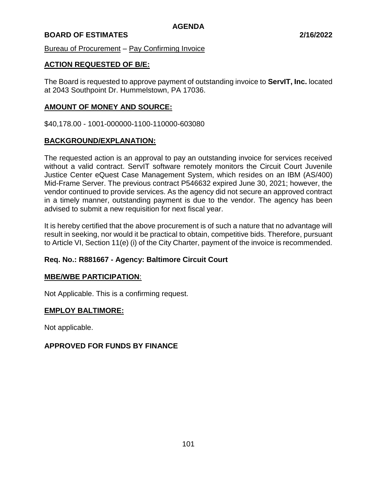# **BOARD OF ESTIMATES 2/16/2022**

Bureau of Procurement – Pay Confirming Invoice

# **ACTION REQUESTED OF B/E:**

The Board is requested to approve payment of outstanding invoice to **ServIT, Inc.** located at 2043 Southpoint Dr. Hummelstown, PA 17036.

## **AMOUNT OF MONEY AND SOURCE:**

\$40,178.00 - 1001-000000-1100-110000-603080

## **BACKGROUND/EXPLANATION:**

The requested action is an approval to pay an outstanding invoice for services received without a valid contract. ServIT software remotely monitors the Circuit Court Juvenile Justice Center eQuest Case Management System, which resides on an IBM (AS/400) Mid-Frame Server. The previous contract P546632 expired June 30, 2021; however, the vendor continued to provide services. As the agency did not secure an approved contract in a timely manner, outstanding payment is due to the vendor. The agency has been advised to submit a new requisition for next fiscal year.

It is hereby certified that the above procurement is of such a nature that no advantage will result in seeking, nor would it be practical to obtain, competitive bids. Therefore, pursuant to Article VI, Section 11(e) (i) of the City Charter, payment of the invoice is recommended.

# **Req. No.: R881667 - Agency: Baltimore Circuit Court**

## **MBE/WBE PARTICIPATION**:

Not Applicable. This is a confirming request.

## **EMPLOY BALTIMORE:**

Not applicable.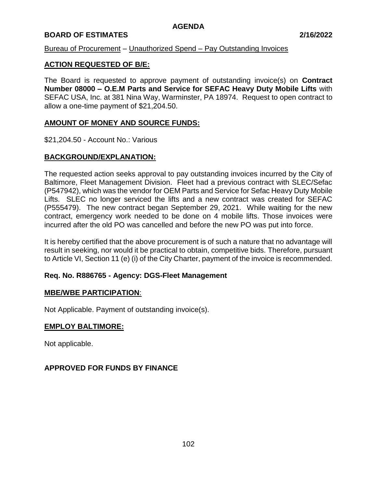# **BOARD OF ESTIMATES 2/16/2022**

## Bureau of Procurement – Unauthorized Spend – Pay Outstanding Invoices

## **ACTION REQUESTED OF B/E:**

The Board is requested to approve payment of outstanding invoice(s) on **Contract Number 08000 – O.E.M Parts and Service for SEFAC Heavy Duty Mobile Lifts** with SEFAC USA, Inc. at 381 Nina Way, Warminster, PA 18974. Request to open contract to allow a one-time payment of \$21,204.50.

## **AMOUNT OF MONEY AND SOURCE FUNDS:**

\$21,204.50 - Account No.: Various

## **BACKGROUND/EXPLANATION:**

The requested action seeks approval to pay outstanding invoices incurred by the City of Baltimore, Fleet Management Division. Fleet had a previous contract with SLEC/Sefac (P547942), which was the vendor for OEM Parts and Service for Sefac Heavy Duty Mobile Lifts. SLEC no longer serviced the lifts and a new contract was created for SEFAC (P555479). The new contract began September 29, 2021. While waiting for the new contract, emergency work needed to be done on 4 mobile lifts. Those invoices were incurred after the old PO was cancelled and before the new PO was put into force.

It is hereby certified that the above procurement is of such a nature that no advantage will result in seeking, nor would it be practical to obtain, competitive bids. Therefore, pursuant to Article VI, Section 11 (e) (i) of the City Charter, payment of the invoice is recommended.

## **Req. No. R886765 - Agency: DGS-Fleet Management**

## **MBE/WBE PARTICIPATION**:

Not Applicable. Payment of outstanding invoice(s).

## **EMPLOY BALTIMORE:**

Not applicable.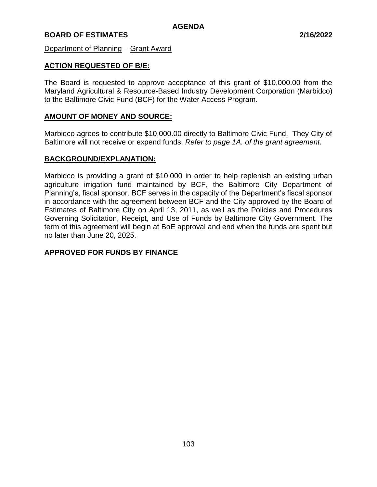# **BOARD OF ESTIMATES 2/16/2022**

Department of Planning – Grant Award

## **ACTION REQUESTED OF B/E:**

The Board is requested to approve acceptance of this grant of \$10,000.00 from the Maryland Agricultural & Resource-Based Industry Development Corporation (Marbidco) to the Baltimore Civic Fund (BCF) for the Water Access Program.

## **AMOUNT OF MONEY AND SOURCE:**

Marbidco agrees to contribute \$10,000.00 directly to Baltimore Civic Fund. They City of Baltimore will not receive or expend funds. *Refer to page 1A. of the grant agreement.*

## **BACKGROUND/EXPLANATION:**

Marbidco is providing a grant of \$10,000 in order to help replenish an existing urban agriculture irrigation fund maintained by BCF, the Baltimore City Department of Planning's, fiscal sponsor. BCF serves in the capacity of the Department's fiscal sponsor in accordance with the agreement between BCF and the City approved by the Board of Estimates of Baltimore City on April 13, 2011, as well as the Policies and Procedures Governing Solicitation, Receipt, and Use of Funds by Baltimore City Government. The term of this agreement will begin at BoE approval and end when the funds are spent but no later than June 20, 2025.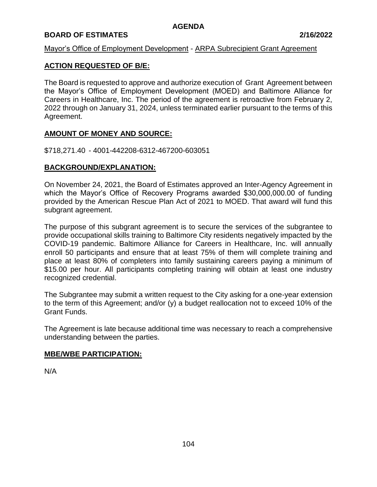# **BOARD OF ESTIMATES 2/16/2022**

## Mayor's Office of Employment Development - ARPA Subrecipient Grant Agreement

# **ACTION REQUESTED OF B/E:**

The Board is requested to approve and authorize execution of Grant Agreement between the Mayor's Office of Employment Development (MOED) and Baltimore Alliance for Careers in Healthcare, Inc. The period of the agreement is retroactive from February 2, 2022 through on January 31, 2024, unless terminated earlier pursuant to the terms of this Agreement.

## **AMOUNT OF MONEY AND SOURCE:**

\$718,271.40 - 4001-442208-6312-467200-603051

## **BACKGROUND/EXPLANATION:**

On November 24, 2021, the Board of Estimates approved an Inter-Agency Agreement in which the Mayor's Office of Recovery Programs awarded \$30,000,000.00 of funding provided by the American Rescue Plan Act of 2021 to MOED. That award will fund this subgrant agreement.

The purpose of this subgrant agreement is to secure the services of the subgrantee to provide occupational skills training to Baltimore City residents negatively impacted by the COVID-19 pandemic. Baltimore Alliance for Careers in Healthcare, Inc. will annually enroll 50 participants and ensure that at least 75% of them will complete training and place at least 80% of completers into family sustaining careers paying a minimum of \$15.00 per hour. All participants completing training will obtain at least one industry recognized credential.

The Subgrantee may submit a written request to the City asking for a one-year extension to the term of this Agreement; and/or (y) a budget reallocation not to exceed 10% of the Grant Funds.

The Agreement is late because additional time was necessary to reach a comprehensive understanding between the parties.

## **MBE/WBE PARTICIPATION:**

N/A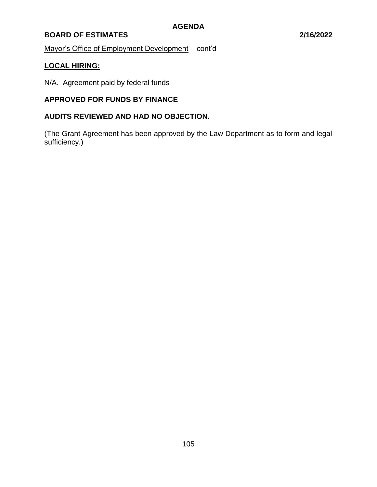# **BOARD OF ESTIMATES 2/16/2022**

Mayor's Office of Employment Development – cont'd

# **LOCAL HIRING:**

N/A. Agreement paid by federal funds

# **APPROVED FOR FUNDS BY FINANCE**

# **AUDITS REVIEWED AND HAD NO OBJECTION.**

(The Grant Agreement has been approved by the Law Department as to form and legal sufficiency.)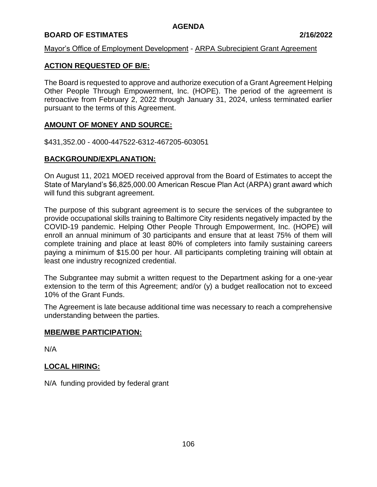# **BOARD OF ESTIMATES 2/16/2022**

#### Mayor's Office of Employment Development - ARPA Subrecipient Grant Agreement

# **ACTION REQUESTED OF B/E:**

The Board is requested to approve and authorize execution of a Grant Agreement Helping Other People Through Empowerment, Inc. (HOPE). The period of the agreement is retroactive from February 2, 2022 through January 31, 2024, unless terminated earlier pursuant to the terms of this Agreement.

#### **AMOUNT OF MONEY AND SOURCE:**

\$431,352.00 - 4000-447522-6312-467205-603051

# **BACKGROUND/EXPLANATION:**

On August 11, 2021 MOED received approval from the Board of Estimates to accept the State of Maryland's \$6,825,000.00 American Rescue Plan Act (ARPA) grant award which will fund this subgrant agreement.

The purpose of this subgrant agreement is to secure the services of the subgrantee to provide occupational skills training to Baltimore City residents negatively impacted by the COVID-19 pandemic. Helping Other People Through Empowerment, Inc. (HOPE) will enroll an annual minimum of 30 participants and ensure that at least 75% of them will complete training and place at least 80% of completers into family sustaining careers paying a minimum of \$15.00 per hour. All participants completing training will obtain at least one industry recognized credential.

The Subgrantee may submit a written request to the Department asking for a one-year extension to the term of this Agreement; and/or (y) a budget reallocation not to exceed 10% of the Grant Funds.

The Agreement is late because additional time was necessary to reach a comprehensive understanding between the parties.

#### **MBE/WBE PARTICIPATION:**

N/A

# **LOCAL HIRING:**

N/A funding provided by federal grant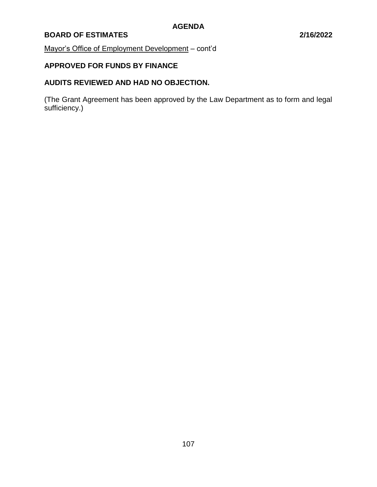# **BOARD OF ESTIMATES 2/16/2022**

Mayor's Office of Employment Development – cont'd

# **APPROVED FOR FUNDS BY FINANCE**

# **AUDITS REVIEWED AND HAD NO OBJECTION.**

(The Grant Agreement has been approved by the Law Department as to form and legal sufficiency.)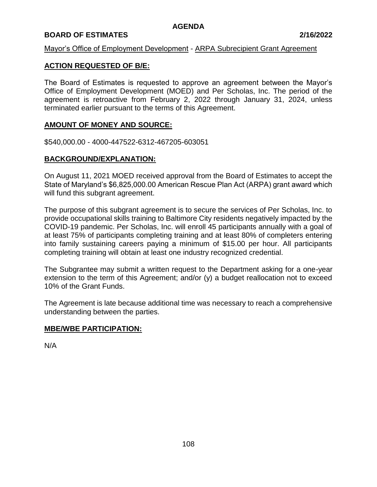# **BOARD OF ESTIMATES 2/16/2022**

#### Mayor's Office of Employment Development - ARPA Subrecipient Grant Agreement

### **ACTION REQUESTED OF B/E:**

The Board of Estimates is requested to approve an agreement between the Mayor's Office of Employment Development (MOED) and Per Scholas, Inc. The period of the agreement is retroactive from February 2, 2022 through January 31, 2024, unless terminated earlier pursuant to the terms of this Agreement.

#### **AMOUNT OF MONEY AND SOURCE:**

\$540,000.00 - 4000-447522-6312-467205-603051

#### **BACKGROUND/EXPLANATION:**

On August 11, 2021 MOED received approval from the Board of Estimates to accept the State of Maryland's \$6,825,000.00 American Rescue Plan Act (ARPA) grant award which will fund this subgrant agreement.

The purpose of this subgrant agreement is to secure the services of Per Scholas, Inc. to provide occupational skills training to Baltimore City residents negatively impacted by the COVID-19 pandemic. Per Scholas, Inc. will enroll 45 participants annually with a goal of at least 75% of participants completing training and at least 80% of completers entering into family sustaining careers paying a minimum of \$15.00 per hour. All participants completing training will obtain at least one industry recognized credential.

The Subgrantee may submit a written request to the Department asking for a one-year extension to the term of this Agreement; and/or (y) a budget reallocation not to exceed 10% of the Grant Funds.

The Agreement is late because additional time was necessary to reach a comprehensive understanding between the parties.

#### **MBE/WBE PARTICIPATION:**

N/A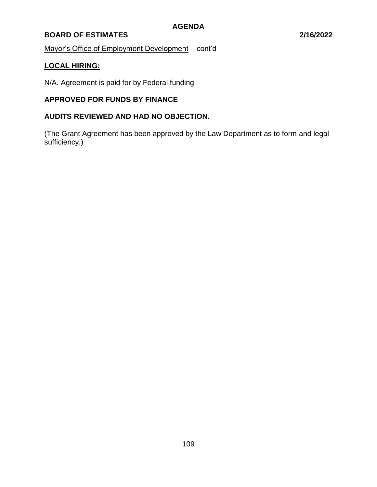# **BOARD OF ESTIMATES 2/16/2022**

Mayor's Office of Employment Development – cont'd

# **LOCAL HIRING:**

N/A. Agreement is paid for by Federal funding

# **APPROVED FOR FUNDS BY FINANCE**

# **AUDITS REVIEWED AND HAD NO OBJECTION.**

(The Grant Agreement has been approved by the Law Department as to form and legal sufficiency.)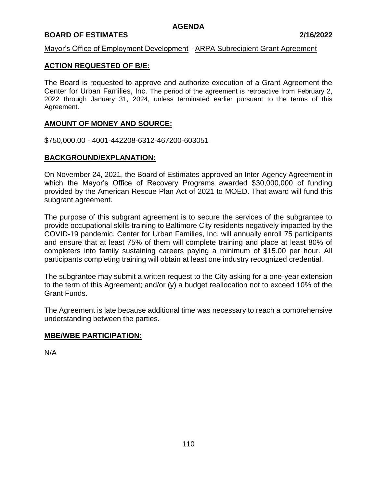# **BOARD OF ESTIMATES 2/16/2022**

# Mayor's Office of Employment Development - ARPA Subrecipient Grant Agreement

### **ACTION REQUESTED OF B/E:**

The Board is requested to approve and authorize execution of a Grant Agreement the Center for Urban Families, Inc. The period of the agreement is retroactive from February 2, 2022 through January 31, 2024, unless terminated earlier pursuant to the terms of this Agreement.

# **AMOUNT OF MONEY AND SOURCE:**

\$750,000.00 - 4001-442208-6312-467200-603051

#### **BACKGROUND/EXPLANATION:**

On November 24, 2021, the Board of Estimates approved an Inter-Agency Agreement in which the Mayor's Office of Recovery Programs awarded \$30,000,000 of funding provided by the American Rescue Plan Act of 2021 to MOED. That award will fund this subgrant agreement.

The purpose of this subgrant agreement is to secure the services of the subgrantee to provide occupational skills training to Baltimore City residents negatively impacted by the COVID-19 pandemic. Center for Urban Families, Inc. will annually enroll 75 participants and ensure that at least 75% of them will complete training and place at least 80% of completers into family sustaining careers paying a minimum of \$15.00 per hour. All participants completing training will obtain at least one industry recognized credential.

The subgrantee may submit a written request to the City asking for a one-year extension to the term of this Agreement; and/or (y) a budget reallocation not to exceed 10% of the Grant Funds.

The Agreement is late because additional time was necessary to reach a comprehensive understanding between the parties.

#### **MBE/WBE PARTICIPATION:**

N/A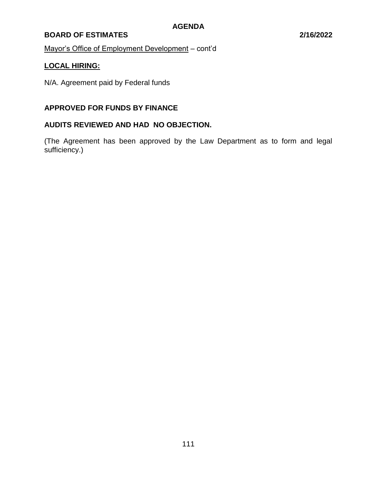# **BOARD OF ESTIMATES 2/16/2022**

Mayor's Office of Employment Development – cont'd

# **LOCAL HIRING:**

N/A. Agreement paid by Federal funds

# **APPROVED FOR FUNDS BY FINANCE**

# **AUDITS REVIEWED AND HAD NO OBJECTION.**

(The Agreement has been approved by the Law Department as to form and legal sufficiency.)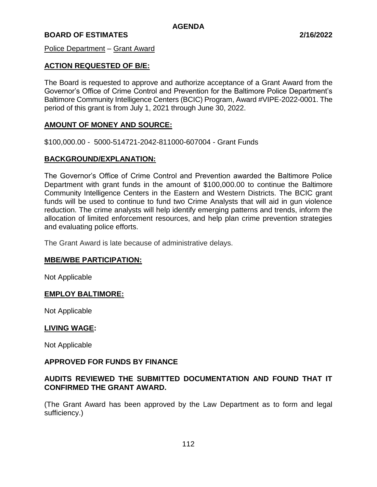Police Department – Grant Award

# **ACTION REQUESTED OF B/E:**

The Board is requested to approve and authorize acceptance of a Grant Award from the Governor's Office of Crime Control and Prevention for the Baltimore Police Department's Baltimore Community Intelligence Centers (BCIC) Program, Award #VIPE-2022-0001. The period of this grant is from July 1, 2021 through June 30, 2022.

#### **AMOUNT OF MONEY AND SOURCE:**

\$100,000.00 - 5000-514721-2042-811000-607004 - Grant Funds

#### **BACKGROUND/EXPLANATION:**

The Governor's Office of Crime Control and Prevention awarded the Baltimore Police Department with grant funds in the amount of \$100,000.00 to continue the Baltimore Community Intelligence Centers in the Eastern and Western Districts. The BCIC grant funds will be used to continue to fund two Crime Analysts that will aid in gun violence reduction. The crime analysts will help identify emerging patterns and trends, inform the allocation of limited enforcement resources, and help plan crime prevention strategies and evaluating police efforts.

The Grant Award is late because of administrative delays.

#### **MBE/WBE PARTICIPATION:**

Not Applicable

#### **EMPLOY BALTIMORE:**

Not Applicable

#### **LIVING WAGE:**

Not Applicable

#### **APPROVED FOR FUNDS BY FINANCE**

# **AUDITS REVIEWED THE SUBMITTED DOCUMENTATION AND FOUND THAT IT CONFIRMED THE GRANT AWARD.**

(The Grant Award has been approved by the Law Department as to form and legal sufficiency.)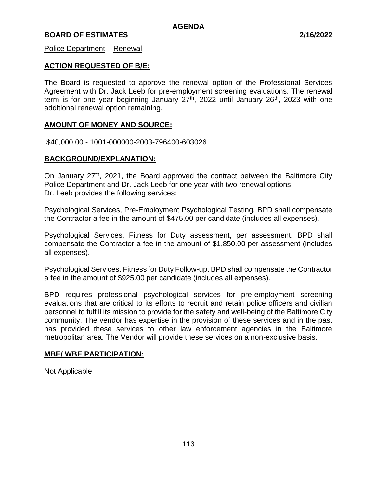#### Police Department – Renewal

# **ACTION REQUESTED OF B/E:**

The Board is requested to approve the renewal option of the Professional Services Agreement with Dr. Jack Leeb for pre-employment screening evaluations. The renewal term is for one year beginning January  $27<sup>th</sup>$ , 2022 until January  $26<sup>th</sup>$ , 2023 with one additional renewal option remaining.

#### **AMOUNT OF MONEY AND SOURCE:**

\$40,000.00 - 1001-000000-2003-796400-603026

#### **BACKGROUND/EXPLANATION:**

On January  $27<sup>th</sup>$ , 2021, the Board approved the contract between the Baltimore City Police Department and Dr. Jack Leeb for one year with two renewal options. Dr. Leeb provides the following services:

Psychological Services, Pre-Employment Psychological Testing. BPD shall compensate the Contractor a fee in the amount of \$475.00 per candidate (includes all expenses).

Psychological Services, Fitness for Duty assessment, per assessment. BPD shall compensate the Contractor a fee in the amount of \$1,850.00 per assessment (includes all expenses).

Psychological Services. Fitness for Duty Follow-up. BPD shall compensate the Contractor a fee in the amount of \$925.00 per candidate (includes all expenses).

BPD requires professional psychological services for pre-employment screening evaluations that are critical to its efforts to recruit and retain police officers and civilian personnel to fulfill its mission to provide for the safety and well-being of the Baltimore City community. The vendor has expertise in the provision of these services and in the past has provided these services to other law enforcement agencies in the Baltimore metropolitan area. The Vendor will provide these services on a non-exclusive basis.

#### **MBE/ WBE PARTICIPATION:**

Not Applicable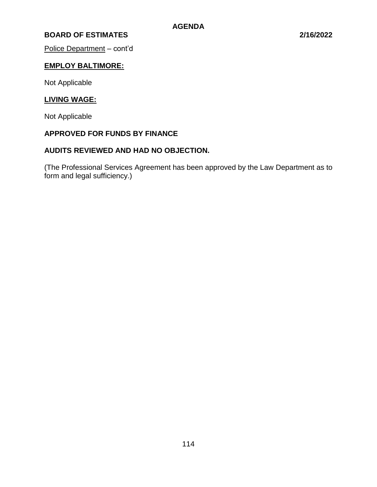Police Department – cont'd

# **EMPLOY BALTIMORE:**

Not Applicable

# **LIVING WAGE:**

Not Applicable

# **APPROVED FOR FUNDS BY FINANCE**

# **AUDITS REVIEWED AND HAD NO OBJECTION.**

(The Professional Services Agreement has been approved by the Law Department as to form and legal sufficiency.)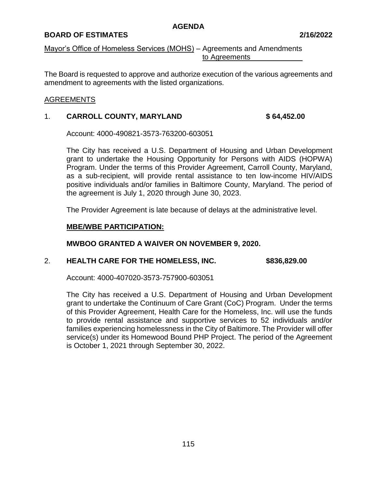# **BOARD OF ESTIMATES 2/16/2022**

Mayor's Office of Homeless Services (MOHS) – Agreements and Amendments to Agreements

The Board is requested to approve and authorize execution of the various agreements and amendment to agreements with the listed organizations.

#### AGREEMENTS

#### 1. **CARROLL COUNTY, MARYLAND \$ 64,452.00**

Account: 4000-490821-3573-763200-603051

The City has received a U.S. Department of Housing and Urban Development grant to undertake the Housing Opportunity for Persons with AIDS (HOPWA) Program. Under the terms of this Provider Agreement, Carroll County, Maryland, as a sub-recipient, will provide rental assistance to ten low-income HIV/AIDS positive individuals and/or families in Baltimore County, Maryland. The period of the agreement is July 1, 2020 through June 30, 2023.

The Provider Agreement is late because of delays at the administrative level.

#### **MBE/WBE PARTICIPATION:**

#### **MWBOO GRANTED A WAIVER ON NOVEMBER 9, 2020.**

#### 2. **HEALTH CARE FOR THE HOMELESS, INC. \$836,829.00**

Account: 4000-407020-3573-757900-603051

The City has received a U.S. Department of Housing and Urban Development grant to undertake the Continuum of Care Grant (CoC) Program. Under the terms of this Provider Agreement, Health Care for the Homeless, Inc. will use the funds to provide rental assistance and supportive services to 52 individuals and/or families experiencing homelessness in the City of Baltimore. The Provider will offer service(s) under its Homewood Bound PHP Project. The period of the Agreement is October 1, 2021 through September 30, 2022.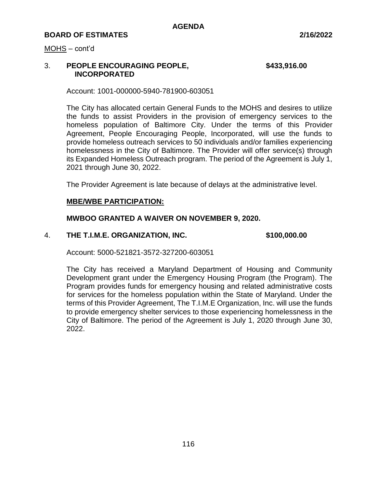MOHS – cont'd

# 3. **PEOPLE ENCOURAGING PEOPLE, \$433,916.00 INCORPORATED**

Account: 1001-000000-5940-781900-603051

The City has allocated certain General Funds to the MOHS and desires to utilize the funds to assist Providers in the provision of emergency services to the homeless population of Baltimore City. Under the terms of this Provider Agreement, People Encouraging People, Incorporated, will use the funds to provide homeless outreach services to 50 individuals and/or families experiencing homelessness in the City of Baltimore. The Provider will offer service(s) through its Expanded Homeless Outreach program. The period of the Agreement is July 1, 2021 through June 30, 2022.

The Provider Agreement is late because of delays at the administrative level.

#### **MBE/WBE PARTICIPATION:**

#### **MWBOO GRANTED A WAIVER ON NOVEMBER 9, 2020.**

#### 4. **THE T.I.M.E. ORGANIZATION, INC. \$100,000.00**

Account: 5000-521821-3572-327200-603051

The City has received a Maryland Department of Housing and Community Development grant under the Emergency Housing Program (the Program). The Program provides funds for emergency housing and related administrative costs for services for the homeless population within the State of Maryland. Under the terms of this Provider Agreement, The T.I.M.E Organization, Inc. will use the funds to provide emergency shelter services to those experiencing homelessness in the City of Baltimore. The period of the Agreement is July 1, 2020 through June 30, 2022.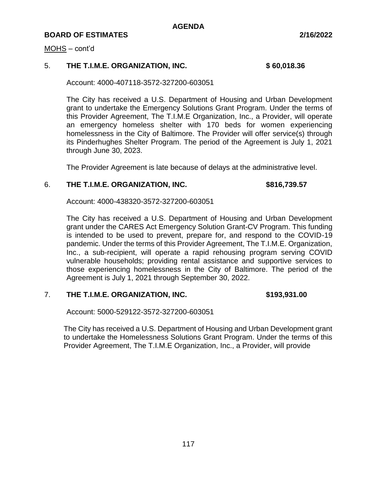#### MOHS – cont'd

# 5. **THE T.I.M.E. ORGANIZATION, INC. \$ 60,018.36**

Account: 4000-407118-3572-327200-603051

The City has received a U.S. Department of Housing and Urban Development grant to undertake the Emergency Solutions Grant Program. Under the terms of this Provider Agreement, The T.I.M.E Organization, Inc., a Provider, will operate an emergency homeless shelter with 170 beds for women experiencing homelessness in the City of Baltimore. The Provider will offer service(s) through its Pinderhughes Shelter Program. The period of the Agreement is July 1, 2021 through June 30, 2023.

The Provider Agreement is late because of delays at the administrative level.

#### 6. **THE T.I.M.E. ORGANIZATION, INC. \$816,739.57**

Account: 4000-438320-3572-327200-603051

The City has received a U.S. Department of Housing and Urban Development grant under the CARES Act Emergency Solution Grant-CV Program. This funding is intended to be used to prevent, prepare for, and respond to the COVID-19 pandemic. Under the terms of this Provider Agreement, The T.I.M.E. Organization, Inc., a sub-recipient, will operate a rapid rehousing program serving COVID vulnerable households; providing rental assistance and supportive services to those experiencing homelessness in the City of Baltimore. The period of the Agreement is July 1, 2021 through September 30, 2022.

# 7. **THE T.I.M.E. ORGANIZATION, INC. \$193,931.00**

Account: 5000-529122-3572-327200-603051

The City has received a U.S. Department of Housing and Urban Development grant to undertake the Homelessness Solutions Grant Program. Under the terms of this Provider Agreement, The T.I.M.E Organization, Inc., a Provider, will provide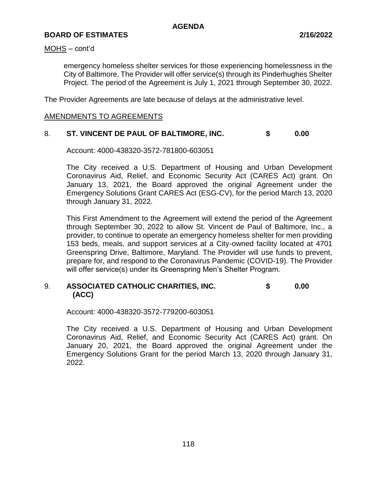#### MOHS – cont'd

emergency homeless shelter services for those experiencing homelessness in the City of Baltimore. The Provider will offer service(s) through its Pinderhughes Shelter Project. The period of the Agreement is July 1, 2021 through September 30, 2022.

The Provider Agreements are late because of delays at the administrative level.

# AMENDMENTS TO AGREEMENTS

# 8. **ST. VINCENT DE PAUL OF BALTIMORE, INC. \$ 0.00**

Account: 4000-438320-3572-781800-603051

The City received a U.S. Department of Housing and Urban Development Coronavirus Aid, Relief, and Economic Security Act (CARES Act) grant. On January 13, 2021, the Board approved the original Agreement under the Emergency Solutions Grant CARES Act (ESG-CV), for the period March 13, 2020 through January 31, 2022.

This First Amendment to the Agreement will extend the period of the Agreement through September 30, 2022 to allow St. Vincent de Paul of Baltimore, Inc., a provider, to continue to operate an emergency homeless shelter for men providing 153 beds, meals, and support services at a City-owned facility located at 4701 Greenspring Drive, Baltimore, Maryland. The Provider will use funds to prevent, prepare for, and respond to the Coronavirus Pandemic (COVID-19). The Provider will offer service(s) under its Greenspring Men's Shelter Program.

# 9. **ASSOCIATED CATHOLIC CHARITIES, INC. \$ 0.00 (ACC)**

Account: 4000-438320-3572-779200-603051

The City received a U.S. Department of Housing and Urban Development Coronavirus Aid, Relief, and Economic Security Act (CARES Act) grant. On January 20, 2021, the Board approved the original Agreement under the Emergency Solutions Grant for the period March 13, 2020 through January 31, 2022.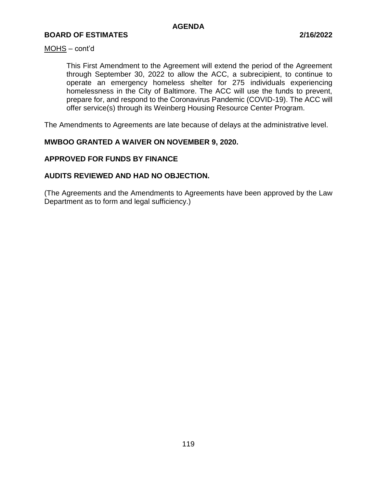#### MOHS – cont'd

This First Amendment to the Agreement will extend the period of the Agreement through September 30, 2022 to allow the ACC, a subrecipient, to continue to operate an emergency homeless shelter for 275 individuals experiencing homelessness in the City of Baltimore. The ACC will use the funds to prevent, prepare for, and respond to the Coronavirus Pandemic (COVID-19). The ACC will offer service(s) through its Weinberg Housing Resource Center Program.

The Amendments to Agreements are late because of delays at the administrative level.

# **MWBOO GRANTED A WAIVER ON NOVEMBER 9, 2020.**

# **APPROVED FOR FUNDS BY FINANCE**

# **AUDITS REVIEWED AND HAD NO OBJECTION.**

(The Agreements and the Amendments to Agreements have been approved by the Law Department as to form and legal sufficiency.)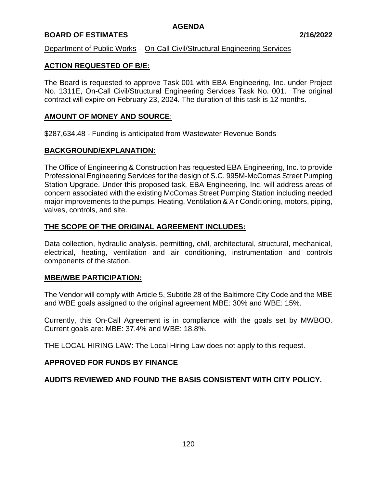# **BOARD OF ESTIMATES 2/16/2022**

# Department of Public Works – On-Call Civil/Structural Engineering Services

# **ACTION REQUESTED OF B/E:**

The Board is requested to approve Task 001 with EBA Engineering, Inc. under Project No. 1311E, On-Call Civil/Structural Engineering Services Task No. 001. The original contract will expire on February 23, 2024. The duration of this task is 12 months.

# **AMOUNT OF MONEY AND SOURCE**:

\$287,634.48 - Funding is anticipated from Wastewater Revenue Bonds

#### **BACKGROUND/EXPLANATION:**

The Office of Engineering & Construction has requested EBA Engineering, Inc. to provide Professional Engineering Services for the design of S.C. 995M-McComas Street Pumping Station Upgrade. Under this proposed task, EBA Engineering, Inc. will address areas of concern associated with the existing McComas Street Pumping Station including needed major improvements to the pumps, Heating, Ventilation & Air Conditioning, motors, piping, valves, controls, and site.

#### **THE SCOPE OF THE ORIGINAL AGREEMENT INCLUDES:**

Data collection, hydraulic analysis, permitting, civil, architectural, structural, mechanical, electrical, heating, ventilation and air conditioning, instrumentation and controls components of the station.

#### **MBE/WBE PARTICIPATION:**

The Vendor will comply with Article 5, Subtitle 28 of the Baltimore City Code and the MBE and WBE goals assigned to the original agreement MBE: 30% and WBE: 15%.

Currently, this On-Call Agreement is in compliance with the goals set by MWBOO. Current goals are: MBE: 37.4% and WBE: 18.8%.

THE LOCAL HIRING LAW: The Local Hiring Law does not apply to this request.

#### **APPROVED FOR FUNDS BY FINANCE**

#### **AUDITS REVIEWED AND FOUND THE BASIS CONSISTENT WITH CITY POLICY.**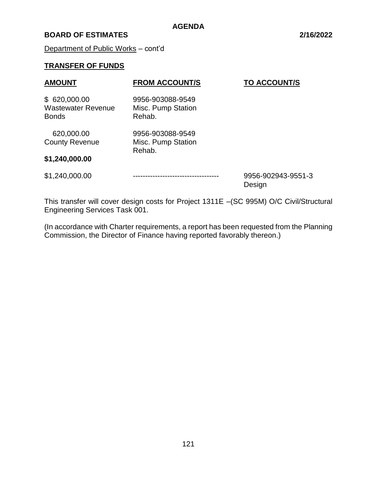# **BOARD OF ESTIMATES 2/16/2022**

Department of Public Works – cont'd

# **TRANSFER OF FUNDS**

| <b>AMOUNT</b>                                             | <b>FROM ACCOUNT/S</b>                            | <b>TO ACCOUNT/S</b>          |
|-----------------------------------------------------------|--------------------------------------------------|------------------------------|
| \$620,000.00<br><b>Wastewater Revenue</b><br><b>Bonds</b> | 9956-903088-9549<br>Misc. Pump Station<br>Rehab. |                              |
| 620,000.00                                                | 9956-903088-9549                                 |                              |
| <b>County Revenue</b>                                     | Misc. Pump Station<br>Rehab.                     |                              |
| \$1,240,000.00                                            |                                                  |                              |
| \$1,240,000.00                                            |                                                  | 9956-902943-9551-3<br>Design |

This transfer will cover design costs for Project 1311E –(SC 995M) O/C Civil/Structural Engineering Services Task 001.

(In accordance with Charter requirements, a report has been requested from the Planning Commission, the Director of Finance having reported favorably thereon.)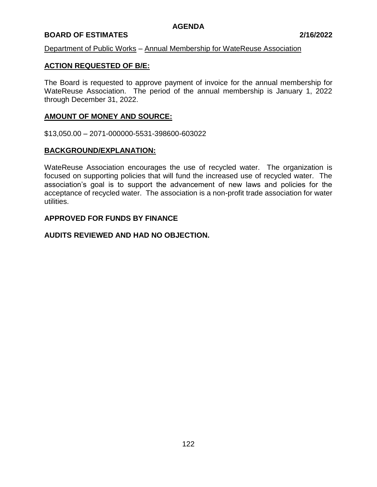# **BOARD OF ESTIMATES 2/16/2022**

#### Department of Public Works – Annual Membership for WateReuse Association

# **ACTION REQUESTED OF B/E:**

The Board is requested to approve payment of invoice for the annual membership for WateReuse Association. The period of the annual membership is January 1, 2022 through December 31, 2022.

# **AMOUNT OF MONEY AND SOURCE:**

\$13,050.00 – 2071-000000-5531-398600-603022

#### **BACKGROUND/EXPLANATION:**

WateReuse Association encourages the use of recycled water. The organization is focused on supporting policies that will fund the increased use of recycled water. The association's goal is to support the advancement of new laws and policies for the acceptance of recycled water. The association is a non-profit trade association for water utilities.

# **APPROVED FOR FUNDS BY FINANCE**

#### **AUDITS REVIEWED AND HAD NO OBJECTION.**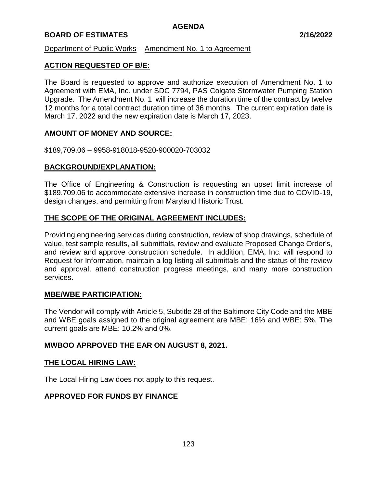# **BOARD OF ESTIMATES 2/16/2022**

Department of Public Works – Amendment No. 1 to Agreement

# **ACTION REQUESTED OF B/E:**

The Board is requested to approve and authorize execution of Amendment No. 1 to Agreement with EMA, Inc. under SDC 7794, PAS Colgate Stormwater Pumping Station Upgrade. The Amendment No. 1 will increase the duration time of the contract by twelve 12 months for a total contract duration time of 36 months. The current expiration date is March 17, 2022 and the new expiration date is March 17, 2023.

#### **AMOUNT OF MONEY AND SOURCE:**

\$189,709.06 – 9958-918018-9520-900020-703032

# **BACKGROUND/EXPLANATION:**

The Office of Engineering & Construction is requesting an upset limit increase of \$189,709.06 to accommodate extensive increase in construction time due to COVID-19, design changes, and permitting from Maryland Historic Trust.

# **THE SCOPE OF THE ORIGINAL AGREEMENT INCLUDES:**

Providing engineering services during construction, review of shop drawings, schedule of value, test sample results, all submittals, review and evaluate Proposed Change Order's, and review and approve construction schedule. In addition, EMA, Inc. will respond to Request for Information, maintain a log listing all submittals and the status of the review and approval, attend construction progress meetings, and many more construction services.

#### **MBE/WBE PARTICIPATION:**

The Vendor will comply with Article 5, Subtitle 28 of the Baltimore City Code and the MBE and WBE goals assigned to the original agreement are MBE: 16% and WBE: 5%. The current goals are MBE: 10.2% and 0%.

#### **MWBOO APRPOVED THE EAR ON AUGUST 8, 2021.**

#### **THE LOCAL HIRING LAW:**

The Local Hiring Law does not apply to this request.

### **APPROVED FOR FUNDS BY FINANCE**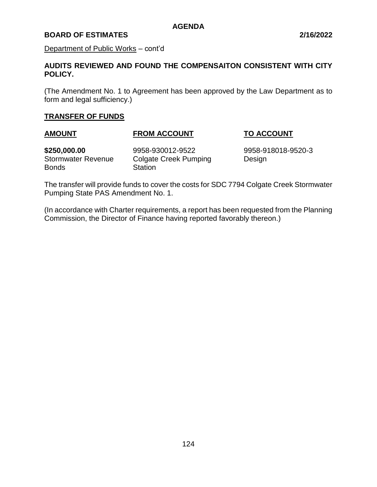# **BOARD OF ESTIMATES 2/16/2022**

Department of Public Works – cont'd

# **AUDITS REVIEWED AND FOUND THE COMPENSAITON CONSISTENT WITH CITY POLICY.**

(The Amendment No. 1 to Agreement has been approved by the Law Department as to form and legal sufficiency.)

# **TRANSFER OF FUNDS**

# **AMOUNT FROM ACCOUNT TO ACCOUNT**

Bonds Station

**\$250,000.00** 9958-930012-9522 9958-918018-9520-3 Stormwater Revenue Colgate Creek Pumping Design

The transfer will provide funds to cover the costs for SDC 7794 Colgate Creek Stormwater Pumping State PAS Amendment No. 1.

(In accordance with Charter requirements, a report has been requested from the Planning Commission, the Director of Finance having reported favorably thereon.)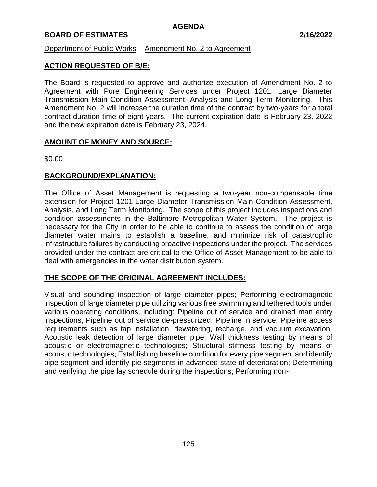# **BOARD OF ESTIMATES 2/16/2022**

Department of Public Works – Amendment No. 2 to Agreement

# **ACTION REQUESTED OF B/E:**

The Board is requested to approve and authorize execution of Amendment No. 2 to Agreement with Pure Engineering Services under Project 1201, Large Diameter Transmission Main Condition Assessment, Analysis and Long Term Monitoring. This Amendment No. 2 will increase the duration time of the contract by two-years for a total contract duration time of eight-years. The current expiration date is February 23, 2022 and the new expiration date is February 23, 2024.

# **AMOUNT OF MONEY AND SOURCE:**

\$0.00

# **BACKGROUND/EXPLANATION:**

The Office of Asset Management is requesting a two-year non-compensable time extension for Project 1201-Large Diameter Transmission Main Condition Assessment, Analysis, and Long Term Monitoring. The scope of this project includes inspections and condition assessments in the Baltimore Metropolitan Water System. The project is necessary for the City in order to be able to continue to assess the condition of large diameter water mains to establish a baseline, and minimize risk of catastrophic infrastructure failures by conducting proactive inspections under the project. The services provided under the contract are critical to the Office of Asset Management to be able to deal with emergencies in the water distribution system.

# **THE SCOPE OF THE ORIGINAL AGREEMENT INCLUDES:**

Visual and sounding inspection of large diameter pipes; Performing electromagnetic inspection of large diameter pipe utilizing various free swimming and tethered tools under various operating conditions, including: Pipeline out of service and drained man entry inspections, Pipeline out of service de-pressurized, Pipeline in service; Pipeline access requirements such as tap installation, dewatering, recharge, and vacuum excavation; Acoustic leak detection of large diameter pipe; Wall thickness testing by means of acoustic or electromagnetic technologies; Structural stiffness testing by means of acoustic technologies; Establishing baseline condition for every pipe segment and identify pipe segment and identify pie segments in advanced state of deterioration; Determining and verifying the pipe lay schedule during the inspections; Performing non-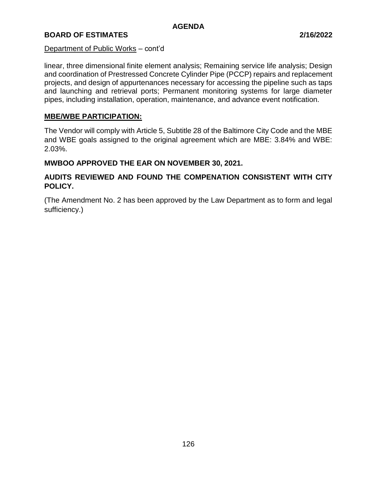# **BOARD OF ESTIMATES 2/16/2022**

#### Department of Public Works – cont'd

linear, three dimensional finite element analysis; Remaining service life analysis; Design and coordination of Prestressed Concrete Cylinder Pipe (PCCP) repairs and replacement projects, and design of appurtenances necessary for accessing the pipeline such as taps and launching and retrieval ports; Permanent monitoring systems for large diameter pipes, including installation, operation, maintenance, and advance event notification.

### **MBE/WBE PARTICIPATION:**

The Vendor will comply with Article 5, Subtitle 28 of the Baltimore City Code and the MBE and WBE goals assigned to the original agreement which are MBE: 3.84% and WBE: 2.03%.

#### **MWBOO APPROVED THE EAR ON NOVEMBER 30, 2021.**

# **AUDITS REVIEWED AND FOUND THE COMPENATION CONSISTENT WITH CITY POLICY.**

(The Amendment No. 2 has been approved by the Law Department as to form and legal sufficiency.)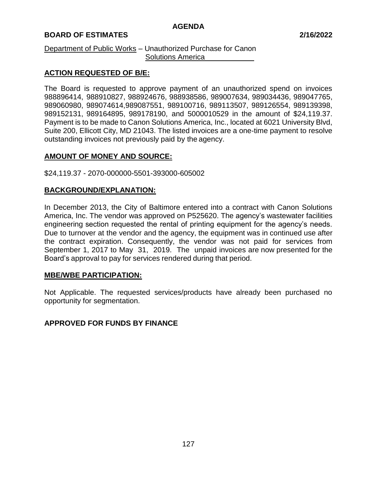# **BOARD OF ESTIMATES 2/16/2022**

#### Department of Public Works – Unauthorized Purchase for Canon Solutions America

# **ACTION REQUESTED OF B/E:**

The Board is requested to approve payment of an unauthorized spend on invoices 988896414, 988910827, 988924676, 988938586, 989007634, 989034436, 989047765, 989060980, 989074614,989087551, 989100716, 989113507, 989126554, 989139398, 989152131, 989164895, 989178190, and 5000010529 in the amount of \$24,119.37. Payment is to be made to Canon Solutions America, Inc., located at 6021 University Blvd, Suite 200, Ellicott City, MD 21043. The listed invoices are a one-time payment to resolve outstanding invoices not previously paid by the agency.

#### **AMOUNT OF MONEY AND SOURCE:**

#### \$24,119.37 - 2070-000000-5501-393000-605002

# **BACKGROUND/EXPLANATION:**

In December 2013, the City of Baltimore entered into a contract with Canon Solutions America, Inc. The vendor was approved on P525620. The agency's wastewater facilities engineering section requested the rental of printing equipment for the agency's needs. Due to turnover at the vendor and the agency, the equipment was in continued use after the contract expiration. Consequently, the vendor was not paid for services from September 1, 2017 to May 31, 2019. The unpaid invoices are now presented for the Board's approval to pay for services rendered during that period.

#### **MBE/WBE PARTICIPATION:**

Not Applicable. The requested services/products have already been purchased no opportunity for segmentation.

#### **APPROVED FOR FUNDS BY FINANCE**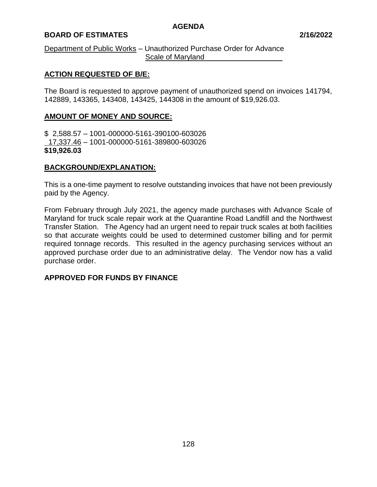# **BOARD OF ESTIMATES 2/16/2022**

#### Department of Public Works – Unauthorized Purchase Order for Advance Scale of Maryland

# **ACTION REQUESTED OF B/E:**

The Board is requested to approve payment of unauthorized spend on invoices 141794, 142889, 143365, 143408, 143425, 144308 in the amount of \$19,926.03.

# **AMOUNT OF MONEY AND SOURCE:**

\$ 2,588.57 – 1001-000000-5161-390100-603026 17,337.46 – 1001-000000-5161-389800-603026 **\$19,926.03**

#### **BACKGROUND/EXPLANATION:**

This is a one-time payment to resolve outstanding invoices that have not been previously paid by the Agency.

From February through July 2021, the agency made purchases with Advance Scale of Maryland for truck scale repair work at the Quarantine Road Landfill and the Northwest Transfer Station. The Agency had an urgent need to repair truck scales at both facilities so that accurate weights could be used to determined customer billing and for permit required tonnage records. This resulted in the agency purchasing services without an approved purchase order due to an administrative delay. The Vendor now has a valid purchase order.

# **APPROVED FOR FUNDS BY FINANCE**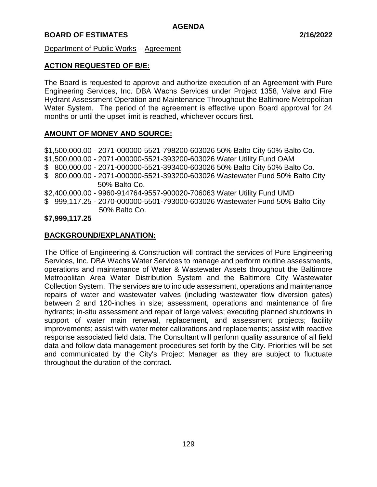Department of Public Works – Agreement

# **ACTION REQUESTED OF B/E:**

The Board is requested to approve and authorize execution of an Agreement with Pure Engineering Services, Inc. DBA Wachs Services under Project 1358, Valve and Fire Hydrant Assessment Operation and Maintenance Throughout the Baltimore Metropolitan Water System. The period of the agreement is effective upon Board approval for 24 months or until the upset limit is reached, whichever occurs first.

# **AMOUNT OF MONEY AND SOURCE:**

\$1,500,000.00 - 2071-000000-5521-798200-603026 50% Balto City 50% Balto Co. \$1,500,000.00 - 2071-000000-5521-393200-603026 Water Utility Fund OAM \$ 800,000.00 - 2071-000000-5521-393400-603026 50% Balto City 50% Balto Co. \$ 800,000.00 - 2071-000000-5521-393200-603026 Wastewater Fund 50% Balto City 50% Balto Co. \$2,400,000.00 - 9960-914764-9557-900020-706063 Water Utility Fund UMD \$ 999,117.25 - 2070-000000-5501-793000-603026 Wastewater Fund 50% Balto City 50% Balto Co.

# **\$7,999,117.25**

# **BACKGROUND/EXPLANATION:**

The Office of Engineering & Construction will contract the services of Pure Engineering Services, Inc. DBA Wachs Water Services to manage and perform routine assessments, operations and maintenance of Water & Wastewater Assets throughout the Baltimore Metropolitan Area Water Distribution System and the Baltimore City Wastewater Collection System. The services are to include assessment, operations and maintenance repairs of water and wastewater valves (including wastewater flow diversion gates) between 2 and 120-inches in size; assessment, operations and maintenance of fire hydrants; in-situ assessment and repair of large valves; executing planned shutdowns in support of water main renewal, replacement, and assessment projects; facility improvements; assist with water meter calibrations and replacements; assist with reactive response associated field data. The Consultant will perform quality assurance of all field data and follow data management procedures set forth by the City. Priorities will be set and communicated by the City's Project Manager as they are subject to fluctuate throughout the duration of the contract.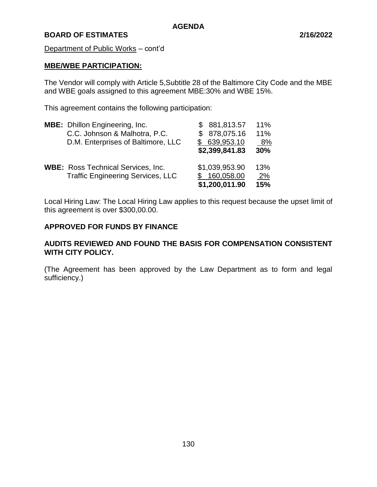Department of Public Works – cont'd

#### **MBE/WBE PARTICIPATION:**

The Vendor will comply with Article 5,Subtitle 28 of the Baltimore City Code and the MBE and WBE goals assigned to this agreement MBE:30% and WBE 15%.

This agreement contains the following participation:

| <b>MBE:</b> Dhillon Engineering, Inc.     | \$ 881,813.57  | 11%       |
|-------------------------------------------|----------------|-----------|
| C.C. Johnson & Malhotra, P.C.             | \$ 878,075.16  | 11%       |
| D.M. Enterprises of Baltimore, LLC        | 639,953.10     | 8%        |
|                                           | \$2,399,841.83 | 30%       |
| <b>WBE:</b> Ross Technical Services, Inc. | \$1,039,953.90 | 13%       |
| <b>Traffic Engineering Services, LLC</b>  | 160,058.00     | <u>2%</u> |
|                                           | \$1,200,011.90 | 15%       |

Local Hiring Law: The Local Hiring Law applies to this request because the upset limit of this agreement is over \$300,00.00.

# **APPROVED FOR FUNDS BY FINANCE**

# **AUDITS REVIEWED AND FOUND THE BASIS FOR COMPENSATION CONSISTENT WITH CITY POLICY.**

(The Agreement has been approved by the Law Department as to form and legal sufficiency.)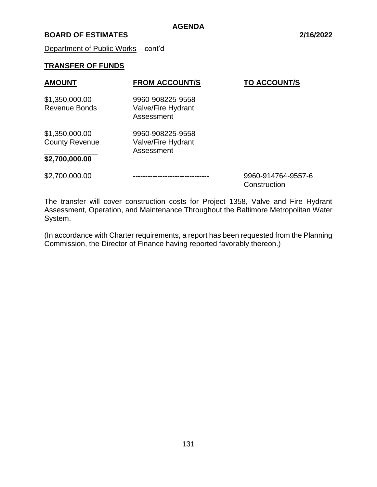# **BOARD OF ESTIMATES 2/16/2022**

Department of Public Works – cont'd

# **TRANSFER OF FUNDS**

| <b>AMOUNT</b>                           | <b>FROM ACCOUNT/S</b>                                | <b>TO ACCOUNT/S</b> |
|-----------------------------------------|------------------------------------------------------|---------------------|
| \$1,350,000.00<br><b>Revenue Bonds</b>  | 9960-908225-9558<br>Valve/Fire Hydrant<br>Assessment |                     |
| \$1,350,000.00<br><b>County Revenue</b> | 9960-908225-9558<br>Valve/Fire Hydrant<br>Assessment |                     |
| \$2,700,000.00                          |                                                      |                     |
| \$2,700,000.00                          |                                                      | 9960-914764-9557-6  |

**Construction** 

The transfer will cover construction costs for Project 1358, Valve and Fire Hydrant Assessment, Operation, and Maintenance Throughout the Baltimore Metropolitan Water System.

(In accordance with Charter requirements, a report has been requested from the Planning Commission, the Director of Finance having reported favorably thereon.)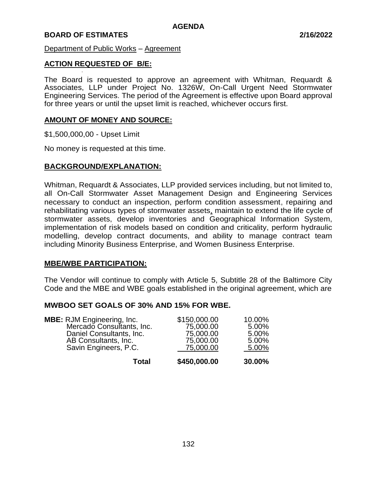#### Department of Public Works – Agreement

# **ACTION REQUESTED OF B/E:**

· The Board is requested to approve an agreement with Whitman, Requardt & Associates, LLP under Project No. 1326W, On-Call Urgent Need Stormwater Engineering Services. The period of the Agreement is effective upon Board approval for three years or until the upset limit is reached, whichever occurs first.

#### **AMOUNT OF MONEY AND SOURCE:**

\$1,500,000,00 - Upset Limit

No money is requested at this time.

#### **BACKGROUND/EXPLANATION:**

Whitman, Requardt & Associates, LLP provided services including, but not limited to, all On-Call Stormwater Asset Management Design and Engineering Services necessary to conduct an inspection, perform condition assessment, repairing and rehabilitating various types of stormwater assets, maintain to extend the life cycle of stormwater assets, develop inventories and Geographical Information System, implementation of risk models based on condition and criticality, perform hydraulic modelling, develop contract documents, and ability to manage contract team including Minority Business Enterprise, and Women Business Enterprise.

#### **MBE/WBE PARTICIPATION:**

The Vendor will continue to comply with Article 5, Subtitle 28 of the Baltimore City Code and the MBE and WBE goals established in the original agreement, which are

#### **MWBOO SET GOALS OF 30% AND 15% FOR WBE.**

| Total                                                                                                                                       | \$450,000.00                                                     | 30.00%                                     |
|---------------------------------------------------------------------------------------------------------------------------------------------|------------------------------------------------------------------|--------------------------------------------|
| <b>MBE:</b> RJM Engineering, Inc.<br>Mercado Consultants, Inc.<br>Daniel Consultants, Inc.<br>AB Consultants, Inc.<br>Savin Engineers, P.C. | \$150,000.00<br>75,000.00<br>75,000.00<br>75,000.00<br>75,000.00 | 10.00%<br>5.00%<br>5.00%<br>5.00%<br>5.00% |
|                                                                                                                                             |                                                                  |                                            |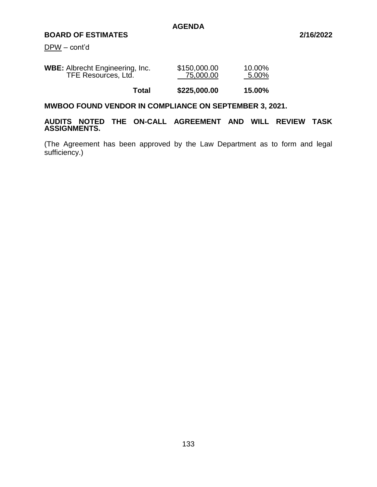DPW – cont'd

| <b>WBE:</b> Albrecht Engineering, Inc. | \$150,000.00 | 10.00% |
|----------------------------------------|--------------|--------|
| TFE Resources, Ltd.                    | 75,000.00    | 5.00%  |
|                                        |              |        |

**Total \$225,000.00 15.00%**

# **MWBOO FOUND VENDOR IN COMPLIANCE ON SEPTEMBER 3, 2021.**

#### **AUDITS NOTED THE ON-CALL AGREEMENT AND WILL REVIEW TASK ASSIGNMENTS.**

(The Agreement has been approved by the Law Department as to form and legal sufficiency.)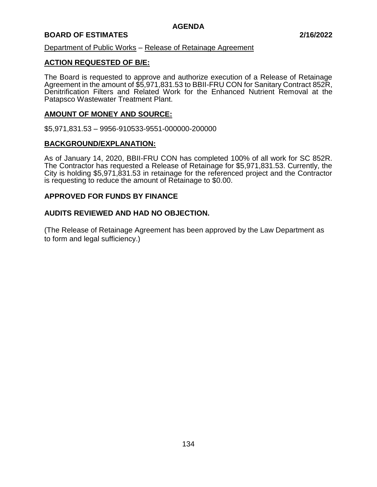# **BOARD OF ESTIMATES 2/16/2022**

Department of Public Works – Release of Retainage Agreement

#### **ACTION REQUESTED OF B/E:**

The Board is requested to approve and authorize execution of a Release of Retainage Agreement in the amount of \$5,971,831.53 to BBII-FRU CON for Sanitary Contract 852R, Denitrification Filters and Related Work for the Enhanced Nutrient Removal at the Patapsco Wastewater Treatment Plant.

#### **AMOUNT OF MONEY AND SOURCE:**

\$5,971,831.53 – 9956-910533-9551-000000-200000

#### **BACKGROUND/EXPLANATION:**

As of January 14, 2020, BBII-FRU CON has completed 100% of all work for SC 852R. The Contractor has requested a Release of Retainage for \$5,971,831.53. Currently, the City is holding \$5,971,831.53 in retainage for the referenced project and the Contractor is requesting to reduce the amount of Retainage to \$0.00.

#### **APPROVED FOR FUNDS BY FINANCE**

#### **AUDITS REVIEWED AND HAD NO OBJECTION.**

(The Release of Retainage Agreement has been approved by the Law Department as to form and legal sufficiency.)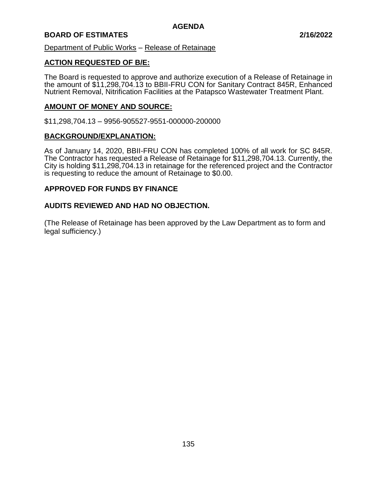Department of Public Works – Release of Retainage

#### **ACTION REQUESTED OF B/E:**

The Board is requested to approve and authorize execution of a Release of Retainage in the amount of \$11,298,704.13 to BBII-FRU CON for Sanitary Contract 845R, Enhanced Nutrient Removal, Nitrification Facilities at the Patapsco Wastewater Treatment Plant.

#### **AMOUNT OF MONEY AND SOURCE:**

\$11,298,704.13 – 9956-905527-9551-000000-200000

#### **BACKGROUND/EXPLANATION:**

As of January 14, 2020, BBII-FRU CON has completed 100% of all work for SC 845R. The Contractor has requested a Release of Retainage for \$11,298,704.13. Currently, the City is holding \$11,298,704.13 in retainage for the referenced project and the Contractor is requesting to reduce the amount of Retainage to \$0.00.

#### **APPROVED FOR FUNDS BY FINANCE**

#### **AUDITS REVIEWED AND HAD NO OBJECTION.**

(The Release of Retainage has been approved by the Law Department as to form and legal sufficiency.)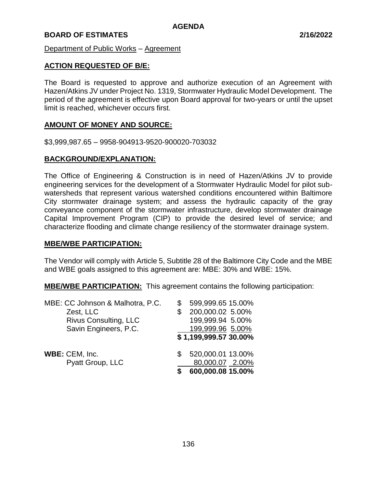Department of Public Works – Agreement

# **ACTION REQUESTED OF B/E:**

The Board is requested to approve and authorize execution of an Agreement with Hazen/Atkins JV under Project No. 1319, Stormwater Hydraulic Model Development. The period of the agreement is effective upon Board approval for two-years or until the upset limit is reached, whichever occurs first.

#### **AMOUNT OF MONEY AND SOURCE:**

\$3,999,987.65 – 9958-904913-9520-900020-703032

# **BACKGROUND/EXPLANATION:**

The Office of Engineering & Construction is in need of Hazen/Atkins JV to provide engineering services for the development of a Stormwater Hydraulic Model for pilot subwatersheds that represent various watershed conditions encountered within Baltimore City stormwater drainage system; and assess the hydraulic capacity of the gray conveyance component of the stormwater infrastructure, develop stormwater drainage Capital Improvement Program (CIP) to provide the desired level of service; and characterize flooding and climate change resiliency of the stormwater drainage system.

#### **MBE/WBE PARTICIPATION:**

The Vendor will comply with Article 5, Subtitle 28 of the Baltimore City Code and the MBE and WBE goals assigned to this agreement are: MBE: 30% and WBE: 15%.

**MBE/WBE PARTICIPATION:** This agreement contains the following participation:

| MBE: CC Johnson & Malhotra, P.C. |   | 599,999.65 15.00%     |
|----------------------------------|---|-----------------------|
| Zest, LLC                        | S | 200,000.02 5.00%      |
| Rivus Consulting, LLC            |   | 199,999.94 5.00%      |
| Savin Engineers, P.C.            |   | 199,999.96 5.00%      |
|                                  |   | \$1,199,999.57 30.00% |
| WBE: CEM, Inc.                   |   | 520,000.01 13.00%     |
| Pyatt Group, LLC                 |   | 80,000.07 2.00%       |
|                                  | S | 600,000.08 15.00%     |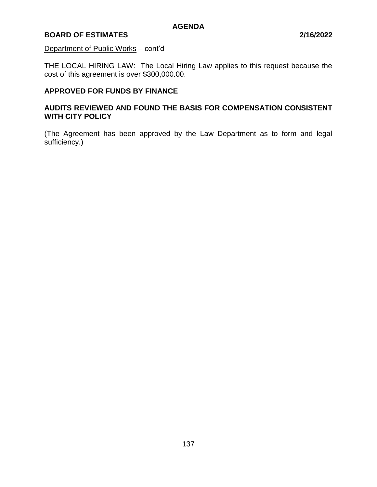#### Department of Public Works – cont'd

THE LOCAL HIRING LAW: The Local Hiring Law applies to this request because the cost of this agreement is over \$300,000.00.

# **APPROVED FOR FUNDS BY FINANCE**

# **AUDITS REVIEWED AND FOUND THE BASIS FOR COMPENSATION CONSISTENT WITH CITY POLICY**

(The Agreement has been approved by the Law Department as to form and legal sufficiency.)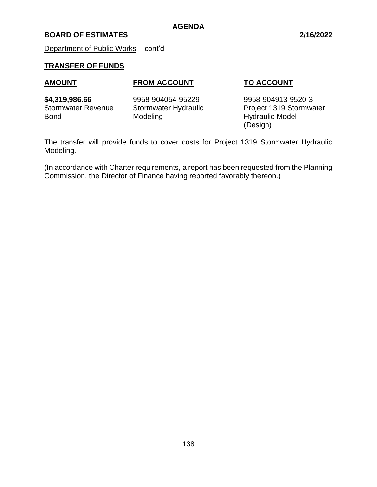Department of Public Works – cont'd

# **TRANSFER OF FUNDS**

# **AMOUNT FROM ACCOUNT TO ACCOUNT**

Bond Modeling Modeling Hydraulic Model

**\$4,319,986.66** 9958-904054-95229 9958-904913-9520-3 Stormwater Revenue Stormwater Hydraulic Project 1319 Stormwater (Design)

The transfer will provide funds to cover costs for Project 1319 Stormwater Hydraulic Modeling.

**AGENDA**

(In accordance with Charter requirements, a report has been requested from the Planning Commission, the Director of Finance having reported favorably thereon.)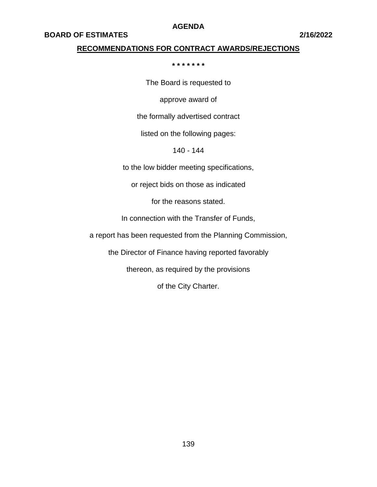#### **BOARD OF ESTIMATES 2/16/2022**

#### **RECOMMENDATIONS FOR CONTRACT AWARDS/REJECTIONS**

**\* \* \* \* \* \* \***

The Board is requested to

approve award of

the formally advertised contract

listed on the following pages:

140 - 144

to the low bidder meeting specifications,

or reject bids on those as indicated

for the reasons stated.

In connection with the Transfer of Funds,

a report has been requested from the Planning Commission,

the Director of Finance having reported favorably

thereon, as required by the provisions

of the City Charter.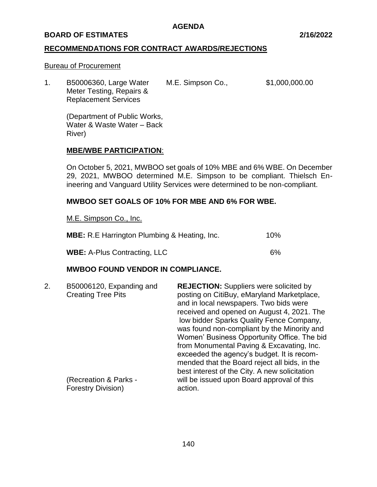#### **BOARD OF ESTIMATES 2/16/2022**

#### **RECOMMENDATIONS FOR CONTRACT AWARDS/REJECTIONS**

#### Bureau of Procurement

1. B50006360, Large Water M.E. Simpson Co., \$1,000,000.00 Meter Testing, Repairs & Replacement Services

(Department of Public Works, Water & Waste Water – Back River)

#### **MBE/WBE PARTICIPATION**:

On October 5, 2021, MWBOO set goals of 10% MBE and 6% WBE. On December 29, 2021, MWBOO determined M.E. Simpson to be compliant. Thielsch Enineering and Vanguard Utility Services were determined to be non-compliant.

# **MWBOO SET GOALS OF 10% FOR MBE AND 6% FOR WBE.**

M.E. Simpson Co., Inc.

| <b>MBE:</b> R.E Harrington Plumbing & Heating, Inc. | 10% |
|-----------------------------------------------------|-----|
| <b>WBE: A-Plus Contracting, LLC</b>                 | 6%  |

#### **MWBOO FOUND VENDOR IN COMPLIANCE.**

| 2. | B50006120, Expanding and<br><b>Creating Tree Pits</b><br>(Recreation & Parks - | <b>REJECTION:</b> Suppliers were solicited by<br>posting on CitiBuy, eMaryland Marketplace,<br>and in local newspapers. Two bids were<br>received and opened on August 4, 2021. The<br>low bidder Sparks Quality Fence Company,<br>was found non-compliant by the Minority and<br>Women' Business Opportunity Office. The bid<br>from Monumental Paving & Excavating, Inc.<br>exceeded the agency's budget. It is recom-<br>mended that the Board reject all bids, in the<br>best interest of the City. A new solicitation<br>will be issued upon Board approval of this |
|----|--------------------------------------------------------------------------------|--------------------------------------------------------------------------------------------------------------------------------------------------------------------------------------------------------------------------------------------------------------------------------------------------------------------------------------------------------------------------------------------------------------------------------------------------------------------------------------------------------------------------------------------------------------------------|
|    | <b>Forestry Division)</b>                                                      | action.                                                                                                                                                                                                                                                                                                                                                                                                                                                                                                                                                                  |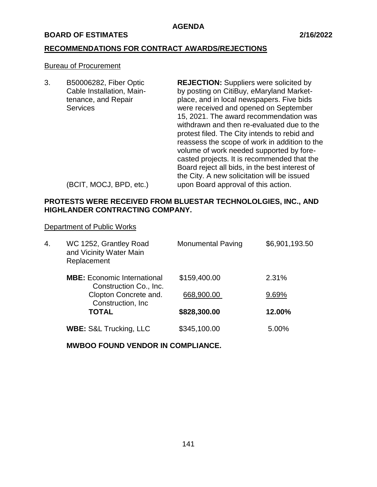### **BOARD OF ESTIMATES 2/16/2022**

# **RECOMMENDATIONS FOR CONTRACT AWARDS/REJECTIONS**

#### Bureau of Procurement

3. B50006282, Fiber Optic **REJECTION:** Suppliers were solicited by Cable Installation, Main- by posting on CitiBuy, eMaryland Markettenance, and Repair place, and in local newspapers. Five bids Services were received and opened on September 15, 2021. The award recommendation was withdrawn and then re-evaluated due to the protest filed. The City intends to rebid and reassess the scope of work in addition to the volume of work needed supported by forecasted projects. It is recommended that the Board reject all bids, in the best interest of the City. A new solicitation will be issued (BCIT, MOCJ, BPD, etc.) upon Board approval of this action.

**PROTESTS WERE RECEIVED FROM BLUESTAR TECHNOLOLGIES, INC., AND HIGHLANDER CONTRACTING COMPANY.**

Department of Public Works

| 4. | WC 1252, Grantley Road<br>and Vicinity Water Main<br>Replacement | <b>Monumental Paving</b> | \$6,901,193.50 |
|----|------------------------------------------------------------------|--------------------------|----------------|
|    | <b>MBE:</b> Economic International<br>Construction Co., Inc.     | \$159,400.00             | 2.31%          |
|    | Clopton Concrete and.<br>Construction, Inc.                      | 668,900.00               | 9.69%          |
|    | <b>TOTAL</b>                                                     | \$828,300.00             | 12.00%         |
|    | <b>WBE: S&amp;L Trucking, LLC</b>                                | \$345,100.00             | 5.00%          |
|    |                                                                  |                          |                |

**MWBOO FOUND VENDOR IN COMPLIANCE.**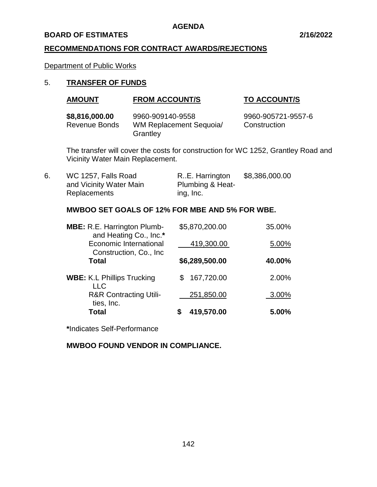#### **BOARD OF ESTIMATES 2/16/2022**

# **RECOMMENDATIONS FOR CONTRACT AWARDS/REJECTIONS**

Department of Public Works

# 5. **TRANSFER OF FUNDS**

| <b>AMOUNT</b> | <b>FROM ACCOUNT/S</b> | <b>TO ACCOUNT/S</b> |
|---------------|-----------------------|---------------------|
|---------------|-----------------------|---------------------|

| \$8,816,000.00 | 9960-909140-9558        | 9960-905721-9557-6 |
|----------------|-------------------------|--------------------|
| Revenue Bonds  | WM Replacement Sequoia/ | Construction       |
|                | Grantley                |                    |

The transfer will cover the costs for construction for WC 1252, Grantley Road and Vicinity Water Main Replacement.

| 6. | WC 1257, Falls Road     | RE. Harrington              | \$8,386,000.00 |
|----|-------------------------|-----------------------------|----------------|
|    | and Vicinity Water Main | <b>Plumbing &amp; Heat-</b> |                |
|    | Replacements            | ing, Inc.                   |                |

# **MWBOO SET GOALS OF 12% FOR MBE AND 5% FOR WBE.**

| <b>MBE:</b> R.E. Harrington Plumb-<br>and Heating Co., Inc.* | \$5,870,200.00 | 35.00% |
|--------------------------------------------------------------|----------------|--------|
| <b>Economic International</b><br>Construction, Co., Inc.     | 419,300.00     | 5.00%  |
| <b>Total</b>                                                 | \$6,289,500.00 | 40.00% |
| <b>WBE: K.L Phillips Trucking</b><br><b>LLC</b>              | 167,720.00     | 2.00%  |
| <b>R&amp;R Contracting Utili-</b><br>ties, Inc.              | 251,850.00     | 3.00%  |
| Total                                                        | 419,570.00     | 5.00%  |

**\***Indicates Self-Performance

**MWBOO FOUND VENDOR IN COMPLIANCE.**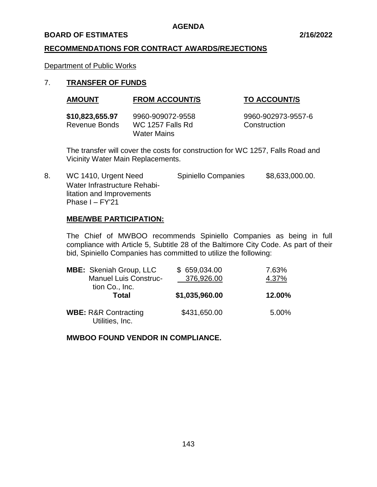#### **BOARD OF ESTIMATES 2/16/2022**

#### **RECOMMENDATIONS FOR CONTRACT AWARDS/REJECTIONS**

Department of Public Works

#### 7. **TRANSFER OF FUNDS**

| <b>TO ACCOUNT/S</b> |
|---------------------|
|                     |

| \$10,823,655.97 | 9960-909072-9558 | 9960-902973-9557-6 |
|-----------------|------------------|--------------------|
| Revenue Bonds   | WC 1257 Falls Rd | Construction       |
|                 | Water Mains      |                    |

The transfer will cover the costs for construction for WC 1257, Falls Road and Vicinity Water Main Replacements.

8. WC 1410, Urgent Need Spiniello Companies \$8,633,000.00. Water Infrastructure Rehabilitation and Improvements Phase I – FY'21

#### **MBE/WBE PARTICIPATION:**

The Chief of MWBOO recommends Spiniello Companies as being in full compliance with Article 5, Subtitle 28 of the Baltimore City Code. As part of their bid, Spiniello Companies has committed to utilize the following:

| <b>MBE:</b> Skeniah Group, LLC<br><b>Manuel Luis Construc-</b><br>tion Co., Inc. | \$659,034.00<br>376,926.00 | 7.63%<br>4.37% |
|----------------------------------------------------------------------------------|----------------------------|----------------|
| Total                                                                            | \$1,035,960.00             | 12.00%         |
| <b>WBE: R&amp;R Contracting</b><br>Utilities, Inc.                               | \$431,650.00               | 5.00%          |

**MWBOO FOUND VENDOR IN COMPLIANCE.**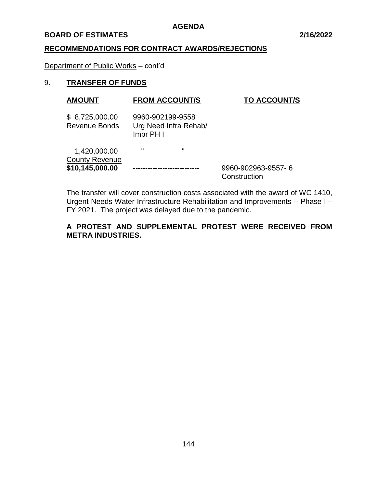#### **BOARD OF ESTIMATES 2/16/2022**

#### **RECOMMENDATIONS FOR CONTRACT AWARDS/REJECTIONS**

Department of Public Works – cont'd

# 9. **TRANSFER OF FUNDS**

| <b>AMOUNT</b>                          | <b>FROM ACCOUNT/S</b><br><b>TO ACCOUNT/S</b>                                    |                                    |
|----------------------------------------|---------------------------------------------------------------------------------|------------------------------------|
| \$8,725,000.00<br><b>Revenue Bonds</b> | 9960-902199-9558<br>Urg Need Infra Rehab/<br>$Impr$ PH $\overline{\phantom{a}}$ |                                    |
| 1,420,000.00<br><b>County Revenue</b>  | $\mathbf{u}$<br>$\mathbf{u}$                                                    |                                    |
| \$10,145,000.00                        |                                                                                 | 9960-902963-9557-6<br>Construction |

The transfer will cover construction costs associated with the award of WC 1410, Urgent Needs Water Infrastructure Rehabilitation and Improvements – Phase I – FY 2021. The project was delayed due to the pandemic.

# **A PROTEST AND SUPPLEMENTAL PROTEST WERE RECEIVED FROM METRA INDUSTRIES.**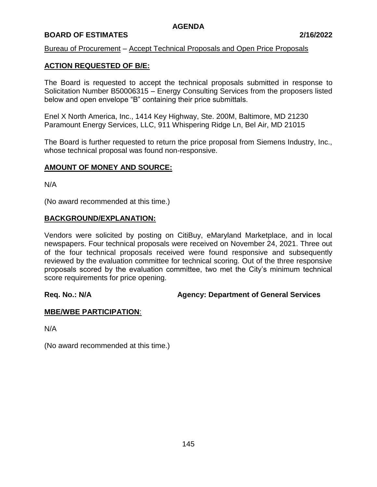# **BOARD OF ESTIMATES 2/16/2022**

#### Bureau of Procurement – Accept Technical Proposals and Open Price Proposals

# **ACTION REQUESTED OF B/E:**

The Board is requested to accept the technical proposals submitted in response to Solicitation Number B50006315 – Energy Consulting Services from the proposers listed below and open envelope "B" containing their price submittals.

Enel X North America, Inc., 1414 Key Highway, Ste. 200M, Baltimore, MD 21230 Paramount Energy Services, LLC, 911 Whispering Ridge Ln, Bel Air, MD 21015

The Board is further requested to return the price proposal from Siemens Industry, Inc., whose technical proposal was found non-responsive.

#### **AMOUNT OF MONEY AND SOURCE:**

N/A

(No award recommended at this time.)

#### **BACKGROUND/EXPLANATION:**

Vendors were solicited by posting on CitiBuy, eMaryland Marketplace, and in local newspapers. Four technical proposals were received on November 24, 2021. Three out of the four technical proposals received were found responsive and subsequently reviewed by the evaluation committee for technical scoring. Out of the three responsive proposals scored by the evaluation committee, two met the City's minimum technical score requirements for price opening.

**Req. No.: N/A Agency: Department of General Services**

#### **MBE/WBE PARTICIPATION**:

N/A

(No award recommended at this time.)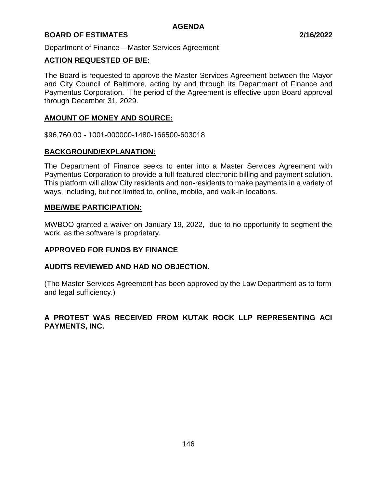# **BOARD OF ESTIMATES 2/16/2022**

Department of Finance – Master Services Agreement

#### **ACTION REQUESTED OF B/E:**

The Board is requested to approve the Master Services Agreement between the Mayor and City Council of Baltimore, acting by and through its Department of Finance and Paymentus Corporation. The period of the Agreement is effective upon Board approval through December 31, 2029.

#### **AMOUNT OF MONEY AND SOURCE:**

\$96,760.00 - 1001-000000-1480-166500-603018

#### **BACKGROUND/EXPLANATION:**

The Department of Finance seeks to enter into a Master Services Agreement with Paymentus Corporation to provide a full-featured electronic billing and payment solution. This platform will allow City residents and non-residents to make payments in a variety of ways, including, but not limited to, online, mobile, and walk-in locations.

#### **MBE/WBE PARTICIPATION:**

MWBOO granted a waiver on January 19, 2022, due to no opportunity to segment the work, as the software is proprietary.

#### **APPROVED FOR FUNDS BY FINANCE**

#### **AUDITS REVIEWED AND HAD NO OBJECTION.**

(The Master Services Agreement has been approved by the Law Department as to form and legal sufficiency.)

# **A PROTEST WAS RECEIVED FROM KUTAK ROCK LLP REPRESENTING ACI PAYMENTS, INC.**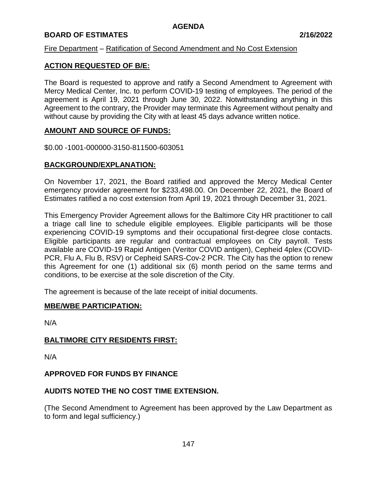# **BOARD OF ESTIMATES 2/16/2022**

# Fire Department – Ratification of Second Amendment and No Cost Extension

# **ACTION REQUESTED OF B/E:**

The Board is requested to approve and ratify a Second Amendment to Agreement with Mercy Medical Center, Inc. to perform COVID-19 testing of employees. The period of the agreement is April 19, 2021 through June 30, 2022. Notwithstanding anything in this Agreement to the contrary, the Provider may terminate this Agreement without penalty and without cause by providing the City with at least 45 days advance written notice.

# **AMOUNT AND SOURCE OF FUNDS:**

\$0.00 -1001-000000-3150-811500-603051

# **BACKGROUND/EXPLANATION:**

On November 17, 2021, the Board ratified and approved the Mercy Medical Center emergency provider agreement for \$233,498.00. On December 22, 2021, the Board of Estimates ratified a no cost extension from April 19, 2021 through December 31, 2021.

This Emergency Provider Agreement allows for the Baltimore City HR practitioner to call a triage call line to schedule eligible employees. Eligible participants will be those experiencing COVID-19 symptoms and their occupational first-degree close contacts. Eligible participants are regular and contractual employees on City payroll. Tests available are COVID-19 Rapid Antigen (Veritor COVID antigen), Cepheid 4plex (COVID-PCR, Flu A, Flu B, RSV) or Cepheid SARS-Cov-2 PCR. The City has the option to renew this Agreement for one (1) additional six (6) month period on the same terms and conditions, to be exercise at the sole discretion of the City.

The agreement is because of the late receipt of initial documents.

#### **MBE/WBE PARTICIPATION:**

N/A

# **BALTIMORE CITY RESIDENTS FIRST:**

N/A

# **APPROVED FOR FUNDS BY FINANCE**

# **AUDITS NOTED THE NO COST TIME EXTENSION.**

(The Second Amendment to Agreement has been approved by the Law Department as to form and legal sufficiency.)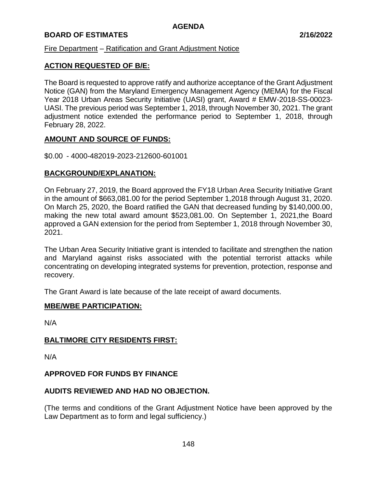# **BOARD OF ESTIMATES 2/16/2022**

#### Fire Department – Ratification and Grant Adjustment Notice

# **ACTION REQUESTED OF B/E:**

The Board is requested to approve ratify and authorize acceptance of the Grant Adjustment Notice (GAN) from the Maryland Emergency Management Agency (MEMA) for the Fiscal Year 2018 Urban Areas Security Initiative (UASI) grant, Award # EMW-2018-SS-00023- UASI. The previous period was September 1, 2018, through November 30, 2021. The grant adjustment notice extended the performance period to September 1, 2018, through February 28, 2022.

# **AMOUNT AND SOURCE OF FUNDS:**

\$0.00 - 4000-482019-2023-212600-601001

#### **BACKGROUND/EXPLANATION:**

On February 27, 2019, the Board approved the FY18 Urban Area Security Initiative Grant in the amount of \$663,081.00 for the period September 1,2018 through August 31, 2020. On March 25, 2020, the Board ratified the GAN that decreased funding by \$140,000.00, making the new total award amount \$523,081.00. On September 1, 2021,the Board approved a GAN extension for the period from September 1, 2018 through November 30, 2021.

The Urban Area Security Initiative grant is intended to facilitate and strengthen the nation and Maryland against risks associated with the potential terrorist attacks while concentrating on developing integrated systems for prevention, protection, response and recovery.

The Grant Award is late because of the late receipt of award documents.

#### **MBE/WBE PARTICIPATION:**

N/A

#### **BALTIMORE CITY RESIDENTS FIRST:**

N/A

#### **APPROVED FOR FUNDS BY FINANCE**

#### **AUDITS REVIEWED AND HAD NO OBJECTION.**

(The terms and conditions of the Grant Adjustment Notice have been approved by the Law Department as to form and legal sufficiency.)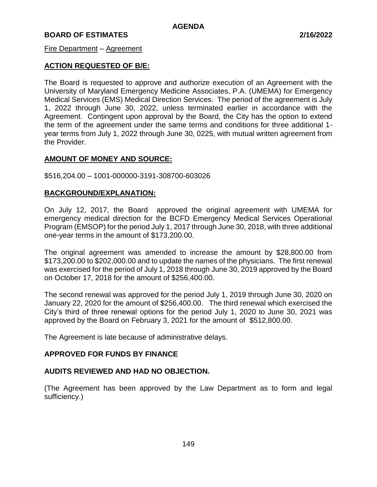# **BOARD OF ESTIMATES 2/16/2022**

#### Fire Department – Agreement

# **ACTION REQUESTED OF B/E:**

The Board is requested to approve and authorize execution of an Agreement with the University of Maryland Emergency Medicine Associates, P.A. (UMEMA) for Emergency Medical Services (EMS) Medical Direction Services. The period of the agreement is July 1, 2022 through June 30, 2022, unless terminated earlier in accordance with the Agreement. Contingent upon approval by the Board, the City has the option to extend the term of the agreement under the same terms and conditions for three additional 1 year terms from July 1, 2022 through June 30, 0225, with mutual written agreement from the Provider.

# **AMOUNT OF MONEY AND SOURCE:**

\$516,204.00 – 1001-000000-3191-308700-603026

# **BACKGROUND/EXPLANATION:**

On July 12, 2017, the Board approved the original agreement with UMEMA for emergency medical direction for the BCFD Emergency Medical Services Operational Program (EMSOP) for the period July 1, 2017 through June 30, 2018, with three additional one-year terms in the amount of \$173,200.00.

The original agreement was amended to increase the amount by \$28,800.00 from \$173,200.00 to \$202,000.00 and to update the names of the physicians. The first renewal was exercised for the period of July 1, 2018 through June 30, 2019 approved by the Board on October 17, 2018 for the amount of \$256,400.00.

The second renewal was approved for the period July 1, 2019 through June 30, 2020 on January 22, 2020 for the amount of \$256,400.00. The third renewal which exercised the City's third of three renewal options for the period July 1, 2020 to June 30, 2021 was approved by the Board on February 3, 2021 for the amount of \$512,800.00.

The Agreement is late because of administrative delays.

# **APPROVED FOR FUNDS BY FINANCE**

# **AUDITS REVIEWED AND HAD NO OBJECTION.**

(The Agreement has been approved by the Law Department as to form and legal sufficiency.)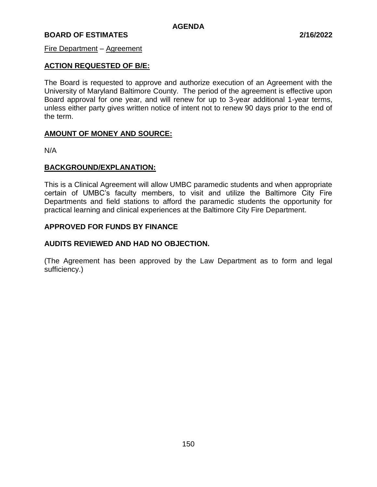# **BOARD OF ESTIMATES 2/16/2022**

#### Fire Department – Agreement

# **ACTION REQUESTED OF B/E:**

The Board is requested to approve and authorize execution of an Agreement with the University of Maryland Baltimore County. The period of the agreement is effective upon Board approval for one year, and will renew for up to 3-year additional 1-year terms, unless either party gives written notice of intent not to renew 90 days prior to the end of the term.

#### **AMOUNT OF MONEY AND SOURCE:**

N/A

#### **BACKGROUND/EXPLANATION:**

This is a Clinical Agreement will allow UMBC paramedic students and when appropriate certain of UMBC's faculty members, to visit and utilize the Baltimore City Fire Departments and field stations to afford the paramedic students the opportunity for practical learning and clinical experiences at the Baltimore City Fire Department.

# **APPROVED FOR FUNDS BY FINANCE**

# **AUDITS REVIEWED AND HAD NO OBJECTION.**

(The Agreement has been approved by the Law Department as to form and legal sufficiency.)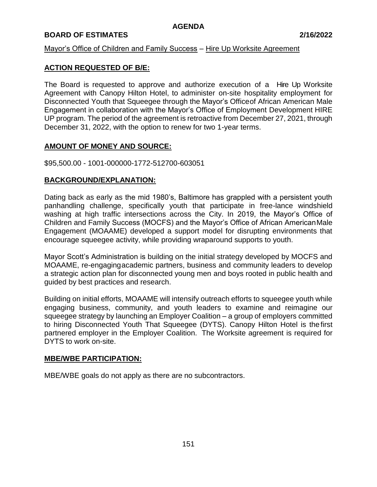# **BOARD OF ESTIMATES 2/16/2022**

#### Mayor's Office of Children and Family Success – Hire Up Worksite Agreement

# **ACTION REQUESTED OF B/E:**

The Board is requested to approve and authorize execution of a Hire Up Worksite Agreement with Canopy Hilton Hotel, to administer on-site hospitality employment for Disconnected Youth that Squeegee through the Mayor's Officeof African American Male Engagement in collaboration with the Mayor's Office of Employment Development HIRE UP program. The period of the agreement is retroactive from December 27, 2021, through December 31, 2022, with the option to renew for two 1-year terms.

# **AMOUNT OF MONEY AND SOURCE:**

#### \$95,500.00 - 1001-000000-1772-512700-603051

# **BACKGROUND/EXPLANATION:**

Dating back as early as the mid 1980's, Baltimore has grappled with a persistent youth panhandling challenge, specifically youth that participate in free-lance windshield washing at high traffic intersections across the City. In 2019, the Mayor's Office of Children and Family Success (MOCFS) and the Mayor's Office of African AmericanMale Engagement (MOAAME) developed a support model for disrupting environments that encourage squeegee activity, while providing wraparound supports to youth.

Mayor Scott's Administration is building on the initial strategy developed by MOCFS and MOAAME, re-engagingacademic partners, business and community leaders to develop a strategic action plan for disconnected young men and boys rooted in public health and guided by best practices and research.

Building on initial efforts, MOAAME will intensify outreach efforts to squeegee youth while engaging business, community, and youth leaders to examine and reimagine our squeegee strategy by launching an Employer Coalition – a group of employers committed to hiring Disconnected Youth That Squeegee (DYTS). Canopy Hilton Hotel is thefirst partnered employer in the Employer Coalition. The Worksite agreement is required for DYTS to work on-site.

#### **MBE/WBE PARTICIPATION:**

MBE/WBE goals do not apply as there are no subcontractors.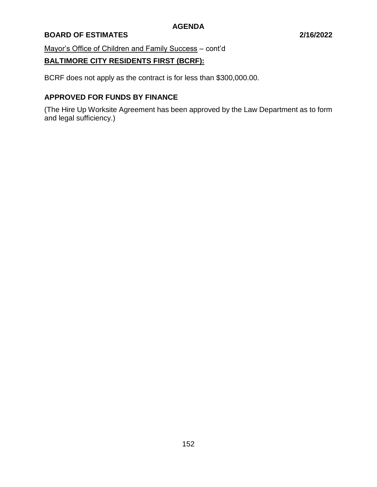# **BOARD OF ESTIMATES 2/16/2022**

Mayor's Office of Children and Family Success – cont'd

# **BALTIMORE CITY RESIDENTS FIRST (BCRF):**

BCRF does not apply as the contract is for less than \$300,000.00.

# **APPROVED FOR FUNDS BY FINANCE**

(The Hire Up Worksite Agreement has been approved by the Law Department as to form and legal sufficiency.)